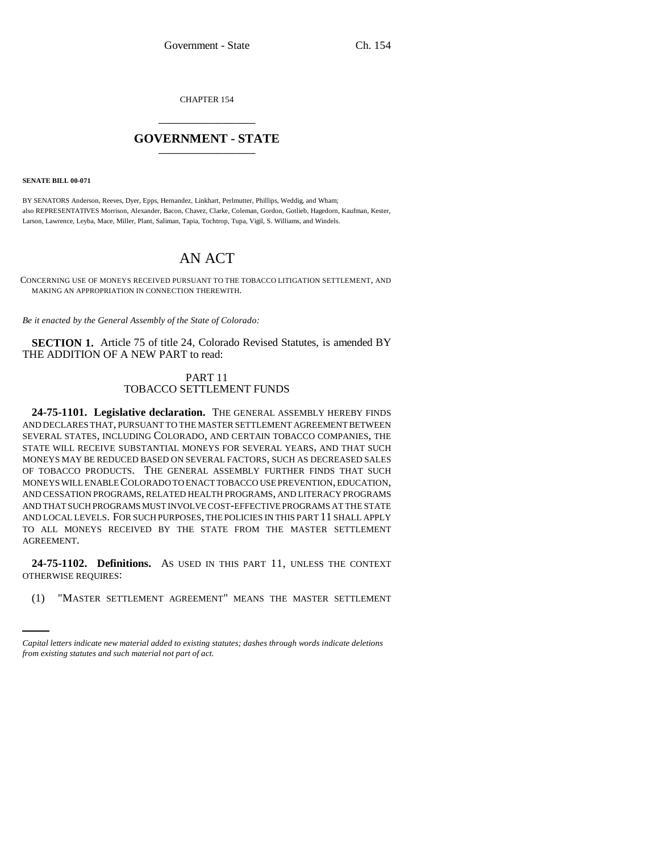CHAPTER 154 \_\_\_\_\_\_\_\_\_\_\_\_\_\_\_

# **GOVERNMENT - STATE** \_\_\_\_\_\_\_\_\_\_\_\_\_\_\_

**SENATE BILL 00-071** 

BY SENATORS Anderson, Reeves, Dyer, Epps, Hernandez, Linkhart, Perlmutter, Phillips, Weddig, and Wham; also REPRESENTATIVES Morrison, Alexander, Bacon, Chavez, Clarke, Coleman, Gordon, Gotlieb, Hagedorn, Kaufman, Kester, Larson, Lawrence, Leyba, Mace, Miller, Plant, Saliman, Tapia, Tochtrop, Tupa, Vigil, S. Williams, and Windels.

# AN ACT

CONCERNING USE OF MONEYS RECEIVED PURSUANT TO THE TOBACCO LITIGATION SETTLEMENT, AND MAKING AN APPROPRIATION IN CONNECTION THEREWITH.

*Be it enacted by the General Assembly of the State of Colorado:*

**SECTION 1.** Article 75 of title 24, Colorado Revised Statutes, is amended BY THE ADDITION OF A NEW PART to read:

# PART 11 TOBACCO SETTLEMENT FUNDS

**24-75-1101. Legislative declaration.** THE GENERAL ASSEMBLY HEREBY FINDS AND DECLARES THAT, PURSUANT TO THE MASTER SETTLEMENT AGREEMENT BETWEEN SEVERAL STATES, INCLUDING COLORADO, AND CERTAIN TOBACCO COMPANIES, THE STATE WILL RECEIVE SUBSTANTIAL MONEYS FOR SEVERAL YEARS, AND THAT SUCH MONEYS MAY BE REDUCED BASED ON SEVERAL FACTORS, SUCH AS DECREASED SALES OF TOBACCO PRODUCTS. THE GENERAL ASSEMBLY FURTHER FINDS THAT SUCH MONEYS WILL ENABLE COLORADO TO ENACT TOBACCO USE PREVENTION, EDUCATION, AND CESSATION PROGRAMS, RELATED HEALTH PROGRAMS, AND LITERACY PROGRAMS AND THAT SUCH PROGRAMS MUST INVOLVE COST-EFFECTIVE PROGRAMS AT THE STATE AND LOCAL LEVELS. FOR SUCH PURPOSES, THE POLICIES IN THIS PART 11 SHALL APPLY TO ALL MONEYS RECEIVED BY THE STATE FROM THE MASTER SETTLEMENT AGREEMENT.

OTHERWISE REQUIRES: **24-75-1102. Definitions.** AS USED IN THIS PART 11, UNLESS THE CONTEXT

(1) "MASTER SETTLEMENT AGREEMENT" MEANS THE MASTER SETTLEMENT

*Capital letters indicate new material added to existing statutes; dashes through words indicate deletions from existing statutes and such material not part of act.*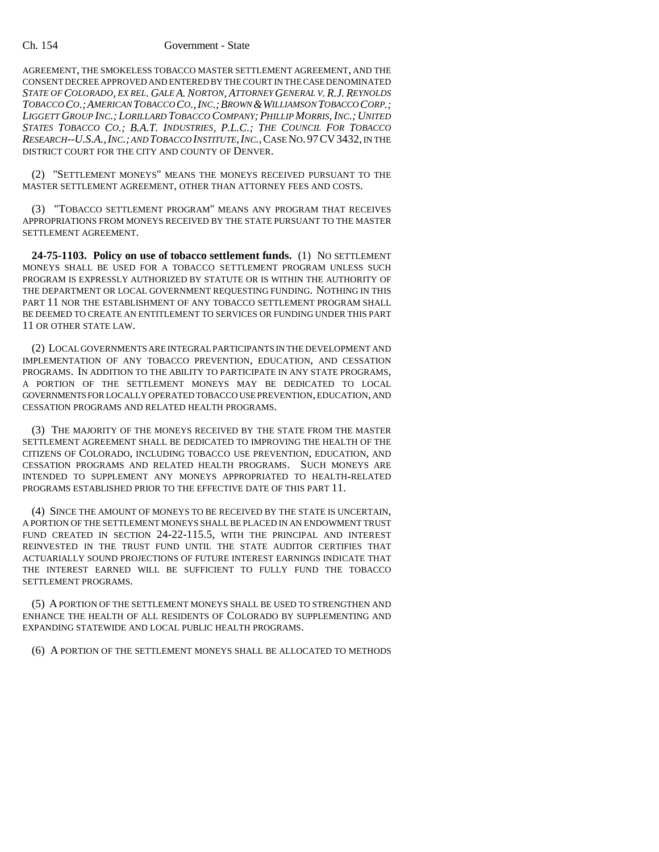AGREEMENT, THE SMOKELESS TOBACCO MASTER SETTLEMENT AGREEMENT, AND THE CONSENT DECREE APPROVED AND ENTERED BY THE COURT IN THE CASE DENOMINATED *STATE OF COLORADO, EX REL. GALE A. NORTON, ATTORNEY GENERAL V. R.J. REYNOLDS TOBACCO CO.;AMERICAN TOBACCO CO.,INC.;BROWN &WILLIAMSON TOBACCO CORP.; LIGGETT GROUP INC.; LORILLARD TOBACCO COMPANY; PHILLIP MORRIS, INC.; UNITED STATES TOBACCO CO.; B.A.T. INDUSTRIES, P.L.C.; THE COUNCIL FOR TOBACCO RESEARCH--U.S.A.,INC.; AND TOBACCO INSTITUTE,INC.*,CASE NO.97CV3432, IN THE DISTRICT COURT FOR THE CITY AND COUNTY OF DENVER.

(2) "SETTLEMENT MONEYS" MEANS THE MONEYS RECEIVED PURSUANT TO THE MASTER SETTLEMENT AGREEMENT, OTHER THAN ATTORNEY FEES AND COSTS.

(3) "TOBACCO SETTLEMENT PROGRAM" MEANS ANY PROGRAM THAT RECEIVES APPROPRIATIONS FROM MONEYS RECEIVED BY THE STATE PURSUANT TO THE MASTER SETTLEMENT AGREEMENT.

**24-75-1103. Policy on use of tobacco settlement funds.** (1) NO SETTLEMENT MONEYS SHALL BE USED FOR A TOBACCO SETTLEMENT PROGRAM UNLESS SUCH PROGRAM IS EXPRESSLY AUTHORIZED BY STATUTE OR IS WITHIN THE AUTHORITY OF THE DEPARTMENT OR LOCAL GOVERNMENT REQUESTING FUNDING. NOTHING IN THIS PART 11 NOR THE ESTABLISHMENT OF ANY TOBACCO SETTLEMENT PROGRAM SHALL BE DEEMED TO CREATE AN ENTITLEMENT TO SERVICES OR FUNDING UNDER THIS PART 11 OR OTHER STATE LAW.

(2) LOCAL GOVERNMENTS ARE INTEGRAL PARTICIPANTS IN THE DEVELOPMENT AND IMPLEMENTATION OF ANY TOBACCO PREVENTION, EDUCATION, AND CESSATION PROGRAMS. IN ADDITION TO THE ABILITY TO PARTICIPATE IN ANY STATE PROGRAMS, A PORTION OF THE SETTLEMENT MONEYS MAY BE DEDICATED TO LOCAL GOVERNMENTS FOR LOCALLY OPERATED TOBACCO USE PREVENTION, EDUCATION, AND CESSATION PROGRAMS AND RELATED HEALTH PROGRAMS.

(3) THE MAJORITY OF THE MONEYS RECEIVED BY THE STATE FROM THE MASTER SETTLEMENT AGREEMENT SHALL BE DEDICATED TO IMPROVING THE HEALTH OF THE CITIZENS OF COLORADO, INCLUDING TOBACCO USE PREVENTION, EDUCATION, AND CESSATION PROGRAMS AND RELATED HEALTH PROGRAMS. SUCH MONEYS ARE INTENDED TO SUPPLEMENT ANY MONEYS APPROPRIATED TO HEALTH-RELATED PROGRAMS ESTABLISHED PRIOR TO THE EFFECTIVE DATE OF THIS PART 11.

(4) SINCE THE AMOUNT OF MONEYS TO BE RECEIVED BY THE STATE IS UNCERTAIN, A PORTION OF THE SETTLEMENT MONEYS SHALL BE PLACED IN AN ENDOWMENT TRUST FUND CREATED IN SECTION 24-22-115.5, WITH THE PRINCIPAL AND INTEREST REINVESTED IN THE TRUST FUND UNTIL THE STATE AUDITOR CERTIFIES THAT ACTUARIALLY SOUND PROJECTIONS OF FUTURE INTEREST EARNINGS INDICATE THAT THE INTEREST EARNED WILL BE SUFFICIENT TO FULLY FUND THE TOBACCO SETTLEMENT PROGRAMS.

(5) A PORTION OF THE SETTLEMENT MONEYS SHALL BE USED TO STRENGTHEN AND ENHANCE THE HEALTH OF ALL RESIDENTS OF COLORADO BY SUPPLEMENTING AND EXPANDING STATEWIDE AND LOCAL PUBLIC HEALTH PROGRAMS.

(6) A PORTION OF THE SETTLEMENT MONEYS SHALL BE ALLOCATED TO METHODS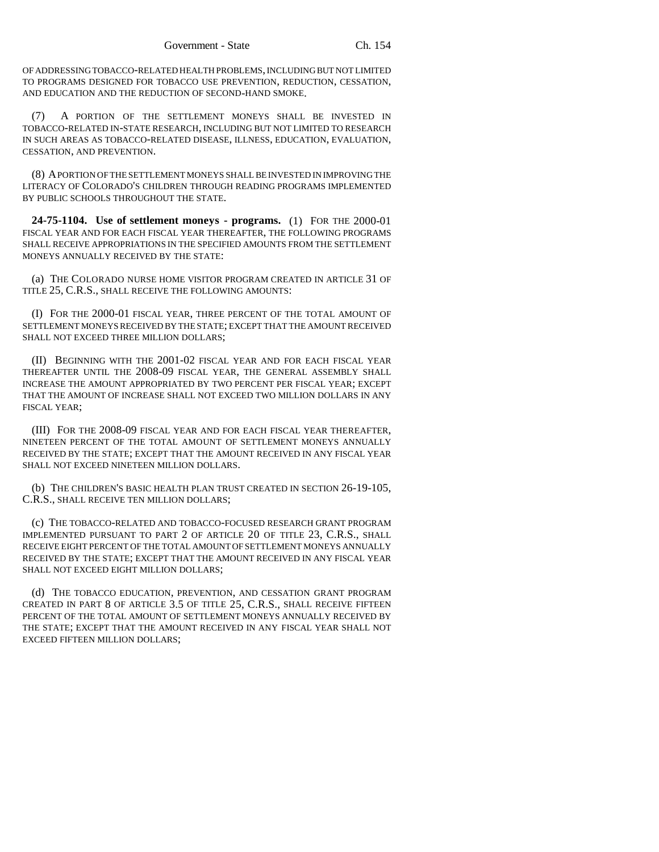OF ADDRESSING TOBACCO-RELATED HEALTH PROBLEMS, INCLUDING BUT NOT LIMITED TO PROGRAMS DESIGNED FOR TOBACCO USE PREVENTION, REDUCTION, CESSATION, AND EDUCATION AND THE REDUCTION OF SECOND-HAND SMOKE.

(7) A PORTION OF THE SETTLEMENT MONEYS SHALL BE INVESTED IN TOBACCO-RELATED IN-STATE RESEARCH, INCLUDING BUT NOT LIMITED TO RESEARCH IN SUCH AREAS AS TOBACCO-RELATED DISEASE, ILLNESS, EDUCATION, EVALUATION, CESSATION, AND PREVENTION.

(8) A PORTION OF THE SETTLEMENT MONEYS SHALL BE INVESTED IN IMPROVING THE LITERACY OF COLORADO'S CHILDREN THROUGH READING PROGRAMS IMPLEMENTED BY PUBLIC SCHOOLS THROUGHOUT THE STATE.

**24-75-1104. Use of settlement moneys - programs.** (1) FOR THE 2000-01 FISCAL YEAR AND FOR EACH FISCAL YEAR THEREAFTER, THE FOLLOWING PROGRAMS SHALL RECEIVE APPROPRIATIONS IN THE SPECIFIED AMOUNTS FROM THE SETTLEMENT MONEYS ANNUALLY RECEIVED BY THE STATE:

(a) THE COLORADO NURSE HOME VISITOR PROGRAM CREATED IN ARTICLE 31 OF TITLE 25, C.R.S., SHALL RECEIVE THE FOLLOWING AMOUNTS:

(I) FOR THE 2000-01 FISCAL YEAR, THREE PERCENT OF THE TOTAL AMOUNT OF SETTLEMENT MONEYS RECEIVED BY THE STATE; EXCEPT THAT THE AMOUNT RECEIVED SHALL NOT EXCEED THREE MILLION DOLLARS;

(II) BEGINNING WITH THE 2001-02 FISCAL YEAR AND FOR EACH FISCAL YEAR THEREAFTER UNTIL THE 2008-09 FISCAL YEAR, THE GENERAL ASSEMBLY SHALL INCREASE THE AMOUNT APPROPRIATED BY TWO PERCENT PER FISCAL YEAR; EXCEPT THAT THE AMOUNT OF INCREASE SHALL NOT EXCEED TWO MILLION DOLLARS IN ANY FISCAL YEAR;

(III) FOR THE 2008-09 FISCAL YEAR AND FOR EACH FISCAL YEAR THEREAFTER, NINETEEN PERCENT OF THE TOTAL AMOUNT OF SETTLEMENT MONEYS ANNUALLY RECEIVED BY THE STATE; EXCEPT THAT THE AMOUNT RECEIVED IN ANY FISCAL YEAR SHALL NOT EXCEED NINETEEN MILLION DOLLARS.

(b) THE CHILDREN'S BASIC HEALTH PLAN TRUST CREATED IN SECTION 26-19-105, C.R.S., SHALL RECEIVE TEN MILLION DOLLARS;

(c) THE TOBACCO-RELATED AND TOBACCO-FOCUSED RESEARCH GRANT PROGRAM IMPLEMENTED PURSUANT TO PART 2 OF ARTICLE 20 OF TITLE 23, C.R.S., SHALL RECEIVE EIGHT PERCENT OF THE TOTAL AMOUNT OF SETTLEMENT MONEYS ANNUALLY RECEIVED BY THE STATE; EXCEPT THAT THE AMOUNT RECEIVED IN ANY FISCAL YEAR SHALL NOT EXCEED EIGHT MILLION DOLLARS;

(d) THE TOBACCO EDUCATION, PREVENTION, AND CESSATION GRANT PROGRAM CREATED IN PART 8 OF ARTICLE 3.5 OF TITLE 25, C.R.S., SHALL RECEIVE FIFTEEN PERCENT OF THE TOTAL AMOUNT OF SETTLEMENT MONEYS ANNUALLY RECEIVED BY THE STATE; EXCEPT THAT THE AMOUNT RECEIVED IN ANY FISCAL YEAR SHALL NOT EXCEED FIFTEEN MILLION DOLLARS;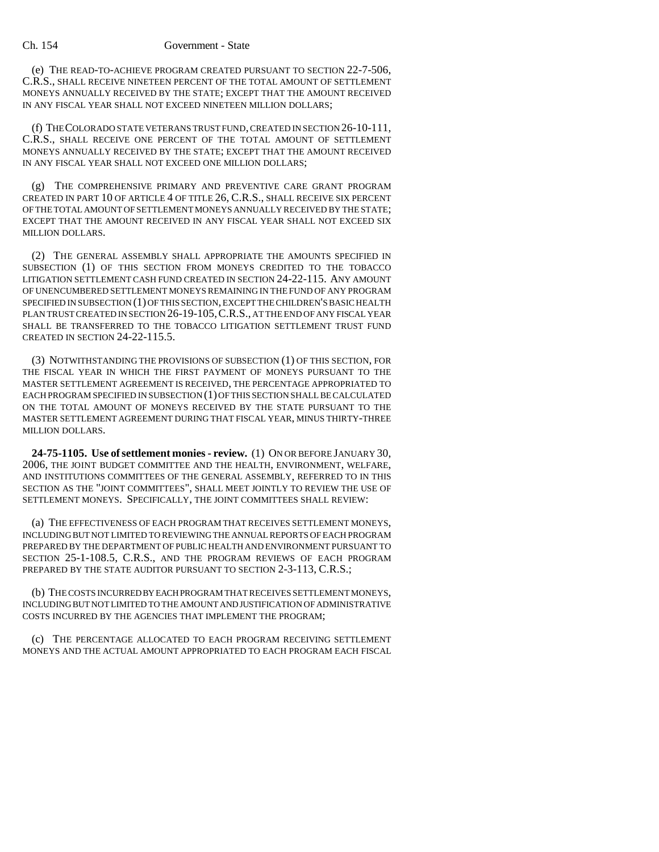(e) THE READ-TO-ACHIEVE PROGRAM CREATED PURSUANT TO SECTION 22-7-506, C.R.S., SHALL RECEIVE NINETEEN PERCENT OF THE TOTAL AMOUNT OF SETTLEMENT MONEYS ANNUALLY RECEIVED BY THE STATE; EXCEPT THAT THE AMOUNT RECEIVED IN ANY FISCAL YEAR SHALL NOT EXCEED NINETEEN MILLION DOLLARS;

(f) THE COLORADO STATE VETERANS TRUST FUND, CREATED IN SECTION 26-10-111, C.R.S., SHALL RECEIVE ONE PERCENT OF THE TOTAL AMOUNT OF SETTLEMENT MONEYS ANNUALLY RECEIVED BY THE STATE; EXCEPT THAT THE AMOUNT RECEIVED IN ANY FISCAL YEAR SHALL NOT EXCEED ONE MILLION DOLLARS;

(g) THE COMPREHENSIVE PRIMARY AND PREVENTIVE CARE GRANT PROGRAM CREATED IN PART 10 OF ARTICLE 4 OF TITLE 26, C.R.S., SHALL RECEIVE SIX PERCENT OF THE TOTAL AMOUNT OF SETTLEMENT MONEYS ANNUALLY RECEIVED BY THE STATE; EXCEPT THAT THE AMOUNT RECEIVED IN ANY FISCAL YEAR SHALL NOT EXCEED SIX MILLION DOLLARS.

(2) THE GENERAL ASSEMBLY SHALL APPROPRIATE THE AMOUNTS SPECIFIED IN SUBSECTION (1) OF THIS SECTION FROM MONEYS CREDITED TO THE TOBACCO LITIGATION SETTLEMENT CASH FUND CREATED IN SECTION 24-22-115. ANY AMOUNT OF UNENCUMBERED SETTLEMENT MONEYS REMAINING IN THE FUND OF ANY PROGRAM SPECIFIED IN SUBSECTION (1) OF THIS SECTION, EXCEPT THE CHILDREN'S BASIC HEALTH PLAN TRUST CREATED IN SECTION 26-19-105,C.R.S., AT THE END OF ANY FISCAL YEAR SHALL BE TRANSFERRED TO THE TOBACCO LITIGATION SETTLEMENT TRUST FUND CREATED IN SECTION 24-22-115.5.

(3) NOTWITHSTANDING THE PROVISIONS OF SUBSECTION (1) OF THIS SECTION, FOR THE FISCAL YEAR IN WHICH THE FIRST PAYMENT OF MONEYS PURSUANT TO THE MASTER SETTLEMENT AGREEMENT IS RECEIVED, THE PERCENTAGE APPROPRIATED TO EACH PROGRAM SPECIFIED IN SUBSECTION (1) OF THIS SECTION SHALL BE CALCULATED ON THE TOTAL AMOUNT OF MONEYS RECEIVED BY THE STATE PURSUANT TO THE MASTER SETTLEMENT AGREEMENT DURING THAT FISCAL YEAR, MINUS THIRTY-THREE MILLION DOLLARS.

**24-75-1105. Use of settlement monies - review.** (1) ON OR BEFORE JANUARY 30, 2006, THE JOINT BUDGET COMMITTEE AND THE HEALTH, ENVIRONMENT, WELFARE, AND INSTITUTIONS COMMITTEES OF THE GENERAL ASSEMBLY, REFERRED TO IN THIS SECTION AS THE "JOINT COMMITTEES", SHALL MEET JOINTLY TO REVIEW THE USE OF SETTLEMENT MONEYS. SPECIFICALLY, THE JOINT COMMITTEES SHALL REVIEW:

(a) THE EFFECTIVENESS OF EACH PROGRAM THAT RECEIVES SETTLEMENT MONEYS, INCLUDING BUT NOT LIMITED TO REVIEWING THE ANNUAL REPORTS OF EACH PROGRAM PREPARED BY THE DEPARTMENT OF PUBLIC HEALTH AND ENVIRONMENT PURSUANT TO SECTION 25-1-108.5, C.R.S., AND THE PROGRAM REVIEWS OF EACH PROGRAM PREPARED BY THE STATE AUDITOR PURSUANT TO SECTION 2-3-113, C.R.S.;

(b) THE COSTS INCURRED BY EACH PROGRAM THAT RECEIVES SETTLEMENT MONEYS, INCLUDING BUT NOT LIMITED TO THE AMOUNT AND JUSTIFICATION OF ADMINISTRATIVE COSTS INCURRED BY THE AGENCIES THAT IMPLEMENT THE PROGRAM;

(c) THE PERCENTAGE ALLOCATED TO EACH PROGRAM RECEIVING SETTLEMENT MONEYS AND THE ACTUAL AMOUNT APPROPRIATED TO EACH PROGRAM EACH FISCAL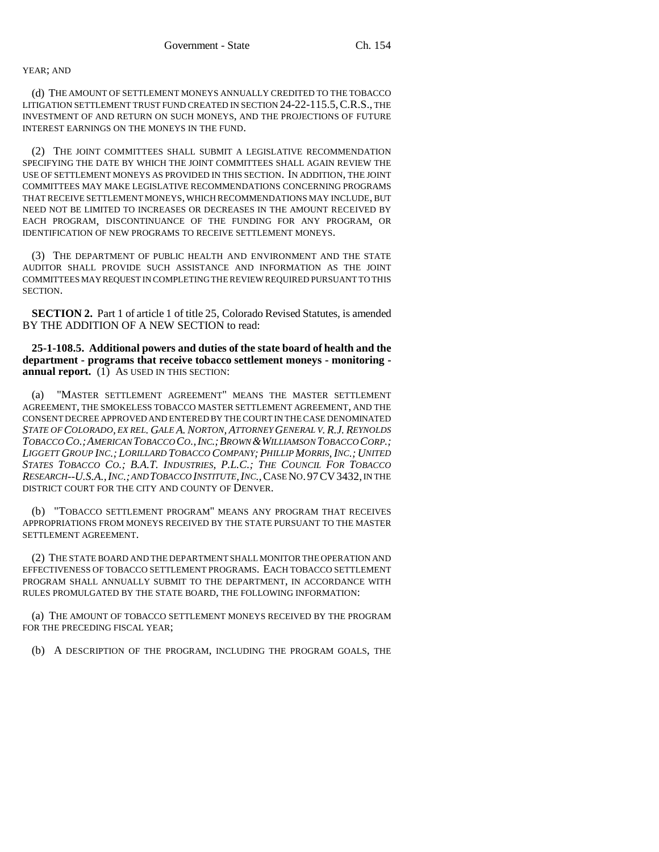### YEAR; AND

(d) THE AMOUNT OF SETTLEMENT MONEYS ANNUALLY CREDITED TO THE TOBACCO LITIGATION SETTLEMENT TRUST FUND CREATED IN SECTION 24-22-115.5,C.R.S., THE INVESTMENT OF AND RETURN ON SUCH MONEYS, AND THE PROJECTIONS OF FUTURE INTEREST EARNINGS ON THE MONEYS IN THE FUND.

(2) THE JOINT COMMITTEES SHALL SUBMIT A LEGISLATIVE RECOMMENDATION SPECIFYING THE DATE BY WHICH THE JOINT COMMITTEES SHALL AGAIN REVIEW THE USE OF SETTLEMENT MONEYS AS PROVIDED IN THIS SECTION. IN ADDITION, THE JOINT COMMITTEES MAY MAKE LEGISLATIVE RECOMMENDATIONS CONCERNING PROGRAMS THAT RECEIVE SETTLEMENT MONEYS, WHICH RECOMMENDATIONS MAY INCLUDE, BUT NEED NOT BE LIMITED TO INCREASES OR DECREASES IN THE AMOUNT RECEIVED BY EACH PROGRAM, DISCONTINUANCE OF THE FUNDING FOR ANY PROGRAM, OR IDENTIFICATION OF NEW PROGRAMS TO RECEIVE SETTLEMENT MONEYS.

(3) THE DEPARTMENT OF PUBLIC HEALTH AND ENVIRONMENT AND THE STATE AUDITOR SHALL PROVIDE SUCH ASSISTANCE AND INFORMATION AS THE JOINT COMMITTEES MAY REQUEST IN COMPLETING THE REVIEW REQUIRED PURSUANT TO THIS SECTION.

**SECTION 2.** Part 1 of article 1 of title 25, Colorado Revised Statutes, is amended BY THE ADDITION OF A NEW SECTION to read:

**25-1-108.5. Additional powers and duties of the state board of health and the department - programs that receive tobacco settlement moneys - monitoring annual report.** (1) AS USED IN THIS SECTION:

(a) "MASTER SETTLEMENT AGREEMENT" MEANS THE MASTER SETTLEMENT AGREEMENT, THE SMOKELESS TOBACCO MASTER SETTLEMENT AGREEMENT, AND THE CONSENT DECREE APPROVED AND ENTERED BY THE COURT IN THE CASE DENOMINATED *STATE OF COLORADO, EX REL. GALE A. NORTON, ATTORNEY GENERAL V. R.J. REYNOLDS TOBACCO CO.;AMERICAN TOBACCO CO.,INC.;BROWN &WILLIAMSON TOBACCO CORP.; LIGGETT GROUP INC.; LORILLARD TOBACCO COMPANY; PHILLIP MORRIS, INC.; UNITED STATES TOBACCO CO.; B.A.T. INDUSTRIES, P.L.C.; THE COUNCIL FOR TOBACCO RESEARCH--U.S.A.,INC.; AND TOBACCO INSTITUTE,INC.*,CASE NO.97CV3432, IN THE DISTRICT COURT FOR THE CITY AND COUNTY OF DENVER.

(b) "TOBACCO SETTLEMENT PROGRAM" MEANS ANY PROGRAM THAT RECEIVES APPROPRIATIONS FROM MONEYS RECEIVED BY THE STATE PURSUANT TO THE MASTER SETTLEMENT AGREEMENT.

(2) THE STATE BOARD AND THE DEPARTMENT SHALL MONITOR THE OPERATION AND EFFECTIVENESS OF TOBACCO SETTLEMENT PROGRAMS. EACH TOBACCO SETTLEMENT PROGRAM SHALL ANNUALLY SUBMIT TO THE DEPARTMENT, IN ACCORDANCE WITH RULES PROMULGATED BY THE STATE BOARD, THE FOLLOWING INFORMATION:

(a) THE AMOUNT OF TOBACCO SETTLEMENT MONEYS RECEIVED BY THE PROGRAM FOR THE PRECEDING FISCAL YEAR;

(b) A DESCRIPTION OF THE PROGRAM, INCLUDING THE PROGRAM GOALS, THE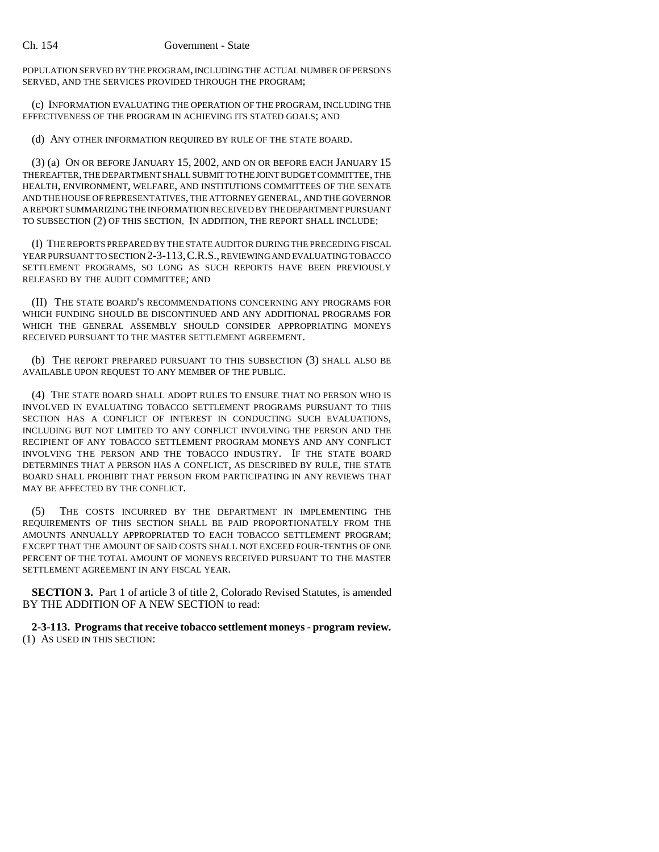POPULATION SERVED BY THE PROGRAM, INCLUDING THE ACTUAL NUMBER OF PERSONS SERVED, AND THE SERVICES PROVIDED THROUGH THE PROGRAM;

(c) INFORMATION EVALUATING THE OPERATION OF THE PROGRAM, INCLUDING THE EFFECTIVENESS OF THE PROGRAM IN ACHIEVING ITS STATED GOALS; AND

(d) ANY OTHER INFORMATION REQUIRED BY RULE OF THE STATE BOARD.

(3) (a) ON OR BEFORE JANUARY 15, 2002, AND ON OR BEFORE EACH JANUARY 15 THEREAFTER, THE DEPARTMENT SHALL SUBMIT TO THE JOINT BUDGET COMMITTEE, THE HEALTH, ENVIRONMENT, WELFARE, AND INSTITUTIONS COMMITTEES OF THE SENATE AND THE HOUSE OF REPRESENTATIVES, THE ATTORNEY GENERAL, AND THE GOVERNOR A REPORT SUMMARIZING THE INFORMATION RECEIVED BY THE DEPARTMENT PURSUANT TO SUBSECTION (2) OF THIS SECTION. IN ADDITION, THE REPORT SHALL INCLUDE:

(I) THE REPORTS PREPARED BY THE STATE AUDITOR DURING THE PRECEDING FISCAL YEAR PURSUANT TO SECTION 2-3-113,C.R.S., REVIEWING AND EVALUATING TOBACCO SETTLEMENT PROGRAMS, SO LONG AS SUCH REPORTS HAVE BEEN PREVIOUSLY RELEASED BY THE AUDIT COMMITTEE; AND

(II) THE STATE BOARD'S RECOMMENDATIONS CONCERNING ANY PROGRAMS FOR WHICH FUNDING SHOULD BE DISCONTINUED AND ANY ADDITIONAL PROGRAMS FOR WHICH THE GENERAL ASSEMBLY SHOULD CONSIDER APPROPRIATING MONEYS RECEIVED PURSUANT TO THE MASTER SETTLEMENT AGREEMENT.

(b) THE REPORT PREPARED PURSUANT TO THIS SUBSECTION (3) SHALL ALSO BE AVAILABLE UPON REQUEST TO ANY MEMBER OF THE PUBLIC.

(4) THE STATE BOARD SHALL ADOPT RULES TO ENSURE THAT NO PERSON WHO IS INVOLVED IN EVALUATING TOBACCO SETTLEMENT PROGRAMS PURSUANT TO THIS SECTION HAS A CONFLICT OF INTEREST IN CONDUCTING SUCH EVALUATIONS, INCLUDING BUT NOT LIMITED TO ANY CONFLICT INVOLVING THE PERSON AND THE RECIPIENT OF ANY TOBACCO SETTLEMENT PROGRAM MONEYS AND ANY CONFLICT INVOLVING THE PERSON AND THE TOBACCO INDUSTRY. IF THE STATE BOARD DETERMINES THAT A PERSON HAS A CONFLICT, AS DESCRIBED BY RULE, THE STATE BOARD SHALL PROHIBIT THAT PERSON FROM PARTICIPATING IN ANY REVIEWS THAT MAY BE AFFECTED BY THE CONFLICT.

(5) THE COSTS INCURRED BY THE DEPARTMENT IN IMPLEMENTING THE REQUIREMENTS OF THIS SECTION SHALL BE PAID PROPORTIONATELY FROM THE AMOUNTS ANNUALLY APPROPRIATED TO EACH TOBACCO SETTLEMENT PROGRAM; EXCEPT THAT THE AMOUNT OF SAID COSTS SHALL NOT EXCEED FOUR-TENTHS OF ONE PERCENT OF THE TOTAL AMOUNT OF MONEYS RECEIVED PURSUANT TO THE MASTER SETTLEMENT AGREEMENT IN ANY FISCAL YEAR.

**SECTION 3.** Part 1 of article 3 of title 2, Colorado Revised Statutes, is amended BY THE ADDITION OF A NEW SECTION to read:

**2-3-113. Programs that receive tobacco settlement moneys - program review.** (1) AS USED IN THIS SECTION: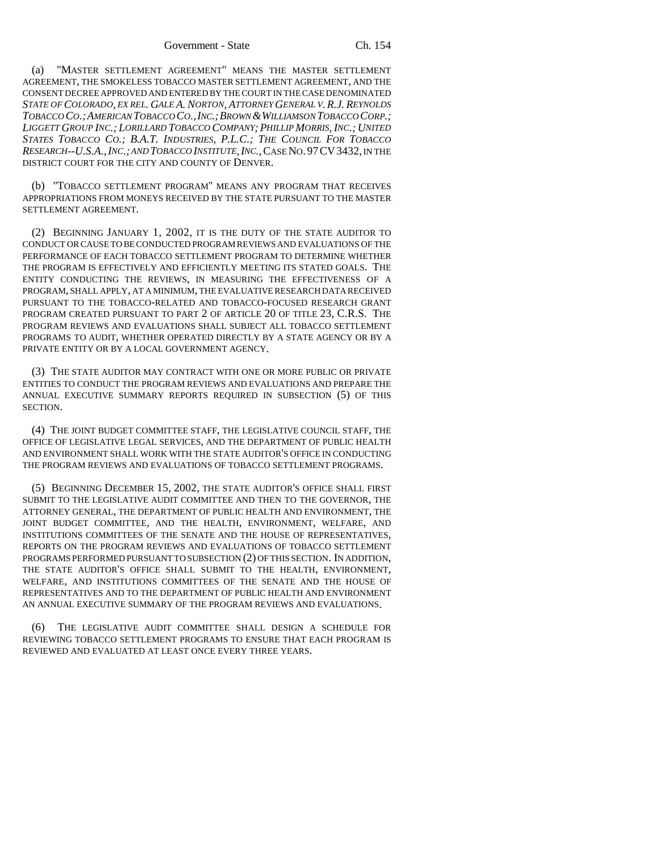(a) "MASTER SETTLEMENT AGREEMENT" MEANS THE MASTER SETTLEMENT AGREEMENT, THE SMOKELESS TOBACCO MASTER SETTLEMENT AGREEMENT, AND THE CONSENT DECREE APPROVED AND ENTERED BY THE COURT IN THE CASE DENOMINATED *STATE OF COLORADO, EX REL. GALE A. NORTON, ATTORNEY GENERAL V. R.J. REYNOLDS TOBACCO CO.;AMERICAN TOBACCO CO.,INC.;BROWN &WILLIAMSON TOBACCO CORP.; LIGGETT GROUP INC.; LORILLARD TOBACCO COMPANY; PHILLIP MORRIS, INC.; UNITED STATES TOBACCO CO.; B.A.T. INDUSTRIES, P.L.C.; THE COUNCIL FOR TOBACCO RESEARCH--U.S.A.,INC.; AND TOBACCO INSTITUTE,INC.*,CASE NO.97CV3432, IN THE DISTRICT COURT FOR THE CITY AND COUNTY OF DENVER.

(b) "TOBACCO SETTLEMENT PROGRAM" MEANS ANY PROGRAM THAT RECEIVES APPROPRIATIONS FROM MONEYS RECEIVED BY THE STATE PURSUANT TO THE MASTER SETTLEMENT AGREEMENT.

(2) BEGINNING JANUARY 1, 2002, IT IS THE DUTY OF THE STATE AUDITOR TO CONDUCT OR CAUSE TO BE CONDUCTED PROGRAM REVIEWS AND EVALUATIONS OF THE PERFORMANCE OF EACH TOBACCO SETTLEMENT PROGRAM TO DETERMINE WHETHER THE PROGRAM IS EFFECTIVELY AND EFFICIENTLY MEETING ITS STATED GOALS. THE ENTITY CONDUCTING THE REVIEWS, IN MEASURING THE EFFECTIVENESS OF A PROGRAM, SHALL APPLY, AT A MINIMUM, THE EVALUATIVE RESEARCH DATA RECEIVED PURSUANT TO THE TOBACCO-RELATED AND TOBACCO-FOCUSED RESEARCH GRANT PROGRAM CREATED PURSUANT TO PART 2 OF ARTICLE 20 OF TITLE 23, C.R.S. THE PROGRAM REVIEWS AND EVALUATIONS SHALL SUBJECT ALL TOBACCO SETTLEMENT PROGRAMS TO AUDIT, WHETHER OPERATED DIRECTLY BY A STATE AGENCY OR BY A PRIVATE ENTITY OR BY A LOCAL GOVERNMENT AGENCY.

(3) THE STATE AUDITOR MAY CONTRACT WITH ONE OR MORE PUBLIC OR PRIVATE ENTITIES TO CONDUCT THE PROGRAM REVIEWS AND EVALUATIONS AND PREPARE THE ANNUAL EXECUTIVE SUMMARY REPORTS REQUIRED IN SUBSECTION (5) OF THIS SECTION.

(4) THE JOINT BUDGET COMMITTEE STAFF, THE LEGISLATIVE COUNCIL STAFF, THE OFFICE OF LEGISLATIVE LEGAL SERVICES, AND THE DEPARTMENT OF PUBLIC HEALTH AND ENVIRONMENT SHALL WORK WITH THE STATE AUDITOR'S OFFICE IN CONDUCTING THE PROGRAM REVIEWS AND EVALUATIONS OF TOBACCO SETTLEMENT PROGRAMS.

(5) BEGINNING DECEMBER 15, 2002, THE STATE AUDITOR'S OFFICE SHALL FIRST SUBMIT TO THE LEGISLATIVE AUDIT COMMITTEE AND THEN TO THE GOVERNOR, THE ATTORNEY GENERAL, THE DEPARTMENT OF PUBLIC HEALTH AND ENVIRONMENT, THE JOINT BUDGET COMMITTEE, AND THE HEALTH, ENVIRONMENT, WELFARE, AND INSTITUTIONS COMMITTEES OF THE SENATE AND THE HOUSE OF REPRESENTATIVES, REPORTS ON THE PROGRAM REVIEWS AND EVALUATIONS OF TOBACCO SETTLEMENT PROGRAMS PERFORMED PURSUANT TO SUBSECTION (2) OF THIS SECTION. IN ADDITION, THE STATE AUDITOR'S OFFICE SHALL SUBMIT TO THE HEALTH, ENVIRONMENT, WELFARE, AND INSTITUTIONS COMMITTEES OF THE SENATE AND THE HOUSE OF REPRESENTATIVES AND TO THE DEPARTMENT OF PUBLIC HEALTH AND ENVIRONMENT AN ANNUAL EXECUTIVE SUMMARY OF THE PROGRAM REVIEWS AND EVALUATIONS.

THE LEGISLATIVE AUDIT COMMITTEE SHALL DESIGN A SCHEDULE FOR REVIEWING TOBACCO SETTLEMENT PROGRAMS TO ENSURE THAT EACH PROGRAM IS REVIEWED AND EVALUATED AT LEAST ONCE EVERY THREE YEARS.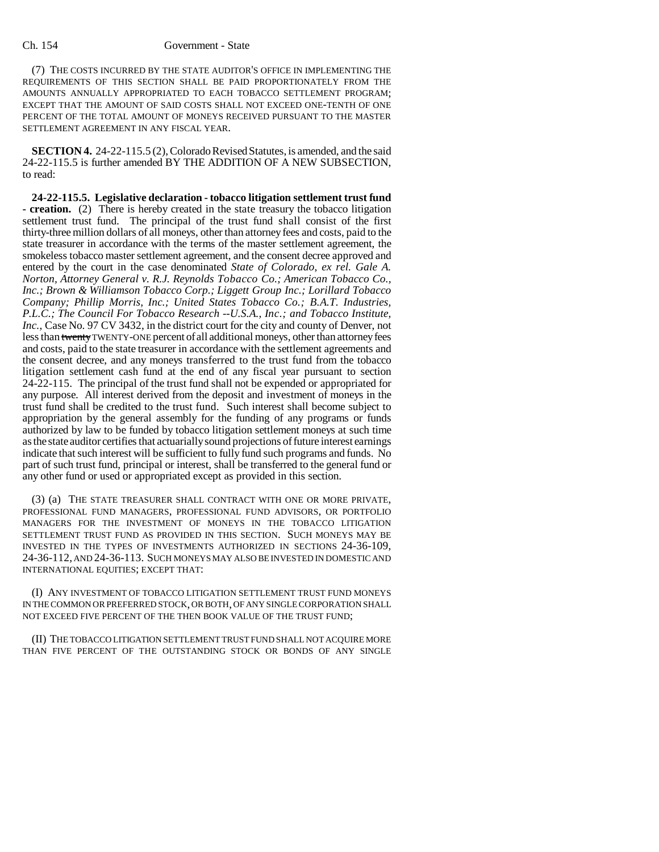(7) THE COSTS INCURRED BY THE STATE AUDITOR'S OFFICE IN IMPLEMENTING THE REQUIREMENTS OF THIS SECTION SHALL BE PAID PROPORTIONATELY FROM THE AMOUNTS ANNUALLY APPROPRIATED TO EACH TOBACCO SETTLEMENT PROGRAM; EXCEPT THAT THE AMOUNT OF SAID COSTS SHALL NOT EXCEED ONE-TENTH OF ONE PERCENT OF THE TOTAL AMOUNT OF MONEYS RECEIVED PURSUANT TO THE MASTER SETTLEMENT AGREEMENT IN ANY FISCAL YEAR.

**SECTION 4.** 24-22-115.5 (2), Colorado Revised Statutes, is amended, and the said 24-22-115.5 is further amended BY THE ADDITION OF A NEW SUBSECTION, to read:

**24-22-115.5. Legislative declaration - tobacco litigation settlement trust fund - creation.** (2) There is hereby created in the state treasury the tobacco litigation settlement trust fund. The principal of the trust fund shall consist of the first thirty-three million dollars of all moneys, other than attorney fees and costs, paid to the state treasurer in accordance with the terms of the master settlement agreement, the smokeless tobacco master settlement agreement, and the consent decree approved and entered by the court in the case denominated *State of Colorado, ex rel. Gale A. Norton, Attorney General v. R.J. Reynolds Tobacco Co.; American Tobacco Co., Inc.; Brown & Williamson Tobacco Corp.; Liggett Group Inc.; Lorillard Tobacco Company; Phillip Morris, Inc.; United States Tobacco Co.; B.A.T. Industries, P.L.C.; The Council For Tobacco Research --U.S.A., Inc.; and Tobacco Institute, Inc.*, Case No. 97 CV 3432, in the district court for the city and county of Denver, not less than twenty TWENTY-ONE percent of all additional moneys, other than attorney fees and costs, paid to the state treasurer in accordance with the settlement agreements and the consent decree, and any moneys transferred to the trust fund from the tobacco litigation settlement cash fund at the end of any fiscal year pursuant to section 24-22-115. The principal of the trust fund shall not be expended or appropriated for any purpose. All interest derived from the deposit and investment of moneys in the trust fund shall be credited to the trust fund. Such interest shall become subject to appropriation by the general assembly for the funding of any programs or funds authorized by law to be funded by tobacco litigation settlement moneys at such time as the state auditor certifies that actuarially sound projections of future interest earnings indicate that such interest will be sufficient to fully fund such programs and funds. No part of such trust fund, principal or interest, shall be transferred to the general fund or any other fund or used or appropriated except as provided in this section.

(3) (a) THE STATE TREASURER SHALL CONTRACT WITH ONE OR MORE PRIVATE, PROFESSIONAL FUND MANAGERS, PROFESSIONAL FUND ADVISORS, OR PORTFOLIO MANAGERS FOR THE INVESTMENT OF MONEYS IN THE TOBACCO LITIGATION SETTLEMENT TRUST FUND AS PROVIDED IN THIS SECTION. SUCH MONEYS MAY BE INVESTED IN THE TYPES OF INVESTMENTS AUTHORIZED IN SECTIONS 24-36-109, 24-36-112, AND 24-36-113. SUCH MONEYS MAY ALSO BE INVESTED IN DOMESTIC AND INTERNATIONAL EQUITIES; EXCEPT THAT:

(I) ANY INVESTMENT OF TOBACCO LITIGATION SETTLEMENT TRUST FUND MONEYS IN THE COMMON OR PREFERRED STOCK, OR BOTH, OF ANY SINGLE CORPORATION SHALL NOT EXCEED FIVE PERCENT OF THE THEN BOOK VALUE OF THE TRUST FUND;

(II) THE TOBACCO LITIGATION SETTLEMENT TRUST FUND SHALL NOT ACQUIRE MORE THAN FIVE PERCENT OF THE OUTSTANDING STOCK OR BONDS OF ANY SINGLE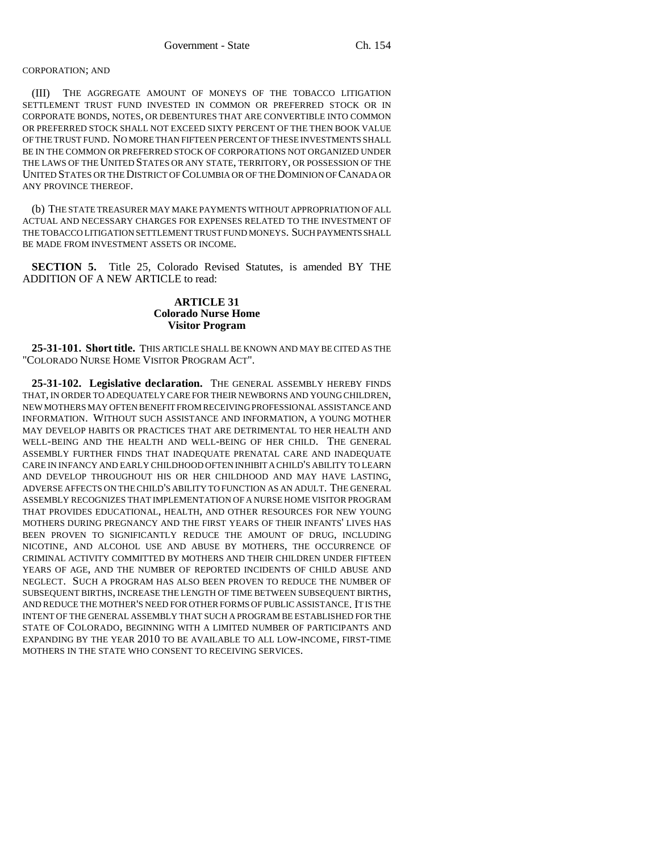#### CORPORATION; AND

(III) THE AGGREGATE AMOUNT OF MONEYS OF THE TOBACCO LITIGATION SETTLEMENT TRUST FUND INVESTED IN COMMON OR PREFERRED STOCK OR IN CORPORATE BONDS, NOTES, OR DEBENTURES THAT ARE CONVERTIBLE INTO COMMON OR PREFERRED STOCK SHALL NOT EXCEED SIXTY PERCENT OF THE THEN BOOK VALUE OF THE TRUST FUND. NO MORE THAN FIFTEEN PERCENT OF THESE INVESTMENTS SHALL BE IN THE COMMON OR PREFERRED STOCK OF CORPORATIONS NOT ORGANIZED UNDER THE LAWS OF THE UNITED STATES OR ANY STATE, TERRITORY, OR POSSESSION OF THE UNITED STATES OR THE DISTRICT OF COLUMBIA OR OF THE DOMINION OF CANADA OR ANY PROVINCE THEREOF.

(b) THE STATE TREASURER MAY MAKE PAYMENTS WITHOUT APPROPRIATION OF ALL ACTUAL AND NECESSARY CHARGES FOR EXPENSES RELATED TO THE INVESTMENT OF THE TOBACCO LITIGATION SETTLEMENT TRUST FUND MONEYS. SUCH PAYMENTS SHALL BE MADE FROM INVESTMENT ASSETS OR INCOME.

**SECTION 5.** Title 25, Colorado Revised Statutes, is amended BY THE ADDITION OF A NEW ARTICLE to read:

# **ARTICLE 31 Colorado Nurse Home Visitor Program**

**25-31-101. Short title.** THIS ARTICLE SHALL BE KNOWN AND MAY BE CITED AS THE "COLORADO NURSE HOME VISITOR PROGRAM ACT".

**25-31-102. Legislative declaration.** THE GENERAL ASSEMBLY HEREBY FINDS THAT, IN ORDER TO ADEQUATELY CARE FOR THEIR NEWBORNS AND YOUNG CHILDREN, NEW MOTHERS MAY OFTEN BENEFIT FROM RECEIVING PROFESSIONAL ASSISTANCE AND INFORMATION. WITHOUT SUCH ASSISTANCE AND INFORMATION, A YOUNG MOTHER MAY DEVELOP HABITS OR PRACTICES THAT ARE DETRIMENTAL TO HER HEALTH AND WELL-BEING AND THE HEALTH AND WELL-BEING OF HER CHILD. THE GENERAL ASSEMBLY FURTHER FINDS THAT INADEQUATE PRENATAL CARE AND INADEQUATE CARE IN INFANCY AND EARLY CHILDHOOD OFTEN INHIBIT A CHILD'S ABILITY TO LEARN AND DEVELOP THROUGHOUT HIS OR HER CHILDHOOD AND MAY HAVE LASTING, ADVERSE AFFECTS ON THE CHILD'S ABILITY TO FUNCTION AS AN ADULT. THE GENERAL ASSEMBLY RECOGNIZES THAT IMPLEMENTATION OF A NURSE HOME VISITOR PROGRAM THAT PROVIDES EDUCATIONAL, HEALTH, AND OTHER RESOURCES FOR NEW YOUNG MOTHERS DURING PREGNANCY AND THE FIRST YEARS OF THEIR INFANTS' LIVES HAS BEEN PROVEN TO SIGNIFICANTLY REDUCE THE AMOUNT OF DRUG, INCLUDING NICOTINE, AND ALCOHOL USE AND ABUSE BY MOTHERS, THE OCCURRENCE OF CRIMINAL ACTIVITY COMMITTED BY MOTHERS AND THEIR CHILDREN UNDER FIFTEEN YEARS OF AGE, AND THE NUMBER OF REPORTED INCIDENTS OF CHILD ABUSE AND NEGLECT. SUCH A PROGRAM HAS ALSO BEEN PROVEN TO REDUCE THE NUMBER OF SUBSEQUENT BIRTHS, INCREASE THE LENGTH OF TIME BETWEEN SUBSEQUENT BIRTHS, AND REDUCE THE MOTHER'S NEED FOR OTHER FORMS OF PUBLIC ASSISTANCE. IT IS THE INTENT OF THE GENERAL ASSEMBLY THAT SUCH A PROGRAM BE ESTABLISHED FOR THE STATE OF COLORADO, BEGINNING WITH A LIMITED NUMBER OF PARTICIPANTS AND EXPANDING BY THE YEAR 2010 TO BE AVAILABLE TO ALL LOW-INCOME, FIRST-TIME MOTHERS IN THE STATE WHO CONSENT TO RECEIVING SERVICES.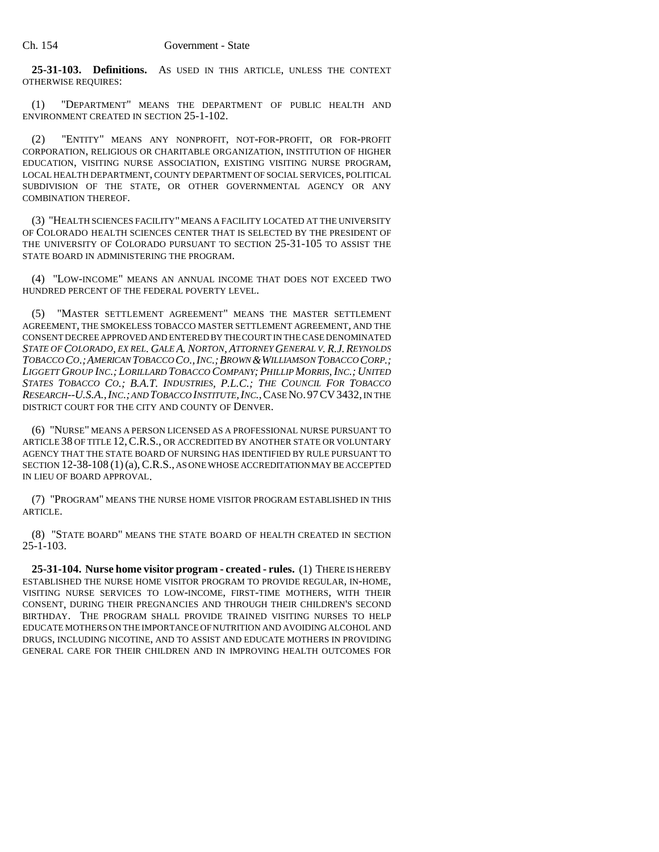**25-31-103. Definitions.** AS USED IN THIS ARTICLE, UNLESS THE CONTEXT OTHERWISE REQUIRES:

(1) "DEPARTMENT" MEANS THE DEPARTMENT OF PUBLIC HEALTH AND ENVIRONMENT CREATED IN SECTION 25-1-102.

(2) "ENTITY" MEANS ANY NONPROFIT, NOT-FOR-PROFIT, OR FOR-PROFIT CORPORATION, RELIGIOUS OR CHARITABLE ORGANIZATION, INSTITUTION OF HIGHER EDUCATION, VISITING NURSE ASSOCIATION, EXISTING VISITING NURSE PROGRAM, LOCAL HEALTH DEPARTMENT, COUNTY DEPARTMENT OF SOCIAL SERVICES, POLITICAL SUBDIVISION OF THE STATE, OR OTHER GOVERNMENTAL AGENCY OR ANY COMBINATION THEREOF.

(3) "HEALTH SCIENCES FACILITY" MEANS A FACILITY LOCATED AT THE UNIVERSITY OF COLORADO HEALTH SCIENCES CENTER THAT IS SELECTED BY THE PRESIDENT OF THE UNIVERSITY OF COLORADO PURSUANT TO SECTION 25-31-105 TO ASSIST THE STATE BOARD IN ADMINISTERING THE PROGRAM.

(4) "LOW-INCOME" MEANS AN ANNUAL INCOME THAT DOES NOT EXCEED TWO HUNDRED PERCENT OF THE FEDERAL POVERTY LEVEL.

(5) "MASTER SETTLEMENT AGREEMENT" MEANS THE MASTER SETTLEMENT AGREEMENT, THE SMOKELESS TOBACCO MASTER SETTLEMENT AGREEMENT, AND THE CONSENT DECREE APPROVED AND ENTERED BY THE COURT IN THE CASE DENOMINATED *STATE OF COLORADO, EX REL. GALE A. NORTON, ATTORNEY GENERAL V. R.J.REYNOLDS TOBACCO CO.;AMERICAN TOBACCO CO.,INC.;BROWN &WILLIAMSON TOBACCO CORP.; LIGGETT GROUP INC.; LORILLARD TOBACCO COMPANY; PHILLIP MORRIS, INC.; UNITED STATES TOBACCO CO.; B.A.T. INDUSTRIES, P.L.C.; THE COUNCIL FOR TOBACCO RESEARCH--U.S.A.,INC.; AND TOBACCO INSTITUTE,INC.*,CASE NO.97CV3432, IN THE DISTRICT COURT FOR THE CITY AND COUNTY OF DENVER.

(6) "NURSE" MEANS A PERSON LICENSED AS A PROFESSIONAL NURSE PURSUANT TO ARTICLE 38 OF TITLE 12, C.R.S., OR ACCREDITED BY ANOTHER STATE OR VOLUNTARY AGENCY THAT THE STATE BOARD OF NURSING HAS IDENTIFIED BY RULE PURSUANT TO SECTION 12-38-108 (1) (a), C.R.S., AS ONE WHOSE ACCREDITATION MAY BE ACCEPTED IN LIEU OF BOARD APPROVAL.

(7) "PROGRAM" MEANS THE NURSE HOME VISITOR PROGRAM ESTABLISHED IN THIS ARTICLE.

(8) "STATE BOARD" MEANS THE STATE BOARD OF HEALTH CREATED IN SECTION  $25 - 1 - 103$ .

**25-31-104. Nurse home visitor program - created - rules.** (1) THERE IS HEREBY ESTABLISHED THE NURSE HOME VISITOR PROGRAM TO PROVIDE REGULAR, IN-HOME, VISITING NURSE SERVICES TO LOW-INCOME, FIRST-TIME MOTHERS, WITH THEIR CONSENT, DURING THEIR PREGNANCIES AND THROUGH THEIR CHILDREN'S SECOND BIRTHDAY. THE PROGRAM SHALL PROVIDE TRAINED VISITING NURSES TO HELP EDUCATE MOTHERS ON THE IMPORTANCE OF NUTRITION AND AVOIDING ALCOHOL AND DRUGS, INCLUDING NICOTINE, AND TO ASSIST AND EDUCATE MOTHERS IN PROVIDING GENERAL CARE FOR THEIR CHILDREN AND IN IMPROVING HEALTH OUTCOMES FOR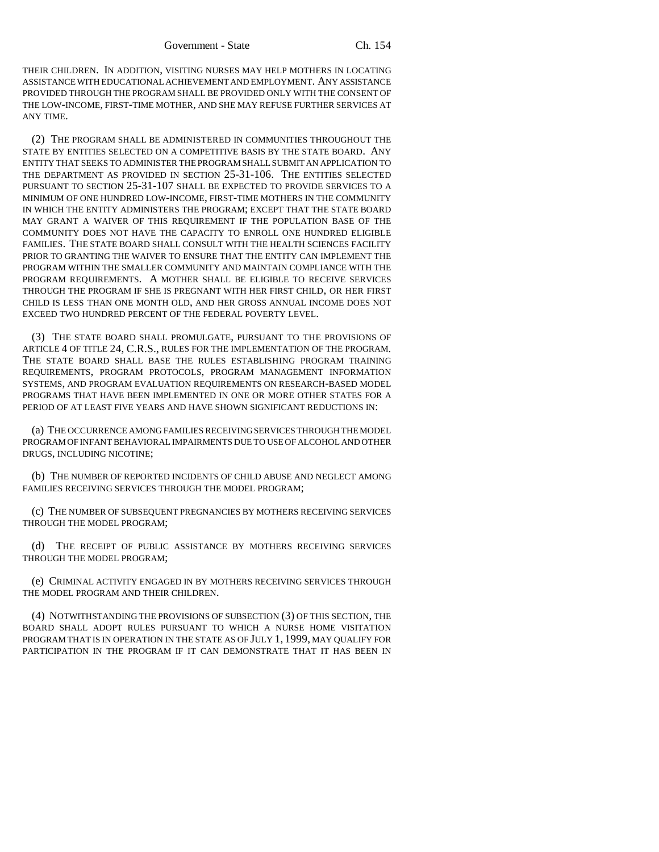THEIR CHILDREN. IN ADDITION, VISITING NURSES MAY HELP MOTHERS IN LOCATING ASSISTANCE WITH EDUCATIONAL ACHIEVEMENT AND EMPLOYMENT. ANY ASSISTANCE PROVIDED THROUGH THE PROGRAM SHALL BE PROVIDED ONLY WITH THE CONSENT OF THE LOW-INCOME, FIRST-TIME MOTHER, AND SHE MAY REFUSE FURTHER SERVICES AT ANY TIME.

(2) THE PROGRAM SHALL BE ADMINISTERED IN COMMUNITIES THROUGHOUT THE STATE BY ENTITIES SELECTED ON A COMPETITIVE BASIS BY THE STATE BOARD. ANY ENTITY THAT SEEKS TO ADMINISTER THE PROGRAM SHALL SUBMIT AN APPLICATION TO THE DEPARTMENT AS PROVIDED IN SECTION 25-31-106. THE ENTITIES SELECTED PURSUANT TO SECTION 25-31-107 SHALL BE EXPECTED TO PROVIDE SERVICES TO A MINIMUM OF ONE HUNDRED LOW-INCOME, FIRST-TIME MOTHERS IN THE COMMUNITY IN WHICH THE ENTITY ADMINISTERS THE PROGRAM; EXCEPT THAT THE STATE BOARD MAY GRANT A WAIVER OF THIS REQUIREMENT IF THE POPULATION BASE OF THE COMMUNITY DOES NOT HAVE THE CAPACITY TO ENROLL ONE HUNDRED ELIGIBLE FAMILIES. THE STATE BOARD SHALL CONSULT WITH THE HEALTH SCIENCES FACILITY PRIOR TO GRANTING THE WAIVER TO ENSURE THAT THE ENTITY CAN IMPLEMENT THE PROGRAM WITHIN THE SMALLER COMMUNITY AND MAINTAIN COMPLIANCE WITH THE PROGRAM REQUIREMENTS. A MOTHER SHALL BE ELIGIBLE TO RECEIVE SERVICES THROUGH THE PROGRAM IF SHE IS PREGNANT WITH HER FIRST CHILD, OR HER FIRST CHILD IS LESS THAN ONE MONTH OLD, AND HER GROSS ANNUAL INCOME DOES NOT EXCEED TWO HUNDRED PERCENT OF THE FEDERAL POVERTY LEVEL.

(3) THE STATE BOARD SHALL PROMULGATE, PURSUANT TO THE PROVISIONS OF ARTICLE 4 OF TITLE 24, C.R.S., RULES FOR THE IMPLEMENTATION OF THE PROGRAM. THE STATE BOARD SHALL BASE THE RULES ESTABLISHING PROGRAM TRAINING REQUIREMENTS, PROGRAM PROTOCOLS, PROGRAM MANAGEMENT INFORMATION SYSTEMS, AND PROGRAM EVALUATION REQUIREMENTS ON RESEARCH-BASED MODEL PROGRAMS THAT HAVE BEEN IMPLEMENTED IN ONE OR MORE OTHER STATES FOR A PERIOD OF AT LEAST FIVE YEARS AND HAVE SHOWN SIGNIFICANT REDUCTIONS IN:

(a) THE OCCURRENCE AMONG FAMILIES RECEIVING SERVICES THROUGH THE MODEL PROGRAM OF INFANT BEHAVIORAL IMPAIRMENTS DUE TO USE OF ALCOHOL AND OTHER DRUGS, INCLUDING NICOTINE;

(b) THE NUMBER OF REPORTED INCIDENTS OF CHILD ABUSE AND NEGLECT AMONG FAMILIES RECEIVING SERVICES THROUGH THE MODEL PROGRAM;

(c) THE NUMBER OF SUBSEQUENT PREGNANCIES BY MOTHERS RECEIVING SERVICES THROUGH THE MODEL PROGRAM;

(d) THE RECEIPT OF PUBLIC ASSISTANCE BY MOTHERS RECEIVING SERVICES THROUGH THE MODEL PROGRAM;

(e) CRIMINAL ACTIVITY ENGAGED IN BY MOTHERS RECEIVING SERVICES THROUGH THE MODEL PROGRAM AND THEIR CHILDREN.

(4) NOTWITHSTANDING THE PROVISIONS OF SUBSECTION (3) OF THIS SECTION, THE BOARD SHALL ADOPT RULES PURSUANT TO WHICH A NURSE HOME VISITATION PROGRAM THAT IS IN OPERATION IN THE STATE AS OF JULY 1, 1999, MAY QUALIFY FOR PARTICIPATION IN THE PROGRAM IF IT CAN DEMONSTRATE THAT IT HAS BEEN IN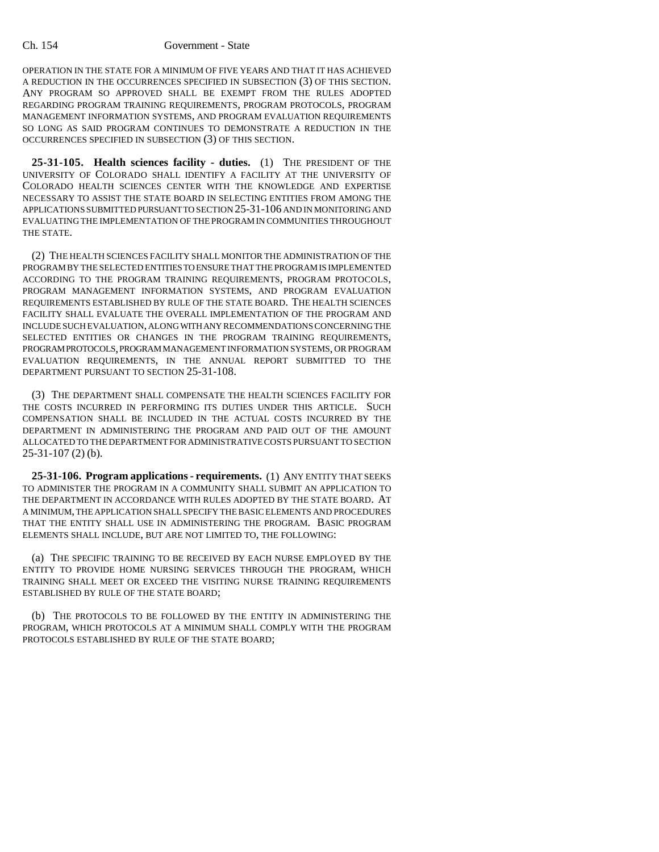OPERATION IN THE STATE FOR A MINIMUM OF FIVE YEARS AND THAT IT HAS ACHIEVED A REDUCTION IN THE OCCURRENCES SPECIFIED IN SUBSECTION (3) OF THIS SECTION. ANY PROGRAM SO APPROVED SHALL BE EXEMPT FROM THE RULES ADOPTED REGARDING PROGRAM TRAINING REQUIREMENTS, PROGRAM PROTOCOLS, PROGRAM MANAGEMENT INFORMATION SYSTEMS, AND PROGRAM EVALUATION REQUIREMENTS SO LONG AS SAID PROGRAM CONTINUES TO DEMONSTRATE A REDUCTION IN THE OCCURRENCES SPECIFIED IN SUBSECTION (3) OF THIS SECTION.

**25-31-105. Health sciences facility - duties.** (1) THE PRESIDENT OF THE UNIVERSITY OF COLORADO SHALL IDENTIFY A FACILITY AT THE UNIVERSITY OF COLORADO HEALTH SCIENCES CENTER WITH THE KNOWLEDGE AND EXPERTISE NECESSARY TO ASSIST THE STATE BOARD IN SELECTING ENTITIES FROM AMONG THE APPLICATIONS SUBMITTED PURSUANT TO SECTION 25-31-106 AND IN MONITORING AND EVALUATING THE IMPLEMENTATION OF THE PROGRAM IN COMMUNITIES THROUGHOUT THE STATE.

(2) THE HEALTH SCIENCES FACILITY SHALL MONITOR THE ADMINISTRATION OF THE PROGRAM BY THE SELECTED ENTITIES TO ENSURE THAT THE PROGRAM IS IMPLEMENTED ACCORDING TO THE PROGRAM TRAINING REQUIREMENTS, PROGRAM PROTOCOLS, PROGRAM MANAGEMENT INFORMATION SYSTEMS, AND PROGRAM EVALUATION REQUIREMENTS ESTABLISHED BY RULE OF THE STATE BOARD. THE HEALTH SCIENCES FACILITY SHALL EVALUATE THE OVERALL IMPLEMENTATION OF THE PROGRAM AND INCLUDE SUCH EVALUATION, ALONG WITH ANY RECOMMENDATIONS CONCERNING THE SELECTED ENTITIES OR CHANGES IN THE PROGRAM TRAINING REQUIREMENTS, PROGRAM PROTOCOLS, PROGRAM MANAGEMENT INFORMATION SYSTEMS, OR PROGRAM EVALUATION REQUIREMENTS, IN THE ANNUAL REPORT SUBMITTED TO THE DEPARTMENT PURSUANT TO SECTION 25-31-108.

(3) THE DEPARTMENT SHALL COMPENSATE THE HEALTH SCIENCES FACILITY FOR THE COSTS INCURRED IN PERFORMING ITS DUTIES UNDER THIS ARTICLE. SUCH COMPENSATION SHALL BE INCLUDED IN THE ACTUAL COSTS INCURRED BY THE DEPARTMENT IN ADMINISTERING THE PROGRAM AND PAID OUT OF THE AMOUNT ALLOCATED TO THE DEPARTMENT FOR ADMINISTRATIVE COSTS PURSUANT TO SECTION 25-31-107 (2) (b).

**25-31-106. Program applications - requirements.** (1) ANY ENTITY THAT SEEKS TO ADMINISTER THE PROGRAM IN A COMMUNITY SHALL SUBMIT AN APPLICATION TO THE DEPARTMENT IN ACCORDANCE WITH RULES ADOPTED BY THE STATE BOARD. AT A MINIMUM, THE APPLICATION SHALL SPECIFY THE BASIC ELEMENTS AND PROCEDURES THAT THE ENTITY SHALL USE IN ADMINISTERING THE PROGRAM. BASIC PROGRAM ELEMENTS SHALL INCLUDE, BUT ARE NOT LIMITED TO, THE FOLLOWING:

(a) THE SPECIFIC TRAINING TO BE RECEIVED BY EACH NURSE EMPLOYED BY THE ENTITY TO PROVIDE HOME NURSING SERVICES THROUGH THE PROGRAM, WHICH TRAINING SHALL MEET OR EXCEED THE VISITING NURSE TRAINING REQUIREMENTS ESTABLISHED BY RULE OF THE STATE BOARD;

(b) THE PROTOCOLS TO BE FOLLOWED BY THE ENTITY IN ADMINISTERING THE PROGRAM, WHICH PROTOCOLS AT A MINIMUM SHALL COMPLY WITH THE PROGRAM PROTOCOLS ESTABLISHED BY RULE OF THE STATE BOARD;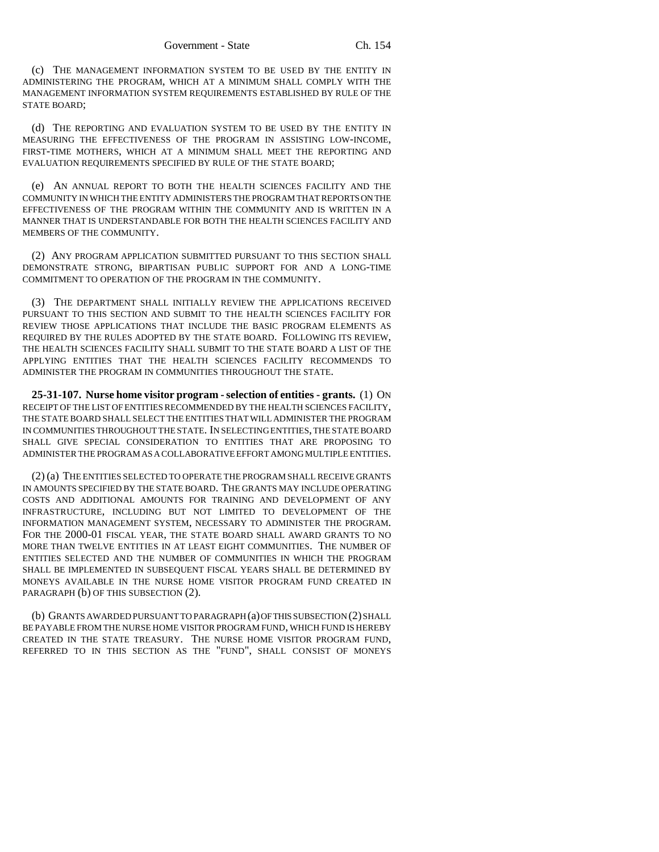(c) THE MANAGEMENT INFORMATION SYSTEM TO BE USED BY THE ENTITY IN ADMINISTERING THE PROGRAM, WHICH AT A MINIMUM SHALL COMPLY WITH THE MANAGEMENT INFORMATION SYSTEM REQUIREMENTS ESTABLISHED BY RULE OF THE STATE BOARD;

(d) THE REPORTING AND EVALUATION SYSTEM TO BE USED BY THE ENTITY IN MEASURING THE EFFECTIVENESS OF THE PROGRAM IN ASSISTING LOW-INCOME, FIRST-TIME MOTHERS, WHICH AT A MINIMUM SHALL MEET THE REPORTING AND EVALUATION REQUIREMENTS SPECIFIED BY RULE OF THE STATE BOARD;

(e) AN ANNUAL REPORT TO BOTH THE HEALTH SCIENCES FACILITY AND THE COMMUNITY IN WHICH THE ENTITY ADMINISTERS THE PROGRAM THAT REPORTS ON THE EFFECTIVENESS OF THE PROGRAM WITHIN THE COMMUNITY AND IS WRITTEN IN A MANNER THAT IS UNDERSTANDABLE FOR BOTH THE HEALTH SCIENCES FACILITY AND MEMBERS OF THE COMMUNITY.

(2) ANY PROGRAM APPLICATION SUBMITTED PURSUANT TO THIS SECTION SHALL DEMONSTRATE STRONG, BIPARTISAN PUBLIC SUPPORT FOR AND A LONG-TIME COMMITMENT TO OPERATION OF THE PROGRAM IN THE COMMUNITY.

(3) THE DEPARTMENT SHALL INITIALLY REVIEW THE APPLICATIONS RECEIVED PURSUANT TO THIS SECTION AND SUBMIT TO THE HEALTH SCIENCES FACILITY FOR REVIEW THOSE APPLICATIONS THAT INCLUDE THE BASIC PROGRAM ELEMENTS AS REQUIRED BY THE RULES ADOPTED BY THE STATE BOARD. FOLLOWING ITS REVIEW, THE HEALTH SCIENCES FACILITY SHALL SUBMIT TO THE STATE BOARD A LIST OF THE APPLYING ENTITIES THAT THE HEALTH SCIENCES FACILITY RECOMMENDS TO ADMINISTER THE PROGRAM IN COMMUNITIES THROUGHOUT THE STATE.

**25-31-107. Nurse home visitor program - selection of entities - grants.** (1) ON RECEIPT OF THE LIST OF ENTITIES RECOMMENDED BY THE HEALTH SCIENCES FACILITY, THE STATE BOARD SHALL SELECT THE ENTITIES THAT WILL ADMINISTER THE PROGRAM IN COMMUNITIES THROUGHOUT THE STATE. IN SELECTING ENTITIES, THE STATE BOARD SHALL GIVE SPECIAL CONSIDERATION TO ENTITIES THAT ARE PROPOSING TO ADMINISTER THE PROGRAM AS A COLLABORATIVE EFFORT AMONG MULTIPLE ENTITIES.

(2) (a) THE ENTITIES SELECTED TO OPERATE THE PROGRAM SHALL RECEIVE GRANTS IN AMOUNTS SPECIFIED BY THE STATE BOARD. THE GRANTS MAY INCLUDE OPERATING COSTS AND ADDITIONAL AMOUNTS FOR TRAINING AND DEVELOPMENT OF ANY INFRASTRUCTURE, INCLUDING BUT NOT LIMITED TO DEVELOPMENT OF THE INFORMATION MANAGEMENT SYSTEM, NECESSARY TO ADMINISTER THE PROGRAM. FOR THE 2000-01 FISCAL YEAR, THE STATE BOARD SHALL AWARD GRANTS TO NO MORE THAN TWELVE ENTITIES IN AT LEAST EIGHT COMMUNITIES. THE NUMBER OF ENTITIES SELECTED AND THE NUMBER OF COMMUNITIES IN WHICH THE PROGRAM SHALL BE IMPLEMENTED IN SUBSEQUENT FISCAL YEARS SHALL BE DETERMINED BY MONEYS AVAILABLE IN THE NURSE HOME VISITOR PROGRAM FUND CREATED IN PARAGRAPH (b) OF THIS SUBSECTION (2).

(b) GRANTS AWARDED PURSUANT TO PARAGRAPH (a) OF THIS SUBSECTION (2) SHALL BE PAYABLE FROM THE NURSE HOME VISITOR PROGRAM FUND, WHICH FUND IS HEREBY CREATED IN THE STATE TREASURY. THE NURSE HOME VISITOR PROGRAM FUND, REFERRED TO IN THIS SECTION AS THE "FUND", SHALL CONSIST OF MONEYS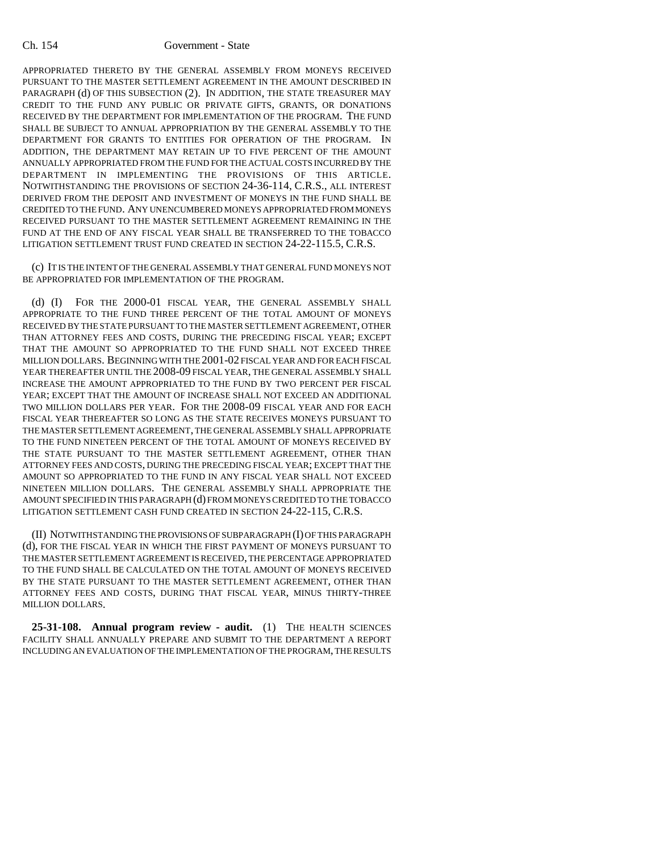APPROPRIATED THERETO BY THE GENERAL ASSEMBLY FROM MONEYS RECEIVED PURSUANT TO THE MASTER SETTLEMENT AGREEMENT IN THE AMOUNT DESCRIBED IN PARAGRAPH (d) OF THIS SUBSECTION (2). IN ADDITION, THE STATE TREASURER MAY CREDIT TO THE FUND ANY PUBLIC OR PRIVATE GIFTS, GRANTS, OR DONATIONS RECEIVED BY THE DEPARTMENT FOR IMPLEMENTATION OF THE PROGRAM. THE FUND SHALL BE SUBJECT TO ANNUAL APPROPRIATION BY THE GENERAL ASSEMBLY TO THE DEPARTMENT FOR GRANTS TO ENTITIES FOR OPERATION OF THE PROGRAM. IN ADDITION, THE DEPARTMENT MAY RETAIN UP TO FIVE PERCENT OF THE AMOUNT ANNUALLY APPROPRIATED FROM THE FUND FOR THE ACTUAL COSTS INCURRED BY THE DEPARTMENT IN IMPLEMENTING THE PROVISIONS OF THIS ARTICLE. NOTWITHSTANDING THE PROVISIONS OF SECTION 24-36-114, C.R.S., ALL INTEREST DERIVED FROM THE DEPOSIT AND INVESTMENT OF MONEYS IN THE FUND SHALL BE CREDITED TO THE FUND. ANY UNENCUMBERED MONEYS APPROPRIATED FROM MONEYS RECEIVED PURSUANT TO THE MASTER SETTLEMENT AGREEMENT REMAINING IN THE FUND AT THE END OF ANY FISCAL YEAR SHALL BE TRANSFERRED TO THE TOBACCO LITIGATION SETTLEMENT TRUST FUND CREATED IN SECTION 24-22-115.5, C.R.S.

(c) IT IS THE INTENT OF THE GENERAL ASSEMBLY THAT GENERAL FUND MONEYS NOT BE APPROPRIATED FOR IMPLEMENTATION OF THE PROGRAM.

(d) (I) FOR THE 2000-01 FISCAL YEAR, THE GENERAL ASSEMBLY SHALL APPROPRIATE TO THE FUND THREE PERCENT OF THE TOTAL AMOUNT OF MONEYS RECEIVED BY THE STATE PURSUANT TO THE MASTER SETTLEMENT AGREEMENT, OTHER THAN ATTORNEY FEES AND COSTS, DURING THE PRECEDING FISCAL YEAR; EXCEPT THAT THE AMOUNT SO APPROPRIATED TO THE FUND SHALL NOT EXCEED THREE MILLION DOLLARS. BEGINNING WITH THE 2001-02 FISCAL YEAR AND FOR EACH FISCAL YEAR THEREAFTER UNTIL THE 2008-09 FISCAL YEAR, THE GENERAL ASSEMBLY SHALL INCREASE THE AMOUNT APPROPRIATED TO THE FUND BY TWO PERCENT PER FISCAL YEAR; EXCEPT THAT THE AMOUNT OF INCREASE SHALL NOT EXCEED AN ADDITIONAL TWO MILLION DOLLARS PER YEAR. FOR THE 2008-09 FISCAL YEAR AND FOR EACH FISCAL YEAR THEREAFTER SO LONG AS THE STATE RECEIVES MONEYS PURSUANT TO THE MASTER SETTLEMENT AGREEMENT, THE GENERAL ASSEMBLY SHALL APPROPRIATE TO THE FUND NINETEEN PERCENT OF THE TOTAL AMOUNT OF MONEYS RECEIVED BY THE STATE PURSUANT TO THE MASTER SETTLEMENT AGREEMENT, OTHER THAN ATTORNEY FEES AND COSTS, DURING THE PRECEDING FISCAL YEAR; EXCEPT THAT THE AMOUNT SO APPROPRIATED TO THE FUND IN ANY FISCAL YEAR SHALL NOT EXCEED NINETEEN MILLION DOLLARS. THE GENERAL ASSEMBLY SHALL APPROPRIATE THE AMOUNT SPECIFIED IN THIS PARAGRAPH (d) FROM MONEYS CREDITED TO THE TOBACCO LITIGATION SETTLEMENT CASH FUND CREATED IN SECTION 24-22-115, C.R.S.

(II) NOTWITHSTANDING THE PROVISIONS OF SUBPARAGRAPH (I) OF THIS PARAGRAPH (d), FOR THE FISCAL YEAR IN WHICH THE FIRST PAYMENT OF MONEYS PURSUANT TO THE MASTER SETTLEMENT AGREEMENT IS RECEIVED, THE PERCENTAGE APPROPRIATED TO THE FUND SHALL BE CALCULATED ON THE TOTAL AMOUNT OF MONEYS RECEIVED BY THE STATE PURSUANT TO THE MASTER SETTLEMENT AGREEMENT, OTHER THAN ATTORNEY FEES AND COSTS, DURING THAT FISCAL YEAR, MINUS THIRTY-THREE MILLION DOLLARS.

**25-31-108. Annual program review - audit.** (1) THE HEALTH SCIENCES FACILITY SHALL ANNUALLY PREPARE AND SUBMIT TO THE DEPARTMENT A REPORT INCLUDING AN EVALUATION OF THE IMPLEMENTATION OF THE PROGRAM, THE RESULTS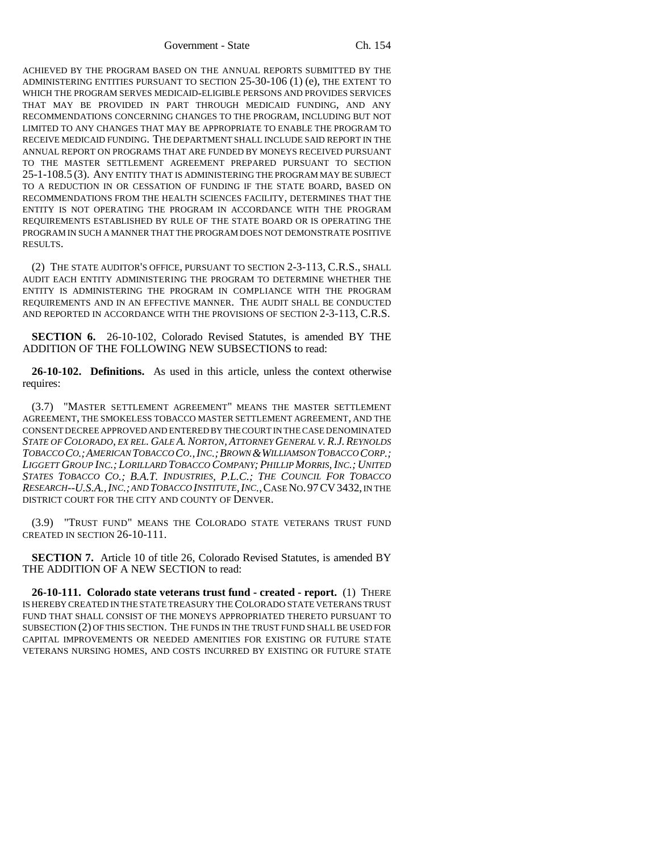Government - State Ch. 154

ACHIEVED BY THE PROGRAM BASED ON THE ANNUAL REPORTS SUBMITTED BY THE ADMINISTERING ENTITIES PURSUANT TO SECTION 25-30-106 (1) (e), THE EXTENT TO WHICH THE PROGRAM SERVES MEDICAID-ELIGIBLE PERSONS AND PROVIDES SERVICES THAT MAY BE PROVIDED IN PART THROUGH MEDICAID FUNDING, AND ANY RECOMMENDATIONS CONCERNING CHANGES TO THE PROGRAM, INCLUDING BUT NOT LIMITED TO ANY CHANGES THAT MAY BE APPROPRIATE TO ENABLE THE PROGRAM TO RECEIVE MEDICAID FUNDING. THE DEPARTMENT SHALL INCLUDE SAID REPORT IN THE ANNUAL REPORT ON PROGRAMS THAT ARE FUNDED BY MONEYS RECEIVED PURSUANT TO THE MASTER SETTLEMENT AGREEMENT PREPARED PURSUANT TO SECTION 25-1-108.5 (3). ANY ENTITY THAT IS ADMINISTERING THE PROGRAM MAY BE SUBJECT TO A REDUCTION IN OR CESSATION OF FUNDING IF THE STATE BOARD, BASED ON RECOMMENDATIONS FROM THE HEALTH SCIENCES FACILITY, DETERMINES THAT THE ENTITY IS NOT OPERATING THE PROGRAM IN ACCORDANCE WITH THE PROGRAM REQUIREMENTS ESTABLISHED BY RULE OF THE STATE BOARD OR IS OPERATING THE PROGRAM IN SUCH A MANNER THAT THE PROGRAM DOES NOT DEMONSTRATE POSITIVE RESULTS.

(2) THE STATE AUDITOR'S OFFICE, PURSUANT TO SECTION 2-3-113, C.R.S., SHALL AUDIT EACH ENTITY ADMINISTERING THE PROGRAM TO DETERMINE WHETHER THE ENTITY IS ADMINISTERING THE PROGRAM IN COMPLIANCE WITH THE PROGRAM REQUIREMENTS AND IN AN EFFECTIVE MANNER. THE AUDIT SHALL BE CONDUCTED AND REPORTED IN ACCORDANCE WITH THE PROVISIONS OF SECTION 2-3-113, C.R.S.

**SECTION 6.** 26-10-102, Colorado Revised Statutes, is amended BY THE ADDITION OF THE FOLLOWING NEW SUBSECTIONS to read:

**26-10-102. Definitions.** As used in this article, unless the context otherwise requires:

(3.7) "MASTER SETTLEMENT AGREEMENT" MEANS THE MASTER SETTLEMENT AGREEMENT, THE SMOKELESS TOBACCO MASTER SETTLEMENT AGREEMENT, AND THE CONSENT DECREE APPROVED AND ENTERED BY THE COURT IN THE CASE DENOMINATED *STATE OF COLORADO, EX REL. GALE A. NORTON, ATTORNEY GENERAL V. R.J.REYNOLDS TOBACCO CO.;AMERICAN TOBACCO CO.,INC.;BROWN &WILLIAMSON TOBACCO CORP.; LIGGETT GROUP INC.; LORILLARD TOBACCO COMPANY; PHILLIP MORRIS, INC.; UNITED STATES TOBACCO CO.; B.A.T. INDUSTRIES, P.L.C.; THE COUNCIL FOR TOBACCO RESEARCH--U.S.A.,INC.; AND TOBACCO INSTITUTE,INC.*,CASE NO.97CV3432, IN THE DISTRICT COURT FOR THE CITY AND COUNTY OF DENVER.

(3.9) "TRUST FUND" MEANS THE COLORADO STATE VETERANS TRUST FUND CREATED IN SECTION 26-10-111.

**SECTION 7.** Article 10 of title 26, Colorado Revised Statutes, is amended BY THE ADDITION OF A NEW SECTION to read:

**26-10-111. Colorado state veterans trust fund - created - report.** (1) THERE IS HEREBY CREATED IN THE STATE TREASURY THE COLORADO STATE VETERANS TRUST FUND THAT SHALL CONSIST OF THE MONEYS APPROPRIATED THERETO PURSUANT TO SUBSECTION (2) OF THIS SECTION. THE FUNDS IN THE TRUST FUND SHALL BE USED FOR CAPITAL IMPROVEMENTS OR NEEDED AMENITIES FOR EXISTING OR FUTURE STATE VETERANS NURSING HOMES, AND COSTS INCURRED BY EXISTING OR FUTURE STATE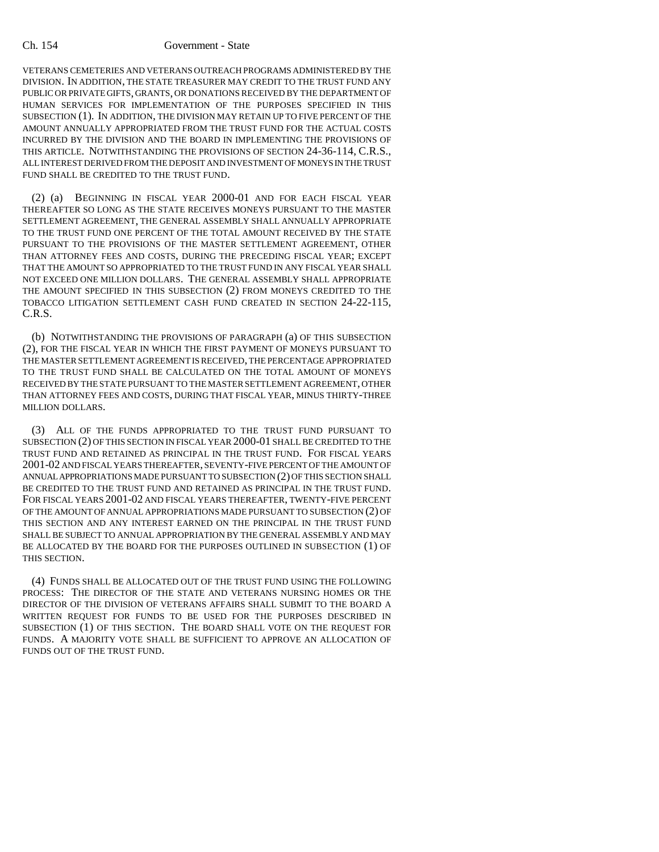VETERANS CEMETERIES AND VETERANS OUTREACH PROGRAMS ADMINISTERED BY THE DIVISION. IN ADDITION, THE STATE TREASURER MAY CREDIT TO THE TRUST FUND ANY PUBLIC OR PRIVATE GIFTS, GRANTS, OR DONATIONS RECEIVED BY THE DEPARTMENT OF HUMAN SERVICES FOR IMPLEMENTATION OF THE PURPOSES SPECIFIED IN THIS SUBSECTION (1). IN ADDITION, THE DIVISION MAY RETAIN UP TO FIVE PERCENT OF THE AMOUNT ANNUALLY APPROPRIATED FROM THE TRUST FUND FOR THE ACTUAL COSTS INCURRED BY THE DIVISION AND THE BOARD IN IMPLEMENTING THE PROVISIONS OF THIS ARTICLE. NOTWITHSTANDING THE PROVISIONS OF SECTION 24-36-114, C.R.S., ALL INTEREST DERIVED FROM THE DEPOSIT AND INVESTMENT OF MONEYS IN THE TRUST FUND SHALL BE CREDITED TO THE TRUST FUND.

(2) (a) BEGINNING IN FISCAL YEAR 2000-01 AND FOR EACH FISCAL YEAR THEREAFTER SO LONG AS THE STATE RECEIVES MONEYS PURSUANT TO THE MASTER SETTLEMENT AGREEMENT, THE GENERAL ASSEMBLY SHALL ANNUALLY APPROPRIATE TO THE TRUST FUND ONE PERCENT OF THE TOTAL AMOUNT RECEIVED BY THE STATE PURSUANT TO THE PROVISIONS OF THE MASTER SETTLEMENT AGREEMENT, OTHER THAN ATTORNEY FEES AND COSTS, DURING THE PRECEDING FISCAL YEAR; EXCEPT THAT THE AMOUNT SO APPROPRIATED TO THE TRUST FUND IN ANY FISCAL YEAR SHALL NOT EXCEED ONE MILLION DOLLARS. THE GENERAL ASSEMBLY SHALL APPROPRIATE THE AMOUNT SPECIFIED IN THIS SUBSECTION (2) FROM MONEYS CREDITED TO THE TOBACCO LITIGATION SETTLEMENT CASH FUND CREATED IN SECTION 24-22-115, C.R.S.

(b) NOTWITHSTANDING THE PROVISIONS OF PARAGRAPH (a) OF THIS SUBSECTION (2), FOR THE FISCAL YEAR IN WHICH THE FIRST PAYMENT OF MONEYS PURSUANT TO THE MASTER SETTLEMENT AGREEMENT IS RECEIVED, THE PERCENTAGE APPROPRIATED TO THE TRUST FUND SHALL BE CALCULATED ON THE TOTAL AMOUNT OF MONEYS RECEIVED BY THE STATE PURSUANT TO THE MASTER SETTLEMENT AGREEMENT, OTHER THAN ATTORNEY FEES AND COSTS, DURING THAT FISCAL YEAR, MINUS THIRTY-THREE MILLION DOLLARS.

(3) ALL OF THE FUNDS APPROPRIATED TO THE TRUST FUND PURSUANT TO SUBSECTION (2) OF THIS SECTION IN FISCAL YEAR 2000-01 SHALL BE CREDITED TO THE TRUST FUND AND RETAINED AS PRINCIPAL IN THE TRUST FUND. FOR FISCAL YEARS 2001-02 AND FISCAL YEARS THEREAFTER, SEVENTY-FIVE PERCENT OF THE AMOUNT OF ANNUAL APPROPRIATIONS MADE PURSUANT TO SUBSECTION (2) OF THIS SECTION SHALL BE CREDITED TO THE TRUST FUND AND RETAINED AS PRINCIPAL IN THE TRUST FUND. FOR FISCAL YEARS 2001-02 AND FISCAL YEARS THEREAFTER, TWENTY-FIVE PERCENT OF THE AMOUNT OF ANNUAL APPROPRIATIONS MADE PURSUANT TO SUBSECTION (2) OF THIS SECTION AND ANY INTEREST EARNED ON THE PRINCIPAL IN THE TRUST FUND SHALL BE SUBJECT TO ANNUAL APPROPRIATION BY THE GENERAL ASSEMBLY AND MAY BE ALLOCATED BY THE BOARD FOR THE PURPOSES OUTLINED IN SUBSECTION (1) OF THIS SECTION.

(4) FUNDS SHALL BE ALLOCATED OUT OF THE TRUST FUND USING THE FOLLOWING PROCESS: THE DIRECTOR OF THE STATE AND VETERANS NURSING HOMES OR THE DIRECTOR OF THE DIVISION OF VETERANS AFFAIRS SHALL SUBMIT TO THE BOARD A WRITTEN REQUEST FOR FUNDS TO BE USED FOR THE PURPOSES DESCRIBED IN SUBSECTION (1) OF THIS SECTION. THE BOARD SHALL VOTE ON THE REQUEST FOR FUNDS. A MAJORITY VOTE SHALL BE SUFFICIENT TO APPROVE AN ALLOCATION OF FUNDS OUT OF THE TRUST FUND.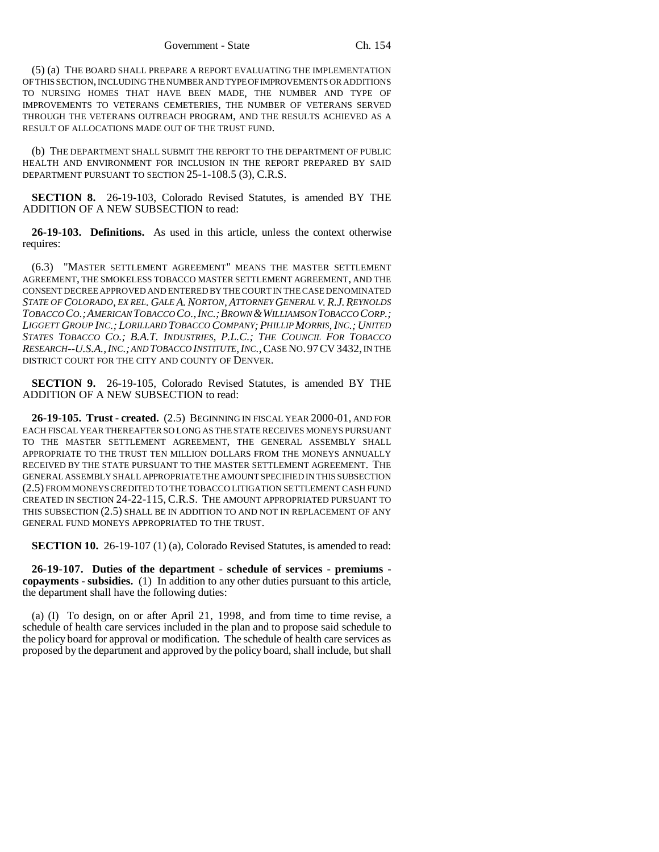(5) (a) THE BOARD SHALL PREPARE A REPORT EVALUATING THE IMPLEMENTATION OF THIS SECTION, INCLUDING THE NUMBER AND TYPE OF IMPROVEMENTS OR ADDITIONS TO NURSING HOMES THAT HAVE BEEN MADE, THE NUMBER AND TYPE OF IMPROVEMENTS TO VETERANS CEMETERIES, THE NUMBER OF VETERANS SERVED THROUGH THE VETERANS OUTREACH PROGRAM, AND THE RESULTS ACHIEVED AS A RESULT OF ALLOCATIONS MADE OUT OF THE TRUST FUND.

(b) THE DEPARTMENT SHALL SUBMIT THE REPORT TO THE DEPARTMENT OF PUBLIC HEALTH AND ENVIRONMENT FOR INCLUSION IN THE REPORT PREPARED BY SAID DEPARTMENT PURSUANT TO SECTION 25-1-108.5 (3), C.R.S.

**SECTION 8.** 26-19-103, Colorado Revised Statutes, is amended BY THE ADDITION OF A NEW SUBSECTION to read:

**26-19-103. Definitions.** As used in this article, unless the context otherwise requires:

(6.3) "MASTER SETTLEMENT AGREEMENT" MEANS THE MASTER SETTLEMENT AGREEMENT, THE SMOKELESS TOBACCO MASTER SETTLEMENT AGREEMENT, AND THE CONSENT DECREE APPROVED AND ENTERED BY THE COURT IN THE CASE DENOMINATED *STATE OF COLORADO, EX REL. GALE A. NORTON, ATTORNEY GENERAL V. R.J.REYNOLDS TOBACCO CO.;AMERICAN TOBACCO CO.,INC.;BROWN &WILLIAMSON TOBACCO CORP.; LIGGETT GROUP INC.; LORILLARD TOBACCO COMPANY; PHILLIP MORRIS, INC.; UNITED STATES TOBACCO CO.; B.A.T. INDUSTRIES, P.L.C.; THE COUNCIL FOR TOBACCO RESEARCH--U.S.A.,INC.; AND TOBACCO INSTITUTE,INC.*,CASE NO.97CV3432, IN THE DISTRICT COURT FOR THE CITY AND COUNTY OF DENVER.

**SECTION 9.** 26-19-105, Colorado Revised Statutes, is amended BY THE ADDITION OF A NEW SUBSECTION to read:

**26-19-105. Trust - created.** (2.5) BEGINNING IN FISCAL YEAR 2000-01, AND FOR EACH FISCAL YEAR THEREAFTER SO LONG AS THE STATE RECEIVES MONEYS PURSUANT TO THE MASTER SETTLEMENT AGREEMENT, THE GENERAL ASSEMBLY SHALL APPROPRIATE TO THE TRUST TEN MILLION DOLLARS FROM THE MONEYS ANNUALLY RECEIVED BY THE STATE PURSUANT TO THE MASTER SETTLEMENT AGREEMENT. THE GENERAL ASSEMBLY SHALL APPROPRIATE THE AMOUNT SPECIFIED IN THIS SUBSECTION (2.5) FROM MONEYS CREDITED TO THE TOBACCO LITIGATION SETTLEMENT CASH FUND CREATED IN SECTION 24-22-115, C.R.S. THE AMOUNT APPROPRIATED PURSUANT TO THIS SUBSECTION (2.5) SHALL BE IN ADDITION TO AND NOT IN REPLACEMENT OF ANY GENERAL FUND MONEYS APPROPRIATED TO THE TRUST.

**SECTION 10.** 26-19-107 (1) (a), Colorado Revised Statutes, is amended to read:

**26-19-107. Duties of the department - schedule of services - premiums copayments - subsidies.** (1) In addition to any other duties pursuant to this article, the department shall have the following duties:

(a) (I) To design, on or after April 21, 1998, and from time to time revise, a schedule of health care services included in the plan and to propose said schedule to the policy board for approval or modification. The schedule of health care services as proposed by the department and approved by the policy board, shall include, but shall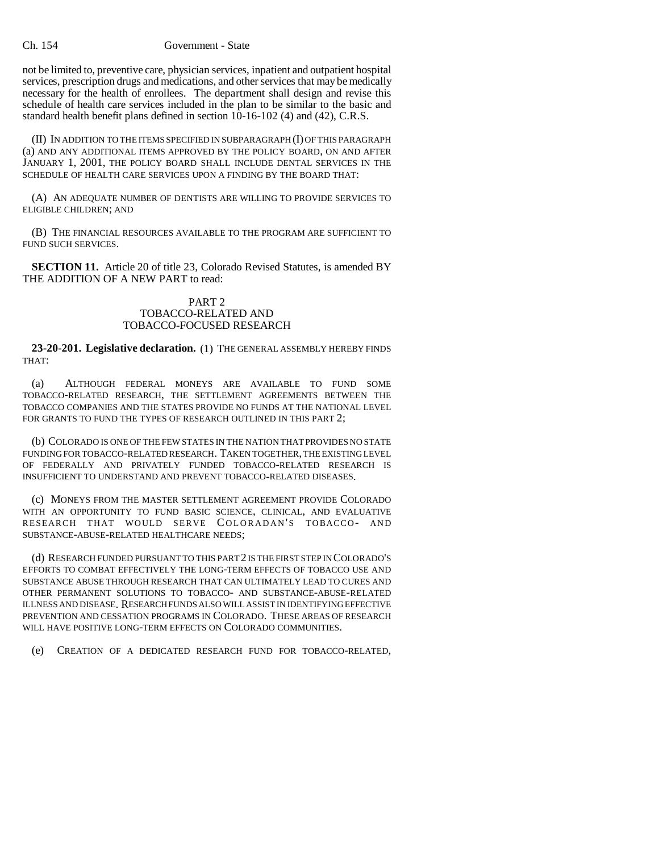not be limited to, preventive care, physician services, inpatient and outpatient hospital services, prescription drugs and medications, and other services that may be medically necessary for the health of enrollees. The department shall design and revise this schedule of health care services included in the plan to be similar to the basic and standard health benefit plans defined in section 10-16-102 (4) and (42), C.R.S.

(II) IN ADDITION TO THE ITEMS SPECIFIED IN SUBPARAGRAPH (I) OF THIS PARAGRAPH (a) AND ANY ADDITIONAL ITEMS APPROVED BY THE POLICY BOARD, ON AND AFTER JANUARY 1, 2001, THE POLICY BOARD SHALL INCLUDE DENTAL SERVICES IN THE SCHEDULE OF HEALTH CARE SERVICES UPON A FINDING BY THE BOARD THAT:

(A) AN ADEQUATE NUMBER OF DENTISTS ARE WILLING TO PROVIDE SERVICES TO ELIGIBLE CHILDREN; AND

(B) THE FINANCIAL RESOURCES AVAILABLE TO THE PROGRAM ARE SUFFICIENT TO FUND SUCH SERVICES.

**SECTION 11.** Article 20 of title 23, Colorado Revised Statutes, is amended BY THE ADDITION OF A NEW PART to read:

# PART 2 TOBACCO-RELATED AND TOBACCO-FOCUSED RESEARCH

**23-20-201. Legislative declaration.** (1) THE GENERAL ASSEMBLY HEREBY FINDS THAT:

(a) ALTHOUGH FEDERAL MONEYS ARE AVAILABLE TO FUND SOME TOBACCO-RELATED RESEARCH, THE SETTLEMENT AGREEMENTS BETWEEN THE TOBACCO COMPANIES AND THE STATES PROVIDE NO FUNDS AT THE NATIONAL LEVEL FOR GRANTS TO FUND THE TYPES OF RESEARCH OUTLINED IN THIS PART 2;

(b) COLORADO IS ONE OF THE FEW STATES IN THE NATION THAT PROVIDES NO STATE FUNDING FOR TOBACCO-RELATED RESEARCH. TAKEN TOGETHER, THE EXISTING LEVEL OF FEDERALLY AND PRIVATELY FUNDED TOBACCO-RELATED RESEARCH IS INSUFFICIENT TO UNDERSTAND AND PREVENT TOBACCO-RELATED DISEASES.

(c) MONEYS FROM THE MASTER SETTLEMENT AGREEMENT PROVIDE COLORADO WITH AN OPPORTUNITY TO FUND BASIC SCIENCE, CLINICAL, AND EVALUATIVE RESEARCH THAT WOULD SERVE COLORADAN'S TOBACCO- AND SUBSTANCE-ABUSE-RELATED HEALTHCARE NEEDS;

(d) RESEARCH FUNDED PURSUANT TO THIS PART 2 IS THE FIRST STEP IN COLORADO'S EFFORTS TO COMBAT EFFECTIVELY THE LONG-TERM EFFECTS OF TOBACCO USE AND SUBSTANCE ABUSE THROUGH RESEARCH THAT CAN ULTIMATELY LEAD TO CURES AND OTHER PERMANENT SOLUTIONS TO TOBACCO- AND SUBSTANCE-ABUSE-RELATED ILLNESS AND DISEASE. RESEARCH FUNDS ALSO WILL ASSIST IN IDENTIFYING EFFECTIVE PREVENTION AND CESSATION PROGRAMS IN COLORADO. THESE AREAS OF RESEARCH WILL HAVE POSITIVE LONG-TERM EFFECTS ON COLORADO COMMUNITIES.

(e) CREATION OF A DEDICATED RESEARCH FUND FOR TOBACCO-RELATED,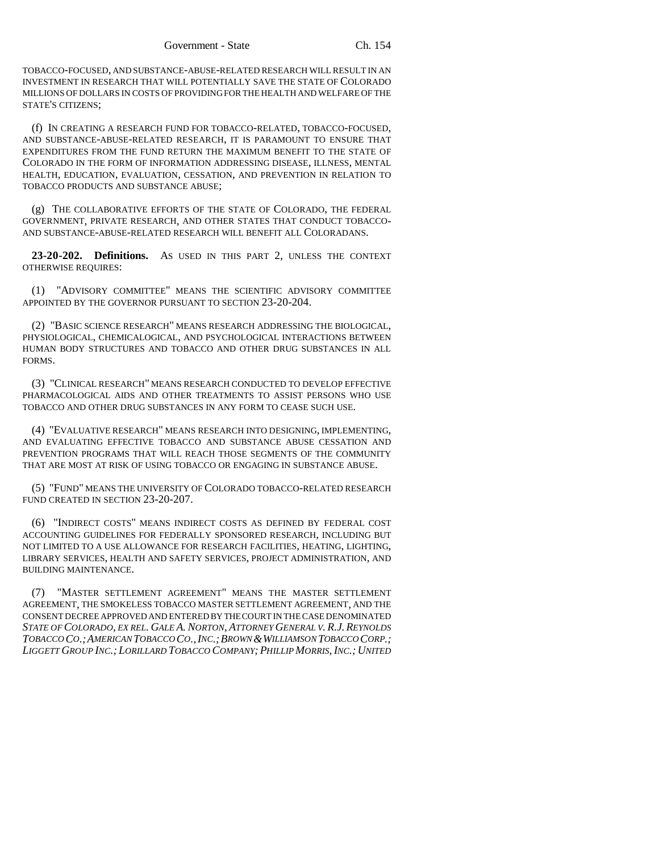TOBACCO-FOCUSED, AND SUBSTANCE-ABUSE-RELATED RESEARCH WILL RESULT IN AN INVESTMENT IN RESEARCH THAT WILL POTENTIALLY SAVE THE STATE OF COLORADO MILLIONS OF DOLLARS IN COSTS OF PROVIDING FOR THE HEALTH AND WELFARE OF THE STATE'S CITIZENS;

(f) IN CREATING A RESEARCH FUND FOR TOBACCO-RELATED, TOBACCO-FOCUSED, AND SUBSTANCE-ABUSE-RELATED RESEARCH, IT IS PARAMOUNT TO ENSURE THAT EXPENDITURES FROM THE FUND RETURN THE MAXIMUM BENEFIT TO THE STATE OF COLORADO IN THE FORM OF INFORMATION ADDRESSING DISEASE, ILLNESS, MENTAL HEALTH, EDUCATION, EVALUATION, CESSATION, AND PREVENTION IN RELATION TO TOBACCO PRODUCTS AND SUBSTANCE ABUSE;

(g) THE COLLABORATIVE EFFORTS OF THE STATE OF COLORADO, THE FEDERAL GOVERNMENT, PRIVATE RESEARCH, AND OTHER STATES THAT CONDUCT TOBACCO-AND SUBSTANCE-ABUSE-RELATED RESEARCH WILL BENEFIT ALL COLORADANS.

**23-20-202. Definitions.** AS USED IN THIS PART 2, UNLESS THE CONTEXT OTHERWISE REQUIRES:

(1) "ADVISORY COMMITTEE" MEANS THE SCIENTIFIC ADVISORY COMMITTEE APPOINTED BY THE GOVERNOR PURSUANT TO SECTION 23-20-204.

(2) "BASIC SCIENCE RESEARCH" MEANS RESEARCH ADDRESSING THE BIOLOGICAL, PHYSIOLOGICAL, CHEMICALOGICAL, AND PSYCHOLOGICAL INTERACTIONS BETWEEN HUMAN BODY STRUCTURES AND TOBACCO AND OTHER DRUG SUBSTANCES IN ALL FORMS.

(3) "CLINICAL RESEARCH" MEANS RESEARCH CONDUCTED TO DEVELOP EFFECTIVE PHARMACOLOGICAL AIDS AND OTHER TREATMENTS TO ASSIST PERSONS WHO USE TOBACCO AND OTHER DRUG SUBSTANCES IN ANY FORM TO CEASE SUCH USE.

(4) "EVALUATIVE RESEARCH" MEANS RESEARCH INTO DESIGNING, IMPLEMENTING, AND EVALUATING EFFECTIVE TOBACCO AND SUBSTANCE ABUSE CESSATION AND PREVENTION PROGRAMS THAT WILL REACH THOSE SEGMENTS OF THE COMMUNITY THAT ARE MOST AT RISK OF USING TOBACCO OR ENGAGING IN SUBSTANCE ABUSE.

(5) "FUND" MEANS THE UNIVERSITY OF COLORADO TOBACCO-RELATED RESEARCH FUND CREATED IN SECTION 23-20-207.

(6) "INDIRECT COSTS" MEANS INDIRECT COSTS AS DEFINED BY FEDERAL COST ACCOUNTING GUIDELINES FOR FEDERALLY SPONSORED RESEARCH, INCLUDING BUT NOT LIMITED TO A USE ALLOWANCE FOR RESEARCH FACILITIES, HEATING, LIGHTING, LIBRARY SERVICES, HEALTH AND SAFETY SERVICES, PROJECT ADMINISTRATION, AND BUILDING MAINTENANCE.

(7) "MASTER SETTLEMENT AGREEMENT" MEANS THE MASTER SETTLEMENT AGREEMENT, THE SMOKELESS TOBACCO MASTER SETTLEMENT AGREEMENT, AND THE CONSENT DECREE APPROVED AND ENTERED BY THE COURT IN THE CASE DENOMINATED *STATE OF COLORADO, EX REL. GALE A. NORTON, ATTORNEY GENERAL V. R.J.REYNOLDS TOBACCO CO.;AMERICAN TOBACCO CO.,INC.;BROWN &WILLIAMSON TOBACCO CORP.; LIGGETT GROUP INC.; LORILLARD TOBACCO COMPANY; PHILLIP MORRIS, INC.; UNITED*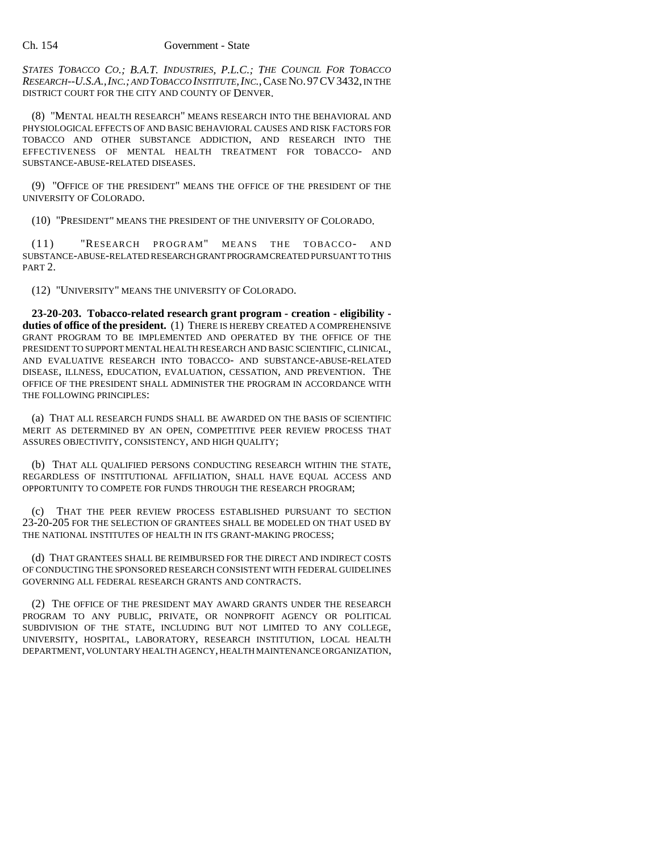*STATES TOBACCO CO.; B.A.T. INDUSTRIES, P.L.C.; THE COUNCIL FOR TOBACCO RESEARCH--U.S.A.,INC.; AND TOBACCO INSTITUTE,INC.*,CASE NO.97CV3432, IN THE DISTRICT COURT FOR THE CITY AND COUNTY OF DENVER.

(8) "MENTAL HEALTH RESEARCH" MEANS RESEARCH INTO THE BEHAVIORAL AND PHYSIOLOGICAL EFFECTS OF AND BASIC BEHAVIORAL CAUSES AND RISK FACTORS FOR TOBACCO AND OTHER SUBSTANCE ADDICTION, AND RESEARCH INTO THE EFFECTIVENESS OF MENTAL HEALTH TREATMENT FOR TOBACCO- AND SUBSTANCE-ABUSE-RELATED DISEASES.

(9) "OFFICE OF THE PRESIDENT" MEANS THE OFFICE OF THE PRESIDENT OF THE UNIVERSITY OF COLORADO.

(10) "PRESIDENT" MEANS THE PRESIDENT OF THE UNIVERSITY OF COLORADO.

(11) "RESEARCH PROGRAM" MEANS THE TOBACCO- AND SUBSTANCE-ABUSE-RELATED RESEARCH GRANT PROGRAM CREATED PURSUANT TO THIS PART 2.

(12) "UNIVERSITY" MEANS THE UNIVERSITY OF COLORADO.

**23-20-203. Tobacco-related research grant program - creation - eligibility duties of office of the president.** (1) THERE IS HEREBY CREATED A COMPREHENSIVE GRANT PROGRAM TO BE IMPLEMENTED AND OPERATED BY THE OFFICE OF THE PRESIDENT TO SUPPORT MENTAL HEALTH RESEARCH AND BASIC SCIENTIFIC, CLINICAL, AND EVALUATIVE RESEARCH INTO TOBACCO- AND SUBSTANCE-ABUSE-RELATED DISEASE, ILLNESS, EDUCATION, EVALUATION, CESSATION, AND PREVENTION. THE OFFICE OF THE PRESIDENT SHALL ADMINISTER THE PROGRAM IN ACCORDANCE WITH THE FOLLOWING PRINCIPLES:

(a) THAT ALL RESEARCH FUNDS SHALL BE AWARDED ON THE BASIS OF SCIENTIFIC MERIT AS DETERMINED BY AN OPEN, COMPETITIVE PEER REVIEW PROCESS THAT ASSURES OBJECTIVITY, CONSISTENCY, AND HIGH QUALITY;

(b) THAT ALL QUALIFIED PERSONS CONDUCTING RESEARCH WITHIN THE STATE, REGARDLESS OF INSTITUTIONAL AFFILIATION, SHALL HAVE EQUAL ACCESS AND OPPORTUNITY TO COMPETE FOR FUNDS THROUGH THE RESEARCH PROGRAM;

(c) THAT THE PEER REVIEW PROCESS ESTABLISHED PURSUANT TO SECTION 23-20-205 FOR THE SELECTION OF GRANTEES SHALL BE MODELED ON THAT USED BY THE NATIONAL INSTITUTES OF HEALTH IN ITS GRANT-MAKING PROCESS;

(d) THAT GRANTEES SHALL BE REIMBURSED FOR THE DIRECT AND INDIRECT COSTS OF CONDUCTING THE SPONSORED RESEARCH CONSISTENT WITH FEDERAL GUIDELINES GOVERNING ALL FEDERAL RESEARCH GRANTS AND CONTRACTS.

(2) THE OFFICE OF THE PRESIDENT MAY AWARD GRANTS UNDER THE RESEARCH PROGRAM TO ANY PUBLIC, PRIVATE, OR NONPROFIT AGENCY OR POLITICAL SUBDIVISION OF THE STATE, INCLUDING BUT NOT LIMITED TO ANY COLLEGE, UNIVERSITY, HOSPITAL, LABORATORY, RESEARCH INSTITUTION, LOCAL HEALTH DEPARTMENT, VOLUNTARY HEALTH AGENCY, HEALTH MAINTENANCE ORGANIZATION,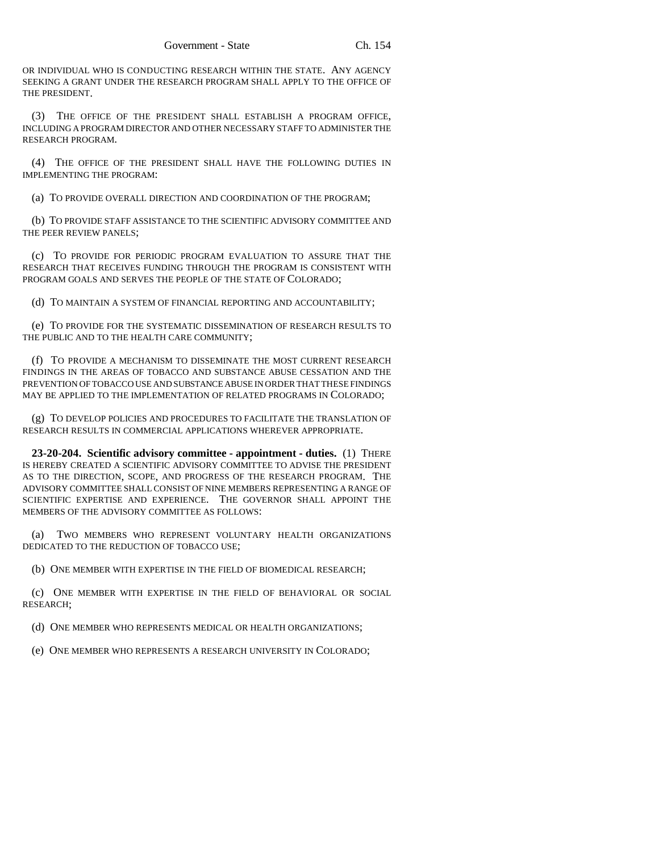OR INDIVIDUAL WHO IS CONDUCTING RESEARCH WITHIN THE STATE. ANY AGENCY SEEKING A GRANT UNDER THE RESEARCH PROGRAM SHALL APPLY TO THE OFFICE OF THE PRESIDENT.

(3) THE OFFICE OF THE PRESIDENT SHALL ESTABLISH A PROGRAM OFFICE, INCLUDING A PROGRAM DIRECTOR AND OTHER NECESSARY STAFF TO ADMINISTER THE RESEARCH PROGRAM.

(4) THE OFFICE OF THE PRESIDENT SHALL HAVE THE FOLLOWING DUTIES IN IMPLEMENTING THE PROGRAM:

(a) TO PROVIDE OVERALL DIRECTION AND COORDINATION OF THE PROGRAM;

(b) TO PROVIDE STAFF ASSISTANCE TO THE SCIENTIFIC ADVISORY COMMITTEE AND THE PEER REVIEW PANELS;

(c) TO PROVIDE FOR PERIODIC PROGRAM EVALUATION TO ASSURE THAT THE RESEARCH THAT RECEIVES FUNDING THROUGH THE PROGRAM IS CONSISTENT WITH PROGRAM GOALS AND SERVES THE PEOPLE OF THE STATE OF COLORADO;

(d) TO MAINTAIN A SYSTEM OF FINANCIAL REPORTING AND ACCOUNTABILITY;

(e) TO PROVIDE FOR THE SYSTEMATIC DISSEMINATION OF RESEARCH RESULTS TO THE PUBLIC AND TO THE HEALTH CARE COMMUNITY;

(f) TO PROVIDE A MECHANISM TO DISSEMINATE THE MOST CURRENT RESEARCH FINDINGS IN THE AREAS OF TOBACCO AND SUBSTANCE ABUSE CESSATION AND THE PREVENTION OF TOBACCO USE AND SUBSTANCE ABUSE IN ORDER THAT THESE FINDINGS MAY BE APPLIED TO THE IMPLEMENTATION OF RELATED PROGRAMS IN COLORADO;

(g) TO DEVELOP POLICIES AND PROCEDURES TO FACILITATE THE TRANSLATION OF RESEARCH RESULTS IN COMMERCIAL APPLICATIONS WHEREVER APPROPRIATE.

**23-20-204. Scientific advisory committee - appointment - duties.** (1) THERE IS HEREBY CREATED A SCIENTIFIC ADVISORY COMMITTEE TO ADVISE THE PRESIDENT AS TO THE DIRECTION, SCOPE, AND PROGRESS OF THE RESEARCH PROGRAM. THE ADVISORY COMMITTEE SHALL CONSIST OF NINE MEMBERS REPRESENTING A RANGE OF SCIENTIFIC EXPERTISE AND EXPERIENCE. THE GOVERNOR SHALL APPOINT THE MEMBERS OF THE ADVISORY COMMITTEE AS FOLLOWS:

(a) TWO MEMBERS WHO REPRESENT VOLUNTARY HEALTH ORGANIZATIONS DEDICATED TO THE REDUCTION OF TOBACCO USE;

(b) ONE MEMBER WITH EXPERTISE IN THE FIELD OF BIOMEDICAL RESEARCH;

(c) ONE MEMBER WITH EXPERTISE IN THE FIELD OF BEHAVIORAL OR SOCIAL RESEARCH;

(d) ONE MEMBER WHO REPRESENTS MEDICAL OR HEALTH ORGANIZATIONS;

(e) ONE MEMBER WHO REPRESENTS A RESEARCH UNIVERSITY IN COLORADO;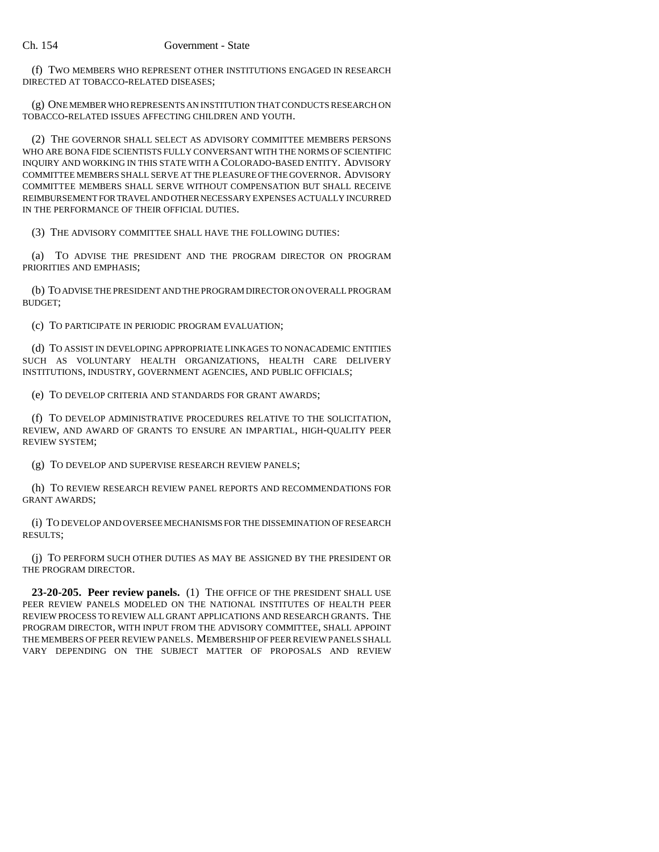(f) TWO MEMBERS WHO REPRESENT OTHER INSTITUTIONS ENGAGED IN RESEARCH DIRECTED AT TOBACCO-RELATED DISEASES;

(g) ONE MEMBER WHO REPRESENTS AN INSTITUTION THAT CONDUCTS RESEARCH ON TOBACCO-RELATED ISSUES AFFECTING CHILDREN AND YOUTH.

(2) THE GOVERNOR SHALL SELECT AS ADVISORY COMMITTEE MEMBERS PERSONS WHO ARE BONA FIDE SCIENTISTS FULLY CONVERSANT WITH THE NORMS OF SCIENTIFIC INQUIRY AND WORKING IN THIS STATE WITH A COLORADO-BASED ENTITY. ADVISORY COMMITTEE MEMBERS SHALL SERVE AT THE PLEASURE OF THE GOVERNOR. ADVISORY COMMITTEE MEMBERS SHALL SERVE WITHOUT COMPENSATION BUT SHALL RECEIVE REIMBURSEMENT FOR TRAVEL AND OTHER NECESSARY EXPENSES ACTUALLY INCURRED IN THE PERFORMANCE OF THEIR OFFICIAL DUTIES.

(3) THE ADVISORY COMMITTEE SHALL HAVE THE FOLLOWING DUTIES:

(a) TO ADVISE THE PRESIDENT AND THE PROGRAM DIRECTOR ON PROGRAM PRIORITIES AND EMPHASIS;

(b) TO ADVISE THE PRESIDENT AND THE PROGRAM DIRECTOR ON OVERALL PROGRAM BUDGET;

(c) TO PARTICIPATE IN PERIODIC PROGRAM EVALUATION;

(d) TO ASSIST IN DEVELOPING APPROPRIATE LINKAGES TO NONACADEMIC ENTITIES SUCH AS VOLUNTARY HEALTH ORGANIZATIONS, HEALTH CARE DELIVERY INSTITUTIONS, INDUSTRY, GOVERNMENT AGENCIES, AND PUBLIC OFFICIALS;

(e) TO DEVELOP CRITERIA AND STANDARDS FOR GRANT AWARDS;

(f) TO DEVELOP ADMINISTRATIVE PROCEDURES RELATIVE TO THE SOLICITATION, REVIEW, AND AWARD OF GRANTS TO ENSURE AN IMPARTIAL, HIGH-QUALITY PEER REVIEW SYSTEM;

(g) TO DEVELOP AND SUPERVISE RESEARCH REVIEW PANELS;

(h) TO REVIEW RESEARCH REVIEW PANEL REPORTS AND RECOMMENDATIONS FOR GRANT AWARDS;

(i) TO DEVELOP AND OVERSEE MECHANISMS FOR THE DISSEMINATION OF RESEARCH RESULTS;

(j) TO PERFORM SUCH OTHER DUTIES AS MAY BE ASSIGNED BY THE PRESIDENT OR THE PROGRAM DIRECTOR.

**23-20-205. Peer review panels.** (1) THE OFFICE OF THE PRESIDENT SHALL USE PEER REVIEW PANELS MODELED ON THE NATIONAL INSTITUTES OF HEALTH PEER REVIEW PROCESS TO REVIEW ALL GRANT APPLICATIONS AND RESEARCH GRANTS. THE PROGRAM DIRECTOR, WITH INPUT FROM THE ADVISORY COMMITTEE, SHALL APPOINT THE MEMBERS OF PEER REVIEW PANELS. MEMBERSHIP OF PEER REVIEW PANELS SHALL VARY DEPENDING ON THE SUBJECT MATTER OF PROPOSALS AND REVIEW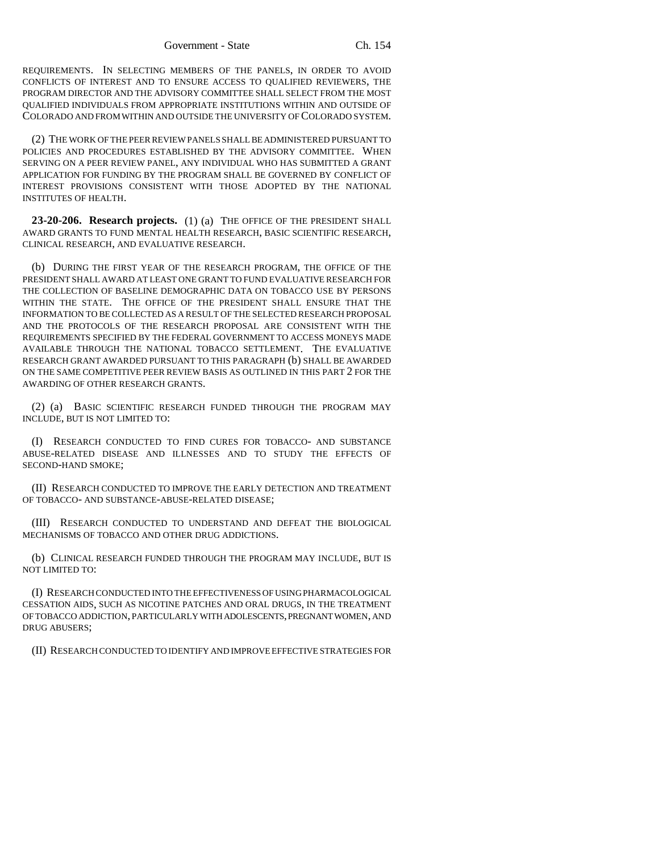REQUIREMENTS. IN SELECTING MEMBERS OF THE PANELS, IN ORDER TO AVOID CONFLICTS OF INTEREST AND TO ENSURE ACCESS TO QUALIFIED REVIEWERS, THE PROGRAM DIRECTOR AND THE ADVISORY COMMITTEE SHALL SELECT FROM THE MOST QUALIFIED INDIVIDUALS FROM APPROPRIATE INSTITUTIONS WITHIN AND OUTSIDE OF COLORADO AND FROM WITHIN AND OUTSIDE THE UNIVERSITY OF COLORADO SYSTEM.

(2) THE WORK OF THE PEER REVIEW PANELS SHALL BE ADMINISTERED PURSUANT TO POLICIES AND PROCEDURES ESTABLISHED BY THE ADVISORY COMMITTEE. WHEN SERVING ON A PEER REVIEW PANEL, ANY INDIVIDUAL WHO HAS SUBMITTED A GRANT APPLICATION FOR FUNDING BY THE PROGRAM SHALL BE GOVERNED BY CONFLICT OF INTEREST PROVISIONS CONSISTENT WITH THOSE ADOPTED BY THE NATIONAL INSTITUTES OF HEALTH.

**23-20-206. Research projects.** (1) (a) THE OFFICE OF THE PRESIDENT SHALL AWARD GRANTS TO FUND MENTAL HEALTH RESEARCH, BASIC SCIENTIFIC RESEARCH, CLINICAL RESEARCH, AND EVALUATIVE RESEARCH.

(b) DURING THE FIRST YEAR OF THE RESEARCH PROGRAM, THE OFFICE OF THE PRESIDENT SHALL AWARD AT LEAST ONE GRANT TO FUND EVALUATIVE RESEARCH FOR THE COLLECTION OF BASELINE DEMOGRAPHIC DATA ON TOBACCO USE BY PERSONS WITHIN THE STATE. THE OFFICE OF THE PRESIDENT SHALL ENSURE THAT THE INFORMATION TO BE COLLECTED AS A RESULT OF THE SELECTED RESEARCH PROPOSAL AND THE PROTOCOLS OF THE RESEARCH PROPOSAL ARE CONSISTENT WITH THE REQUIREMENTS SPECIFIED BY THE FEDERAL GOVERNMENT TO ACCESS MONEYS MADE AVAILABLE THROUGH THE NATIONAL TOBACCO SETTLEMENT. THE EVALUATIVE RESEARCH GRANT AWARDED PURSUANT TO THIS PARAGRAPH (b) SHALL BE AWARDED ON THE SAME COMPETITIVE PEER REVIEW BASIS AS OUTLINED IN THIS PART 2 FOR THE AWARDING OF OTHER RESEARCH GRANTS.

(2) (a) BASIC SCIENTIFIC RESEARCH FUNDED THROUGH THE PROGRAM MAY INCLUDE, BUT IS NOT LIMITED TO:

(I) RESEARCH CONDUCTED TO FIND CURES FOR TOBACCO- AND SUBSTANCE ABUSE-RELATED DISEASE AND ILLNESSES AND TO STUDY THE EFFECTS OF SECOND-HAND SMOKE;

(II) RESEARCH CONDUCTED TO IMPROVE THE EARLY DETECTION AND TREATMENT OF TOBACCO- AND SUBSTANCE-ABUSE-RELATED DISEASE;

(III) RESEARCH CONDUCTED TO UNDERSTAND AND DEFEAT THE BIOLOGICAL MECHANISMS OF TOBACCO AND OTHER DRUG ADDICTIONS.

(b) CLINICAL RESEARCH FUNDED THROUGH THE PROGRAM MAY INCLUDE, BUT IS NOT LIMITED TO:

(I) RESEARCH CONDUCTED INTO THE EFFECTIVENESS OF USING PHARMACOLOGICAL CESSATION AIDS, SUCH AS NICOTINE PATCHES AND ORAL DRUGS, IN THE TREATMENT OF TOBACCO ADDICTION, PARTICULARLY WITH ADOLESCENTS, PREGNANT WOMEN, AND DRUG ABUSERS;

(II) RESEARCH CONDUCTED TO IDENTIFY AND IMPROVE EFFECTIVE STRATEGIES FOR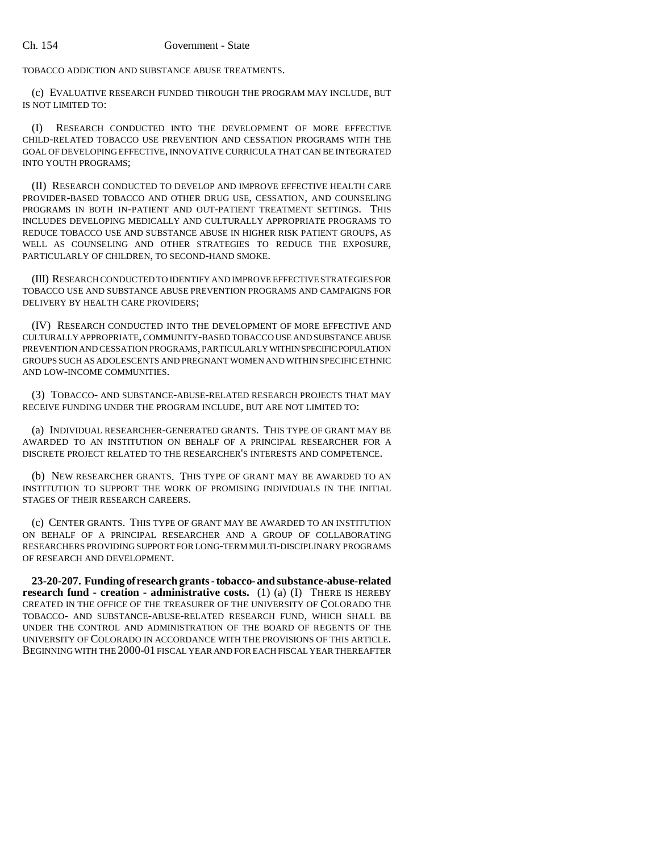TOBACCO ADDICTION AND SUBSTANCE ABUSE TREATMENTS.

(c) EVALUATIVE RESEARCH FUNDED THROUGH THE PROGRAM MAY INCLUDE, BUT IS NOT LIMITED TO:

(I) RESEARCH CONDUCTED INTO THE DEVELOPMENT OF MORE EFFECTIVE CHILD-RELATED TOBACCO USE PREVENTION AND CESSATION PROGRAMS WITH THE GOAL OF DEVELOPING EFFECTIVE, INNOVATIVE CURRICULA THAT CAN BE INTEGRATED INTO YOUTH PROGRAMS;

(II) RESEARCH CONDUCTED TO DEVELOP AND IMPROVE EFFECTIVE HEALTH CARE PROVIDER-BASED TOBACCO AND OTHER DRUG USE, CESSATION, AND COUNSELING PROGRAMS IN BOTH IN-PATIENT AND OUT-PATIENT TREATMENT SETTINGS. THIS INCLUDES DEVELOPING MEDICALLY AND CULTURALLY APPROPRIATE PROGRAMS TO REDUCE TOBACCO USE AND SUBSTANCE ABUSE IN HIGHER RISK PATIENT GROUPS, AS WELL AS COUNSELING AND OTHER STRATEGIES TO REDUCE THE EXPOSURE, PARTICULARLY OF CHILDREN, TO SECOND-HAND SMOKE.

(III) RESEARCH CONDUCTED TO IDENTIFY AND IMPROVE EFFECTIVE STRATEGIES FOR TOBACCO USE AND SUBSTANCE ABUSE PREVENTION PROGRAMS AND CAMPAIGNS FOR DELIVERY BY HEALTH CARE PROVIDERS;

(IV) RESEARCH CONDUCTED INTO THE DEVELOPMENT OF MORE EFFECTIVE AND CULTURALLY APPROPRIATE, COMMUNITY-BASED TOBACCO USE AND SUBSTANCE ABUSE PREVENTION AND CESSATION PROGRAMS, PARTICULARLY WITHIN SPECIFIC POPULATION GROUPS SUCH AS ADOLESCENTS AND PREGNANT WOMEN AND WITHIN SPECIFIC ETHNIC AND LOW-INCOME COMMUNITIES.

(3) TOBACCO- AND SUBSTANCE-ABUSE-RELATED RESEARCH PROJECTS THAT MAY RECEIVE FUNDING UNDER THE PROGRAM INCLUDE, BUT ARE NOT LIMITED TO:

(a) INDIVIDUAL RESEARCHER-GENERATED GRANTS. THIS TYPE OF GRANT MAY BE AWARDED TO AN INSTITUTION ON BEHALF OF A PRINCIPAL RESEARCHER FOR A DISCRETE PROJECT RELATED TO THE RESEARCHER'S INTERESTS AND COMPETENCE.

(b) NEW RESEARCHER GRANTS. THIS TYPE OF GRANT MAY BE AWARDED TO AN INSTITUTION TO SUPPORT THE WORK OF PROMISING INDIVIDUALS IN THE INITIAL STAGES OF THEIR RESEARCH CAREERS.

(c) CENTER GRANTS. THIS TYPE OF GRANT MAY BE AWARDED TO AN INSTITUTION ON BEHALF OF A PRINCIPAL RESEARCHER AND A GROUP OF COLLABORATING RESEARCHERS PROVIDING SUPPORT FOR LONG-TERM MULTI-DISCIPLINARY PROGRAMS OF RESEARCH AND DEVELOPMENT.

**23-20-207. Funding of research grants - tobacco- and substance-abuse-related research fund - creation - administrative costs.** (1) (a) (I) THERE IS HEREBY CREATED IN THE OFFICE OF THE TREASURER OF THE UNIVERSITY OF COLORADO THE TOBACCO- AND SUBSTANCE-ABUSE-RELATED RESEARCH FUND, WHICH SHALL BE UNDER THE CONTROL AND ADMINISTRATION OF THE BOARD OF REGENTS OF THE UNIVERSITY OF COLORADO IN ACCORDANCE WITH THE PROVISIONS OF THIS ARTICLE. BEGINNING WITH THE 2000-01 FISCAL YEAR AND FOR EACH FISCAL YEAR THEREAFTER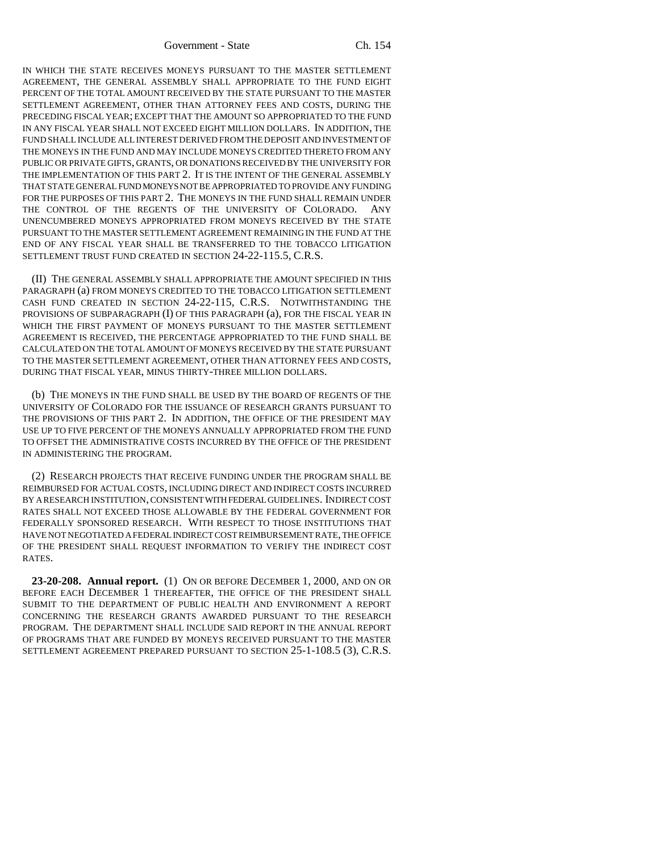Government - State Ch. 154

IN WHICH THE STATE RECEIVES MONEYS PURSUANT TO THE MASTER SETTLEMENT AGREEMENT, THE GENERAL ASSEMBLY SHALL APPROPRIATE TO THE FUND EIGHT PERCENT OF THE TOTAL AMOUNT RECEIVED BY THE STATE PURSUANT TO THE MASTER SETTLEMENT AGREEMENT, OTHER THAN ATTORNEY FEES AND COSTS, DURING THE PRECEDING FISCAL YEAR; EXCEPT THAT THE AMOUNT SO APPROPRIATED TO THE FUND IN ANY FISCAL YEAR SHALL NOT EXCEED EIGHT MILLION DOLLARS. IN ADDITION, THE FUND SHALL INCLUDE ALL INTEREST DERIVED FROM THE DEPOSIT AND INVESTMENT OF THE MONEYS IN THE FUND AND MAY INCLUDE MONEYS CREDITED THERETO FROM ANY PUBLIC OR PRIVATE GIFTS, GRANTS, OR DONATIONS RECEIVED BY THE UNIVERSITY FOR THE IMPLEMENTATION OF THIS PART 2. IT IS THE INTENT OF THE GENERAL ASSEMBLY THAT STATE GENERAL FUND MONEYS NOT BE APPROPRIATED TO PROVIDE ANY FUNDING FOR THE PURPOSES OF THIS PART 2. THE MONEYS IN THE FUND SHALL REMAIN UNDER THE CONTROL OF THE REGENTS OF THE UNIVERSITY OF COLORADO. ANY UNENCUMBERED MONEYS APPROPRIATED FROM MONEYS RECEIVED BY THE STATE PURSUANT TO THE MASTER SETTLEMENT AGREEMENT REMAINING IN THE FUND AT THE END OF ANY FISCAL YEAR SHALL BE TRANSFERRED TO THE TOBACCO LITIGATION SETTLEMENT TRUST FUND CREATED IN SECTION 24-22-115.5, C.R.S.

(II) THE GENERAL ASSEMBLY SHALL APPROPRIATE THE AMOUNT SPECIFIED IN THIS PARAGRAPH (a) FROM MONEYS CREDITED TO THE TOBACCO LITIGATION SETTLEMENT CASH FUND CREATED IN SECTION 24-22-115, C.R.S. NOTWITHSTANDING THE PROVISIONS OF SUBPARAGRAPH (I) OF THIS PARAGRAPH (a), FOR THE FISCAL YEAR IN WHICH THE FIRST PAYMENT OF MONEYS PURSUANT TO THE MASTER SETTLEMENT AGREEMENT IS RECEIVED, THE PERCENTAGE APPROPRIATED TO THE FUND SHALL BE CALCULATED ON THE TOTAL AMOUNT OF MONEYS RECEIVED BY THE STATE PURSUANT TO THE MASTER SETTLEMENT AGREEMENT, OTHER THAN ATTORNEY FEES AND COSTS, DURING THAT FISCAL YEAR, MINUS THIRTY-THREE MILLION DOLLARS.

(b) THE MONEYS IN THE FUND SHALL BE USED BY THE BOARD OF REGENTS OF THE UNIVERSITY OF COLORADO FOR THE ISSUANCE OF RESEARCH GRANTS PURSUANT TO THE PROVISIONS OF THIS PART 2. IN ADDITION, THE OFFICE OF THE PRESIDENT MAY USE UP TO FIVE PERCENT OF THE MONEYS ANNUALLY APPROPRIATED FROM THE FUND TO OFFSET THE ADMINISTRATIVE COSTS INCURRED BY THE OFFICE OF THE PRESIDENT IN ADMINISTERING THE PROGRAM.

(2) RESEARCH PROJECTS THAT RECEIVE FUNDING UNDER THE PROGRAM SHALL BE REIMBURSED FOR ACTUAL COSTS, INCLUDING DIRECT AND INDIRECT COSTS INCURRED BY A RESEARCH INSTITUTION, CONSISTENT WITH FEDERAL GUIDELINES. INDIRECT COST RATES SHALL NOT EXCEED THOSE ALLOWABLE BY THE FEDERAL GOVERNMENT FOR FEDERALLY SPONSORED RESEARCH. WITH RESPECT TO THOSE INSTITUTIONS THAT HAVE NOT NEGOTIATED A FEDERAL INDIRECT COST REIMBURSEMENT RATE, THE OFFICE OF THE PRESIDENT SHALL REQUEST INFORMATION TO VERIFY THE INDIRECT COST RATES.

**23-20-208. Annual report.** (1) ON OR BEFORE DECEMBER 1, 2000, AND ON OR BEFORE EACH DECEMBER 1 THEREAFTER, THE OFFICE OF THE PRESIDENT SHALL SUBMIT TO THE DEPARTMENT OF PUBLIC HEALTH AND ENVIRONMENT A REPORT CONCERNING THE RESEARCH GRANTS AWARDED PURSUANT TO THE RESEARCH PROGRAM. THE DEPARTMENT SHALL INCLUDE SAID REPORT IN THE ANNUAL REPORT OF PROGRAMS THAT ARE FUNDED BY MONEYS RECEIVED PURSUANT TO THE MASTER SETTLEMENT AGREEMENT PREPARED PURSUANT TO SECTION 25-1-108.5 (3), C.R.S.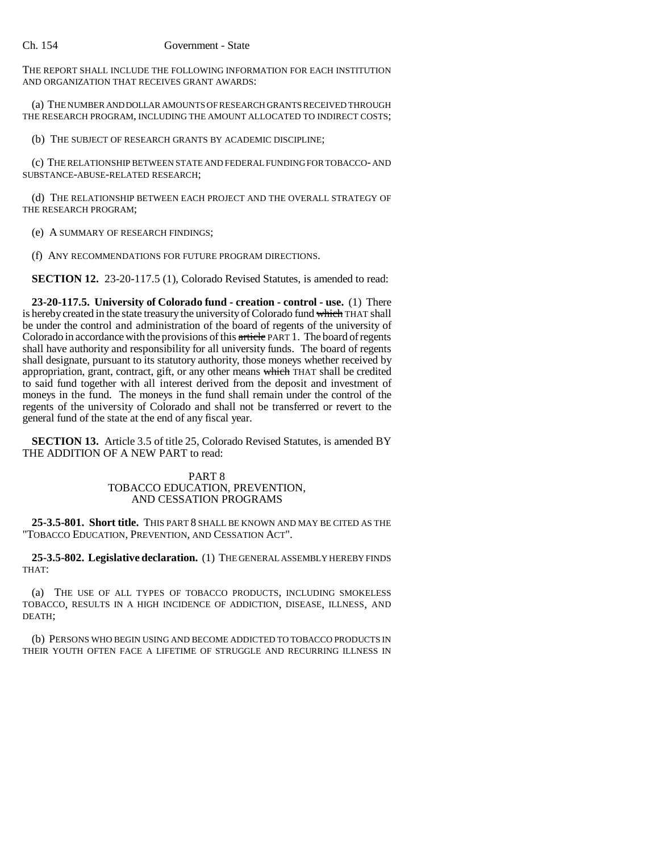THE REPORT SHALL INCLUDE THE FOLLOWING INFORMATION FOR EACH INSTITUTION AND ORGANIZATION THAT RECEIVES GRANT AWARDS:

(a) THE NUMBER AND DOLLAR AMOUNTS OF RESEARCH GRANTS RECEIVED THROUGH THE RESEARCH PROGRAM, INCLUDING THE AMOUNT ALLOCATED TO INDIRECT COSTS;

(b) THE SUBJECT OF RESEARCH GRANTS BY ACADEMIC DISCIPLINE;

(c) THE RELATIONSHIP BETWEEN STATE AND FEDERAL FUNDING FOR TOBACCO- AND SUBSTANCE-ABUSE-RELATED RESEARCH;

(d) THE RELATIONSHIP BETWEEN EACH PROJECT AND THE OVERALL STRATEGY OF THE RESEARCH PROGRAM;

(e) A SUMMARY OF RESEARCH FINDINGS;

(f) ANY RECOMMENDATIONS FOR FUTURE PROGRAM DIRECTIONS.

**SECTION 12.** 23-20-117.5 (1), Colorado Revised Statutes, is amended to read:

**23-20-117.5. University of Colorado fund - creation - control - use.** (1) There is hereby created in the state treasury the university of Colorado fund which THAT shall be under the control and administration of the board of regents of the university of Colorado in accordance with the provisions of this article PART 1. The board of regents shall have authority and responsibility for all university funds. The board of regents shall designate, pursuant to its statutory authority, those moneys whether received by appropriation, grant, contract, gift, or any other means which THAT shall be credited to said fund together with all interest derived from the deposit and investment of moneys in the fund. The moneys in the fund shall remain under the control of the regents of the university of Colorado and shall not be transferred or revert to the general fund of the state at the end of any fiscal year.

**SECTION 13.** Article 3.5 of title 25, Colorado Revised Statutes, is amended BY THE ADDITION OF A NEW PART to read:

# PART 8 TOBACCO EDUCATION, PREVENTION, AND CESSATION PROGRAMS

**25-3.5-801. Short title.** THIS PART 8 SHALL BE KNOWN AND MAY BE CITED AS THE "TOBACCO EDUCATION, PREVENTION, AND CESSATION ACT".

**25-3.5-802. Legislative declaration.** (1) THE GENERAL ASSEMBLY HEREBY FINDS THAT:

(a) THE USE OF ALL TYPES OF TOBACCO PRODUCTS, INCLUDING SMOKELESS TOBACCO, RESULTS IN A HIGH INCIDENCE OF ADDICTION, DISEASE, ILLNESS, AND DEATH;

(b) PERSONS WHO BEGIN USING AND BECOME ADDICTED TO TOBACCO PRODUCTS IN THEIR YOUTH OFTEN FACE A LIFETIME OF STRUGGLE AND RECURRING ILLNESS IN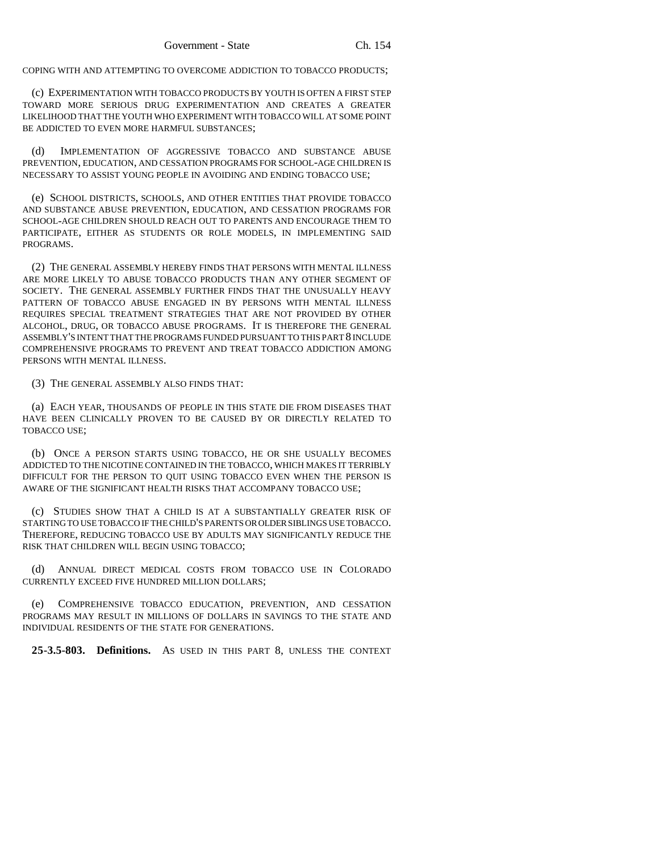COPING WITH AND ATTEMPTING TO OVERCOME ADDICTION TO TOBACCO PRODUCTS;

(c) EXPERIMENTATION WITH TOBACCO PRODUCTS BY YOUTH IS OFTEN A FIRST STEP TOWARD MORE SERIOUS DRUG EXPERIMENTATION AND CREATES A GREATER LIKELIHOOD THAT THE YOUTH WHO EXPERIMENT WITH TOBACCO WILL AT SOME POINT BE ADDICTED TO EVEN MORE HARMFUL SUBSTANCES;

(d) IMPLEMENTATION OF AGGRESSIVE TOBACCO AND SUBSTANCE ABUSE PREVENTION, EDUCATION, AND CESSATION PROGRAMS FOR SCHOOL-AGE CHILDREN IS NECESSARY TO ASSIST YOUNG PEOPLE IN AVOIDING AND ENDING TOBACCO USE;

(e) SCHOOL DISTRICTS, SCHOOLS, AND OTHER ENTITIES THAT PROVIDE TOBACCO AND SUBSTANCE ABUSE PREVENTION, EDUCATION, AND CESSATION PROGRAMS FOR SCHOOL-AGE CHILDREN SHOULD REACH OUT TO PARENTS AND ENCOURAGE THEM TO PARTICIPATE, EITHER AS STUDENTS OR ROLE MODELS, IN IMPLEMENTING SAID PROGRAMS.

(2) THE GENERAL ASSEMBLY HEREBY FINDS THAT PERSONS WITH MENTAL ILLNESS ARE MORE LIKELY TO ABUSE TOBACCO PRODUCTS THAN ANY OTHER SEGMENT OF SOCIETY. THE GENERAL ASSEMBLY FURTHER FINDS THAT THE UNUSUALLY HEAVY PATTERN OF TOBACCO ABUSE ENGAGED IN BY PERSONS WITH MENTAL ILLNESS REQUIRES SPECIAL TREATMENT STRATEGIES THAT ARE NOT PROVIDED BY OTHER ALCOHOL, DRUG, OR TOBACCO ABUSE PROGRAMS. IT IS THEREFORE THE GENERAL ASSEMBLY'S INTENT THAT THE PROGRAMS FUNDED PURSUANT TO THIS PART 8 INCLUDE COMPREHENSIVE PROGRAMS TO PREVENT AND TREAT TOBACCO ADDICTION AMONG PERSONS WITH MENTAL ILLNESS.

(3) THE GENERAL ASSEMBLY ALSO FINDS THAT:

(a) EACH YEAR, THOUSANDS OF PEOPLE IN THIS STATE DIE FROM DISEASES THAT HAVE BEEN CLINICALLY PROVEN TO BE CAUSED BY OR DIRECTLY RELATED TO TOBACCO USE;

(b) ONCE A PERSON STARTS USING TOBACCO, HE OR SHE USUALLY BECOMES ADDICTED TO THE NICOTINE CONTAINED IN THE TOBACCO, WHICH MAKES IT TERRIBLY DIFFICULT FOR THE PERSON TO QUIT USING TOBACCO EVEN WHEN THE PERSON IS AWARE OF THE SIGNIFICANT HEALTH RISKS THAT ACCOMPANY TOBACCO USE;

(c) STUDIES SHOW THAT A CHILD IS AT A SUBSTANTIALLY GREATER RISK OF STARTING TO USE TOBACCO IF THE CHILD'S PARENTS OR OLDER SIBLINGS USE TOBACCO. THEREFORE, REDUCING TOBACCO USE BY ADULTS MAY SIGNIFICANTLY REDUCE THE RISK THAT CHILDREN WILL BEGIN USING TOBACCO;

(d) ANNUAL DIRECT MEDICAL COSTS FROM TOBACCO USE IN COLORADO CURRENTLY EXCEED FIVE HUNDRED MILLION DOLLARS;

(e) COMPREHENSIVE TOBACCO EDUCATION, PREVENTION, AND CESSATION PROGRAMS MAY RESULT IN MILLIONS OF DOLLARS IN SAVINGS TO THE STATE AND INDIVIDUAL RESIDENTS OF THE STATE FOR GENERATIONS.

**25-3.5-803. Definitions.** AS USED IN THIS PART 8, UNLESS THE CONTEXT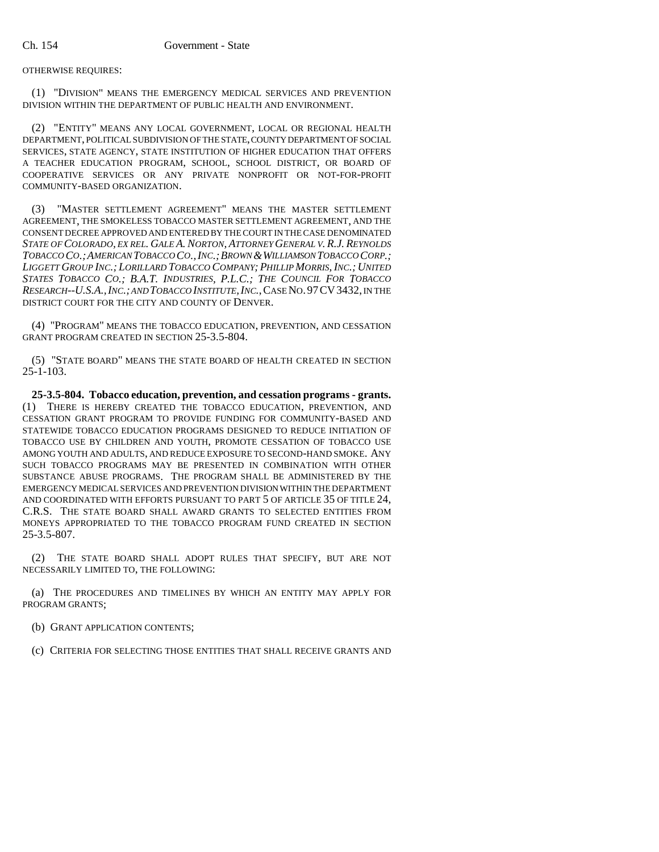OTHERWISE REQUIRES:

(1) "DIVISION" MEANS THE EMERGENCY MEDICAL SERVICES AND PREVENTION DIVISION WITHIN THE DEPARTMENT OF PUBLIC HEALTH AND ENVIRONMENT.

(2) "ENTITY" MEANS ANY LOCAL GOVERNMENT, LOCAL OR REGIONAL HEALTH DEPARTMENT, POLITICAL SUBDIVISION OF THE STATE, COUNTY DEPARTMENT OF SOCIAL SERVICES, STATE AGENCY, STATE INSTITUTION OF HIGHER EDUCATION THAT OFFERS A TEACHER EDUCATION PROGRAM, SCHOOL, SCHOOL DISTRICT, OR BOARD OF COOPERATIVE SERVICES OR ANY PRIVATE NONPROFIT OR NOT-FOR-PROFIT COMMUNITY-BASED ORGANIZATION.

(3) "MASTER SETTLEMENT AGREEMENT" MEANS THE MASTER SETTLEMENT AGREEMENT, THE SMOKELESS TOBACCO MASTER SETTLEMENT AGREEMENT, AND THE CONSENT DECREE APPROVED AND ENTERED BY THE COURT IN THE CASE DENOMINATED *STATE OF COLORADO, EX REL. GALE A. NORTON, ATTORNEY GENERAL V. R.J. REYNOLDS TOBACCO CO.;AMERICAN TOBACCO CO.,INC.;BROWN &WILLIAMSON TOBACCO CORP.; LIGGETT GROUP INC.; LORILLARD TOBACCO COMPANY; PHILLIP MORRIS, INC.; UNITED STATES TOBACCO CO.; B.A.T. INDUSTRIES, P.L.C.; THE COUNCIL FOR TOBACCO RESEARCH--U.S.A.,INC.; AND TOBACCO INSTITUTE,INC.*,CASE NO.97CV3432, IN THE DISTRICT COURT FOR THE CITY AND COUNTY OF DENVER.

(4) "PROGRAM" MEANS THE TOBACCO EDUCATION, PREVENTION, AND CESSATION GRANT PROGRAM CREATED IN SECTION 25-3.5-804.

(5) "STATE BOARD" MEANS THE STATE BOARD OF HEALTH CREATED IN SECTION  $25 - 1 - 103$ .

**25-3.5-804. Tobacco education, prevention, and cessation programs - grants.** (1) THERE IS HEREBY CREATED THE TOBACCO EDUCATION, PREVENTION, AND CESSATION GRANT PROGRAM TO PROVIDE FUNDING FOR COMMUNITY-BASED AND STATEWIDE TOBACCO EDUCATION PROGRAMS DESIGNED TO REDUCE INITIATION OF TOBACCO USE BY CHILDREN AND YOUTH, PROMOTE CESSATION OF TOBACCO USE AMONG YOUTH AND ADULTS, AND REDUCE EXPOSURE TO SECOND-HAND SMOKE. ANY SUCH TOBACCO PROGRAMS MAY BE PRESENTED IN COMBINATION WITH OTHER SUBSTANCE ABUSE PROGRAMS. THE PROGRAM SHALL BE ADMINISTERED BY THE EMERGENCY MEDICAL SERVICES AND PREVENTION DIVISION WITHIN THE DEPARTMENT AND COORDINATED WITH EFFORTS PURSUANT TO PART 5 OF ARTICLE 35 OF TITLE 24, C.R.S. THE STATE BOARD SHALL AWARD GRANTS TO SELECTED ENTITIES FROM MONEYS APPROPRIATED TO THE TOBACCO PROGRAM FUND CREATED IN SECTION 25-3.5-807.

(2) THE STATE BOARD SHALL ADOPT RULES THAT SPECIFY, BUT ARE NOT NECESSARILY LIMITED TO, THE FOLLOWING:

(a) THE PROCEDURES AND TIMELINES BY WHICH AN ENTITY MAY APPLY FOR PROGRAM GRANTS;

(b) GRANT APPLICATION CONTENTS;

(c) CRITERIA FOR SELECTING THOSE ENTITIES THAT SHALL RECEIVE GRANTS AND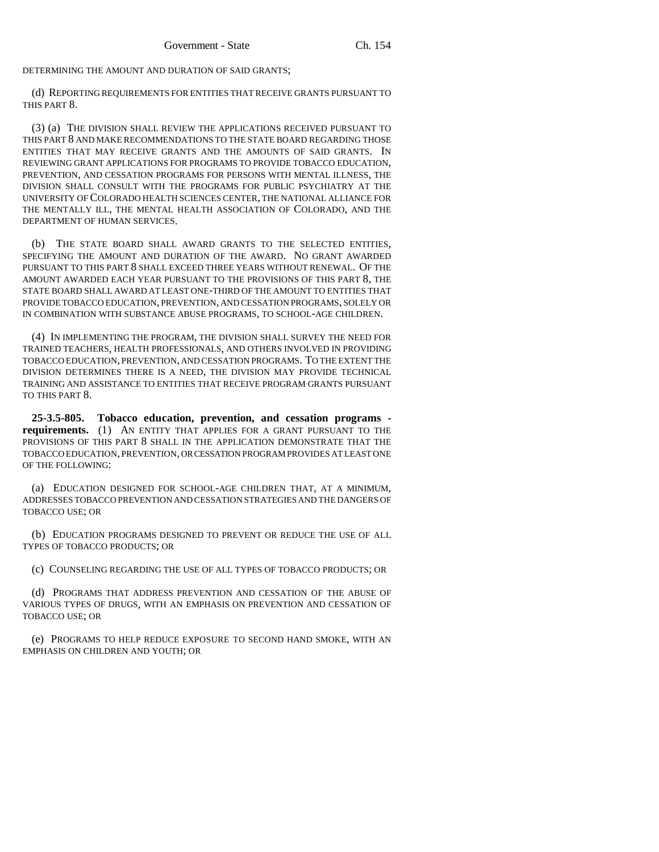DETERMINING THE AMOUNT AND DURATION OF SAID GRANTS;

(d) REPORTING REQUIREMENTS FOR ENTITIES THAT RECEIVE GRANTS PURSUANT TO THIS PART 8.

(3) (a) THE DIVISION SHALL REVIEW THE APPLICATIONS RECEIVED PURSUANT TO THIS PART 8 AND MAKE RECOMMENDATIONS TO THE STATE BOARD REGARDING THOSE ENTITIES THAT MAY RECEIVE GRANTS AND THE AMOUNTS OF SAID GRANTS. IN REVIEWING GRANT APPLICATIONS FOR PROGRAMS TO PROVIDE TOBACCO EDUCATION, PREVENTION, AND CESSATION PROGRAMS FOR PERSONS WITH MENTAL ILLNESS, THE DIVISION SHALL CONSULT WITH THE PROGRAMS FOR PUBLIC PSYCHIATRY AT THE UNIVERSITY OF COLORADO HEALTH SCIENCES CENTER, THE NATIONAL ALLIANCE FOR THE MENTALLY ILL, THE MENTAL HEALTH ASSOCIATION OF COLORADO, AND THE DEPARTMENT OF HUMAN SERVICES.

(b) THE STATE BOARD SHALL AWARD GRANTS TO THE SELECTED ENTITIES, SPECIFYING THE AMOUNT AND DURATION OF THE AWARD. NO GRANT AWARDED PURSUANT TO THIS PART 8 SHALL EXCEED THREE YEARS WITHOUT RENEWAL. OF THE AMOUNT AWARDED EACH YEAR PURSUANT TO THE PROVISIONS OF THIS PART 8, THE STATE BOARD SHALL AWARD AT LEAST ONE-THIRD OF THE AMOUNT TO ENTITIES THAT PROVIDE TOBACCO EDUCATION, PREVENTION, AND CESSATION PROGRAMS, SOLELY OR IN COMBINATION WITH SUBSTANCE ABUSE PROGRAMS, TO SCHOOL-AGE CHILDREN.

(4) IN IMPLEMENTING THE PROGRAM, THE DIVISION SHALL SURVEY THE NEED FOR TRAINED TEACHERS, HEALTH PROFESSIONALS, AND OTHERS INVOLVED IN PROVIDING TOBACCO EDUCATION, PREVENTION, AND CESSATION PROGRAMS. TO THE EXTENT THE DIVISION DETERMINES THERE IS A NEED, THE DIVISION MAY PROVIDE TECHNICAL TRAINING AND ASSISTANCE TO ENTITIES THAT RECEIVE PROGRAM GRANTS PURSUANT TO THIS PART 8.

**25-3.5-805. Tobacco education, prevention, and cessation programs requirements.** (1) AN ENTITY THAT APPLIES FOR A GRANT PURSUANT TO THE PROVISIONS OF THIS PART 8 SHALL IN THE APPLICATION DEMONSTRATE THAT THE TOBACCO EDUCATION, PREVENTION, OR CESSATION PROGRAM PROVIDES AT LEAST ONE OF THE FOLLOWING:

(a) EDUCATION DESIGNED FOR SCHOOL-AGE CHILDREN THAT, AT A MINIMUM, ADDRESSES TOBACCO PREVENTION AND CESSATION STRATEGIES AND THE DANGERS OF TOBACCO USE; OR

(b) EDUCATION PROGRAMS DESIGNED TO PREVENT OR REDUCE THE USE OF ALL TYPES OF TOBACCO PRODUCTS; OR

(c) COUNSELING REGARDING THE USE OF ALL TYPES OF TOBACCO PRODUCTS; OR

(d) PROGRAMS THAT ADDRESS PREVENTION AND CESSATION OF THE ABUSE OF VARIOUS TYPES OF DRUGS, WITH AN EMPHASIS ON PREVENTION AND CESSATION OF TOBACCO USE; OR

(e) PROGRAMS TO HELP REDUCE EXPOSURE TO SECOND HAND SMOKE, WITH AN EMPHASIS ON CHILDREN AND YOUTH; OR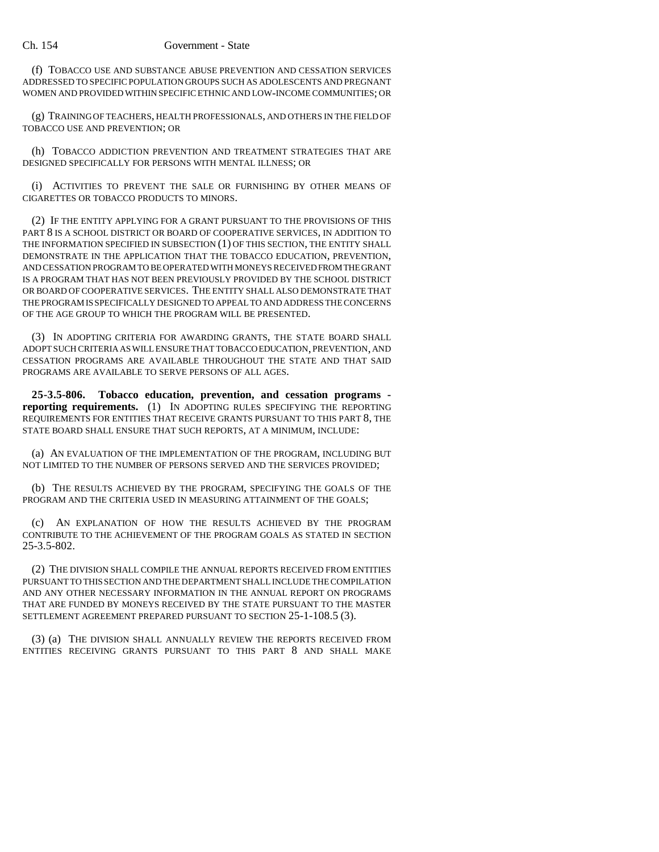(f) TOBACCO USE AND SUBSTANCE ABUSE PREVENTION AND CESSATION SERVICES ADDRESSED TO SPECIFIC POPULATION GROUPS SUCH AS ADOLESCENTS AND PREGNANT WOMEN AND PROVIDED WITHIN SPECIFIC ETHNIC AND LOW-INCOME COMMUNITIES; OR

(g) TRAINING OF TEACHERS, HEALTH PROFESSIONALS, AND OTHERS IN THE FIELD OF TOBACCO USE AND PREVENTION; OR

(h) TOBACCO ADDICTION PREVENTION AND TREATMENT STRATEGIES THAT ARE DESIGNED SPECIFICALLY FOR PERSONS WITH MENTAL ILLNESS; OR

(i) ACTIVITIES TO PREVENT THE SALE OR FURNISHING BY OTHER MEANS OF CIGARETTES OR TOBACCO PRODUCTS TO MINORS.

(2) IF THE ENTITY APPLYING FOR A GRANT PURSUANT TO THE PROVISIONS OF THIS PART 8 IS A SCHOOL DISTRICT OR BOARD OF COOPERATIVE SERVICES, IN ADDITION TO THE INFORMATION SPECIFIED IN SUBSECTION (1) OF THIS SECTION, THE ENTITY SHALL DEMONSTRATE IN THE APPLICATION THAT THE TOBACCO EDUCATION, PREVENTION, AND CESSATION PROGRAM TO BE OPERATED WITH MONEYS RECEIVED FROM THE GRANT IS A PROGRAM THAT HAS NOT BEEN PREVIOUSLY PROVIDED BY THE SCHOOL DISTRICT OR BOARD OF COOPERATIVE SERVICES. THE ENTITY SHALL ALSO DEMONSTRATE THAT THE PROGRAM IS SPECIFICALLY DESIGNED TO APPEAL TO AND ADDRESS THE CONCERNS OF THE AGE GROUP TO WHICH THE PROGRAM WILL BE PRESENTED.

(3) IN ADOPTING CRITERIA FOR AWARDING GRANTS, THE STATE BOARD SHALL ADOPT SUCH CRITERIA AS WILL ENSURE THAT TOBACCO EDUCATION, PREVENTION, AND CESSATION PROGRAMS ARE AVAILABLE THROUGHOUT THE STATE AND THAT SAID PROGRAMS ARE AVAILABLE TO SERVE PERSONS OF ALL AGES.

**25-3.5-806. Tobacco education, prevention, and cessation programs reporting requirements.** (1) IN ADOPTING RULES SPECIFYING THE REPORTING REQUIREMENTS FOR ENTITIES THAT RECEIVE GRANTS PURSUANT TO THIS PART 8, THE STATE BOARD SHALL ENSURE THAT SUCH REPORTS, AT A MINIMUM, INCLUDE:

(a) AN EVALUATION OF THE IMPLEMENTATION OF THE PROGRAM, INCLUDING BUT NOT LIMITED TO THE NUMBER OF PERSONS SERVED AND THE SERVICES PROVIDED;

(b) THE RESULTS ACHIEVED BY THE PROGRAM, SPECIFYING THE GOALS OF THE PROGRAM AND THE CRITERIA USED IN MEASURING ATTAINMENT OF THE GOALS;

(c) AN EXPLANATION OF HOW THE RESULTS ACHIEVED BY THE PROGRAM CONTRIBUTE TO THE ACHIEVEMENT OF THE PROGRAM GOALS AS STATED IN SECTION 25-3.5-802.

(2) THE DIVISION SHALL COMPILE THE ANNUAL REPORTS RECEIVED FROM ENTITIES PURSUANT TO THIS SECTION AND THE DEPARTMENT SHALL INCLUDE THE COMPILATION AND ANY OTHER NECESSARY INFORMATION IN THE ANNUAL REPORT ON PROGRAMS THAT ARE FUNDED BY MONEYS RECEIVED BY THE STATE PURSUANT TO THE MASTER SETTLEMENT AGREEMENT PREPARED PURSUANT TO SECTION 25-1-108.5 (3).

(3) (a) THE DIVISION SHALL ANNUALLY REVIEW THE REPORTS RECEIVED FROM ENTITIES RECEIVING GRANTS PURSUANT TO THIS PART 8 AND SHALL MAKE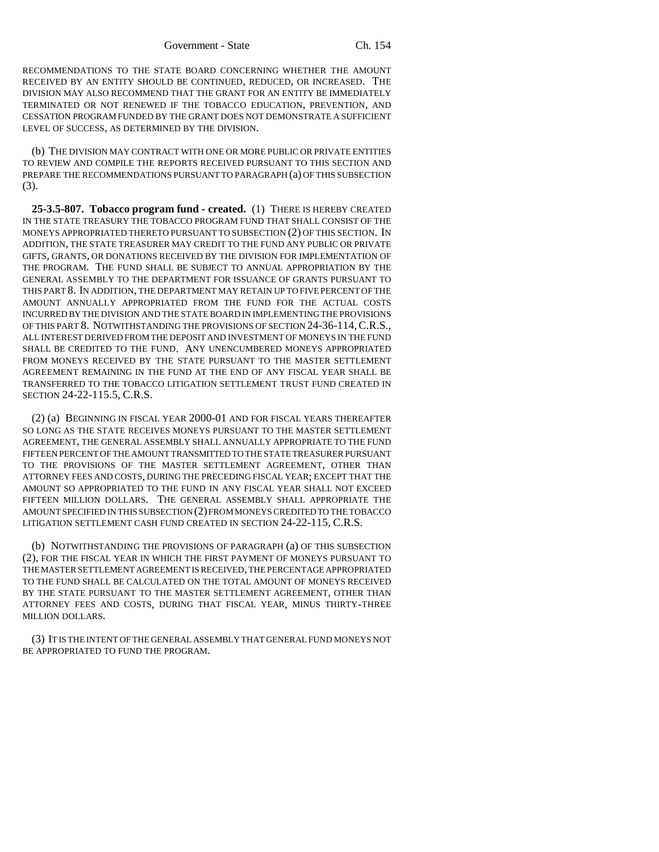RECOMMENDATIONS TO THE STATE BOARD CONCERNING WHETHER THE AMOUNT RECEIVED BY AN ENTITY SHOULD BE CONTINUED, REDUCED, OR INCREASED. THE DIVISION MAY ALSO RECOMMEND THAT THE GRANT FOR AN ENTITY BE IMMEDIATELY TERMINATED OR NOT RENEWED IF THE TOBACCO EDUCATION, PREVENTION, AND CESSATION PROGRAM FUNDED BY THE GRANT DOES NOT DEMONSTRATE A SUFFICIENT LEVEL OF SUCCESS, AS DETERMINED BY THE DIVISION.

(b) THE DIVISION MAY CONTRACT WITH ONE OR MORE PUBLIC OR PRIVATE ENTITIES TO REVIEW AND COMPILE THE REPORTS RECEIVED PURSUANT TO THIS SECTION AND PREPARE THE RECOMMENDATIONS PURSUANT TO PARAGRAPH (a) OF THIS SUBSECTION (3).

**25-3.5-807. Tobacco program fund - created.** (1) THERE IS HEREBY CREATED IN THE STATE TREASURY THE TOBACCO PROGRAM FUND THAT SHALL CONSIST OF THE MONEYS APPROPRIATED THERETO PURSUANT TO SUBSECTION (2) OF THIS SECTION. IN ADDITION, THE STATE TREASURER MAY CREDIT TO THE FUND ANY PUBLIC OR PRIVATE GIFTS, GRANTS, OR DONATIONS RECEIVED BY THE DIVISION FOR IMPLEMENTATION OF THE PROGRAM. THE FUND SHALL BE SUBJECT TO ANNUAL APPROPRIATION BY THE GENERAL ASSEMBLY TO THE DEPARTMENT FOR ISSUANCE OF GRANTS PURSUANT TO THIS PART 8. IN ADDITION, THE DEPARTMENT MAY RETAIN UP TO FIVE PERCENT OF THE AMOUNT ANNUALLY APPROPRIATED FROM THE FUND FOR THE ACTUAL COSTS INCURRED BY THE DIVISION AND THE STATE BOARD IN IMPLEMENTING THE PROVISIONS OF THIS PART 8. NOTWITHSTANDING THE PROVISIONS OF SECTION 24-36-114,C.R.S., ALL INTEREST DERIVED FROM THE DEPOSIT AND INVESTMENT OF MONEYS IN THE FUND SHALL BE CREDITED TO THE FUND. ANY UNENCUMBERED MONEYS APPROPRIATED FROM MONEYS RECEIVED BY THE STATE PURSUANT TO THE MASTER SETTLEMENT AGREEMENT REMAINING IN THE FUND AT THE END OF ANY FISCAL YEAR SHALL BE TRANSFERRED TO THE TOBACCO LITIGATION SETTLEMENT TRUST FUND CREATED IN SECTION 24-22-115.5, C.R.S.

(2) (a) BEGINNING IN FISCAL YEAR 2000-01 AND FOR FISCAL YEARS THEREAFTER SO LONG AS THE STATE RECEIVES MONEYS PURSUANT TO THE MASTER SETTLEMENT AGREEMENT, THE GENERAL ASSEMBLY SHALL ANNUALLY APPROPRIATE TO THE FUND FIFTEEN PERCENT OF THE AMOUNT TRANSMITTED TO THE STATE TREASURER PURSUANT TO THE PROVISIONS OF THE MASTER SETTLEMENT AGREEMENT, OTHER THAN ATTORNEY FEES AND COSTS, DURING THE PRECEDING FISCAL YEAR; EXCEPT THAT THE AMOUNT SO APPROPRIATED TO THE FUND IN ANY FISCAL YEAR SHALL NOT EXCEED FIFTEEN MILLION DOLLARS. THE GENERAL ASSEMBLY SHALL APPROPRIATE THE AMOUNT SPECIFIED IN THIS SUBSECTION (2) FROM MONEYS CREDITED TO THE TOBACCO LITIGATION SETTLEMENT CASH FUND CREATED IN SECTION 24-22-115, C.R.S.

(b) NOTWITHSTANDING THE PROVISIONS OF PARAGRAPH (a) OF THIS SUBSECTION (2), FOR THE FISCAL YEAR IN WHICH THE FIRST PAYMENT OF MONEYS PURSUANT TO THE MASTER SETTLEMENT AGREEMENT IS RECEIVED, THE PERCENTAGE APPROPRIATED TO THE FUND SHALL BE CALCULATED ON THE TOTAL AMOUNT OF MONEYS RECEIVED BY THE STATE PURSUANT TO THE MASTER SETTLEMENT AGREEMENT, OTHER THAN ATTORNEY FEES AND COSTS, DURING THAT FISCAL YEAR, MINUS THIRTY-THREE MILLION DOLLARS.

(3) IT IS THE INTENT OF THE GENERAL ASSEMBLY THAT GENERAL FUND MONEYS NOT BE APPROPRIATED TO FUND THE PROGRAM.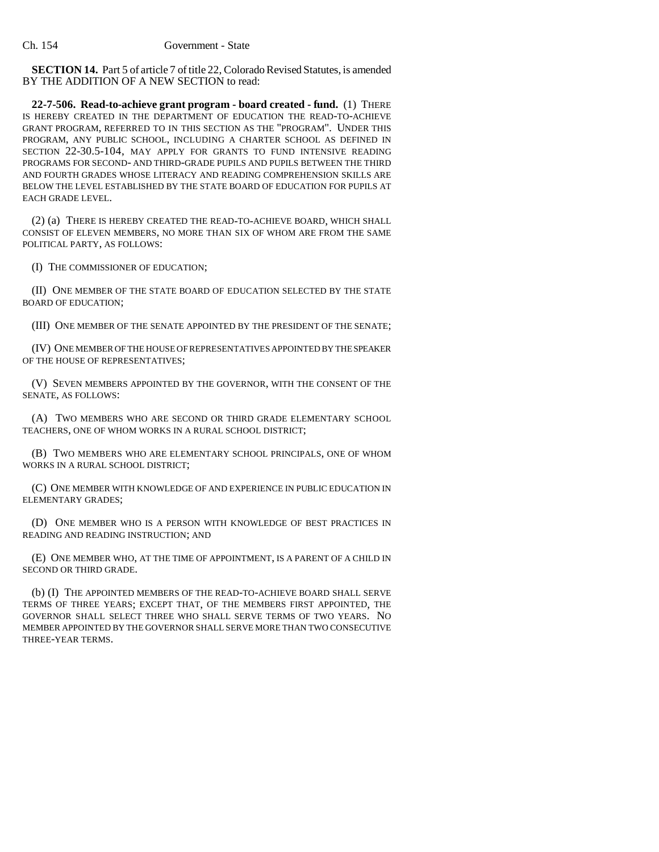**SECTION 14.** Part 5 of article 7 of title 22, Colorado Revised Statutes, is amended BY THE ADDITION OF A NEW SECTION to read:

**22-7-506. Read-to-achieve grant program - board created - fund.** (1) THERE IS HEREBY CREATED IN THE DEPARTMENT OF EDUCATION THE READ-TO-ACHIEVE GRANT PROGRAM, REFERRED TO IN THIS SECTION AS THE "PROGRAM". UNDER THIS PROGRAM, ANY PUBLIC SCHOOL, INCLUDING A CHARTER SCHOOL AS DEFINED IN SECTION 22-30.5-104, MAY APPLY FOR GRANTS TO FUND INTENSIVE READING PROGRAMS FOR SECOND- AND THIRD-GRADE PUPILS AND PUPILS BETWEEN THE THIRD AND FOURTH GRADES WHOSE LITERACY AND READING COMPREHENSION SKILLS ARE BELOW THE LEVEL ESTABLISHED BY THE STATE BOARD OF EDUCATION FOR PUPILS AT EACH GRADE LEVEL.

(2) (a) THERE IS HEREBY CREATED THE READ-TO-ACHIEVE BOARD, WHICH SHALL CONSIST OF ELEVEN MEMBERS, NO MORE THAN SIX OF WHOM ARE FROM THE SAME POLITICAL PARTY, AS FOLLOWS:

(I) THE COMMISSIONER OF EDUCATION;

(II) ONE MEMBER OF THE STATE BOARD OF EDUCATION SELECTED BY THE STATE BOARD OF EDUCATION;

(III) ONE MEMBER OF THE SENATE APPOINTED BY THE PRESIDENT OF THE SENATE;

(IV) ONE MEMBER OF THE HOUSE OF REPRESENTATIVES APPOINTED BY THE SPEAKER OF THE HOUSE OF REPRESENTATIVES;

(V) SEVEN MEMBERS APPOINTED BY THE GOVERNOR, WITH THE CONSENT OF THE SENATE, AS FOLLOWS:

(A) TWO MEMBERS WHO ARE SECOND OR THIRD GRADE ELEMENTARY SCHOOL TEACHERS, ONE OF WHOM WORKS IN A RURAL SCHOOL DISTRICT;

(B) TWO MEMBERS WHO ARE ELEMENTARY SCHOOL PRINCIPALS, ONE OF WHOM WORKS IN A RURAL SCHOOL DISTRICT;

(C) ONE MEMBER WITH KNOWLEDGE OF AND EXPERIENCE IN PUBLIC EDUCATION IN ELEMENTARY GRADES;

(D) ONE MEMBER WHO IS A PERSON WITH KNOWLEDGE OF BEST PRACTICES IN READING AND READING INSTRUCTION; AND

(E) ONE MEMBER WHO, AT THE TIME OF APPOINTMENT, IS A PARENT OF A CHILD IN SECOND OR THIRD GRADE.

(b) (I) THE APPOINTED MEMBERS OF THE READ-TO-ACHIEVE BOARD SHALL SERVE TERMS OF THREE YEARS; EXCEPT THAT, OF THE MEMBERS FIRST APPOINTED, THE GOVERNOR SHALL SELECT THREE WHO SHALL SERVE TERMS OF TWO YEARS. NO MEMBER APPOINTED BY THE GOVERNOR SHALL SERVE MORE THAN TWO CONSECUTIVE THREE-YEAR TERMS.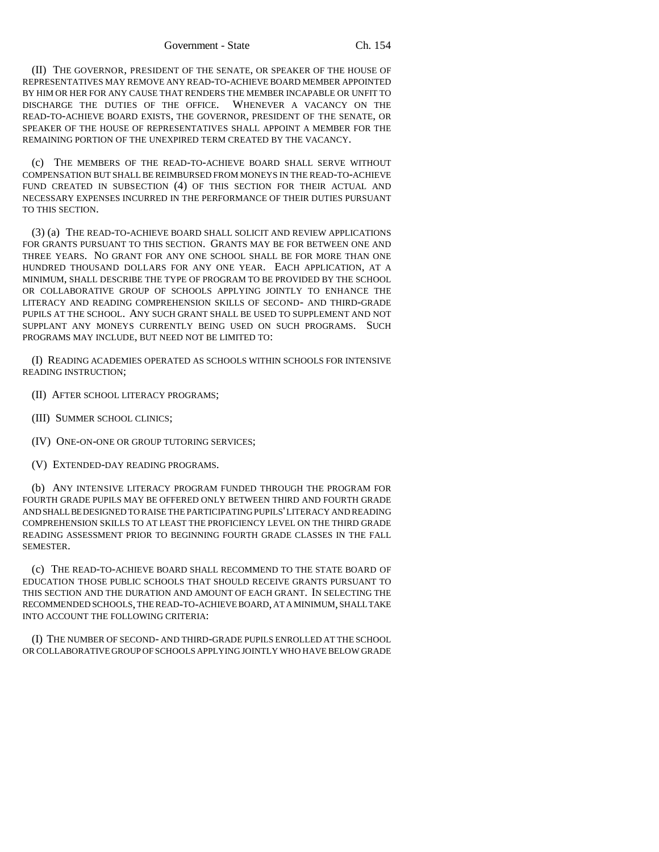(II) THE GOVERNOR, PRESIDENT OF THE SENATE, OR SPEAKER OF THE HOUSE OF REPRESENTATIVES MAY REMOVE ANY READ-TO-ACHIEVE BOARD MEMBER APPOINTED BY HIM OR HER FOR ANY CAUSE THAT RENDERS THE MEMBER INCAPABLE OR UNFIT TO DISCHARGE THE DUTIES OF THE OFFICE. WHENEVER A VACANCY ON THE READ-TO-ACHIEVE BOARD EXISTS, THE GOVERNOR, PRESIDENT OF THE SENATE, OR SPEAKER OF THE HOUSE OF REPRESENTATIVES SHALL APPOINT A MEMBER FOR THE REMAINING PORTION OF THE UNEXPIRED TERM CREATED BY THE VACANCY.

(c) THE MEMBERS OF THE READ-TO-ACHIEVE BOARD SHALL SERVE WITHOUT COMPENSATION BUT SHALL BE REIMBURSED FROM MONEYS IN THE READ-TO-ACHIEVE FUND CREATED IN SUBSECTION (4) OF THIS SECTION FOR THEIR ACTUAL AND NECESSARY EXPENSES INCURRED IN THE PERFORMANCE OF THEIR DUTIES PURSUANT TO THIS SECTION.

(3) (a) THE READ-TO-ACHIEVE BOARD SHALL SOLICIT AND REVIEW APPLICATIONS FOR GRANTS PURSUANT TO THIS SECTION. GRANTS MAY BE FOR BETWEEN ONE AND THREE YEARS. NO GRANT FOR ANY ONE SCHOOL SHALL BE FOR MORE THAN ONE HUNDRED THOUSAND DOLLARS FOR ANY ONE YEAR. EACH APPLICATION, AT A MINIMUM, SHALL DESCRIBE THE TYPE OF PROGRAM TO BE PROVIDED BY THE SCHOOL OR COLLABORATIVE GROUP OF SCHOOLS APPLYING JOINTLY TO ENHANCE THE LITERACY AND READING COMPREHENSION SKILLS OF SECOND- AND THIRD-GRADE PUPILS AT THE SCHOOL. ANY SUCH GRANT SHALL BE USED TO SUPPLEMENT AND NOT SUPPLANT ANY MONEYS CURRENTLY BEING USED ON SUCH PROGRAMS. SUCH PROGRAMS MAY INCLUDE, BUT NEED NOT BE LIMITED TO:

(I) READING ACADEMIES OPERATED AS SCHOOLS WITHIN SCHOOLS FOR INTENSIVE READING INSTRUCTION;

- (II) AFTER SCHOOL LITERACY PROGRAMS;
- (III) SUMMER SCHOOL CLINICS;
- (IV) ONE-ON-ONE OR GROUP TUTORING SERVICES;
- (V) EXTENDED-DAY READING PROGRAMS.

(b) ANY INTENSIVE LITERACY PROGRAM FUNDED THROUGH THE PROGRAM FOR FOURTH GRADE PUPILS MAY BE OFFERED ONLY BETWEEN THIRD AND FOURTH GRADE AND SHALL BE DESIGNED TO RAISE THE PARTICIPATING PUPILS' LITERACY AND READING COMPREHENSION SKILLS TO AT LEAST THE PROFICIENCY LEVEL ON THE THIRD GRADE READING ASSESSMENT PRIOR TO BEGINNING FOURTH GRADE CLASSES IN THE FALL SEMESTER.

(c) THE READ-TO-ACHIEVE BOARD SHALL RECOMMEND TO THE STATE BOARD OF EDUCATION THOSE PUBLIC SCHOOLS THAT SHOULD RECEIVE GRANTS PURSUANT TO THIS SECTION AND THE DURATION AND AMOUNT OF EACH GRANT. IN SELECTING THE RECOMMENDED SCHOOLS, THE READ-TO-ACHIEVE BOARD, AT A MINIMUM, SHALL TAKE INTO ACCOUNT THE FOLLOWING CRITERIA:

(I) THE NUMBER OF SECOND- AND THIRD-GRADE PUPILS ENROLLED AT THE SCHOOL OR COLLABORATIVE GROUP OF SCHOOLS APPLYING JOINTLY WHO HAVE BELOW GRADE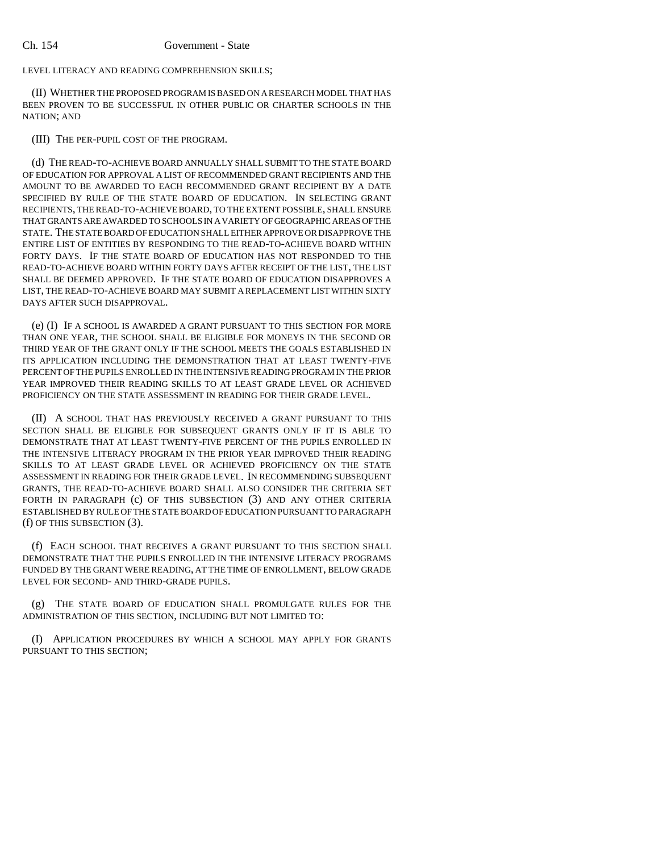LEVEL LITERACY AND READING COMPREHENSION SKILLS;

(II) WHETHER THE PROPOSED PROGRAM IS BASED ON A RESEARCH MODEL THAT HAS BEEN PROVEN TO BE SUCCESSFUL IN OTHER PUBLIC OR CHARTER SCHOOLS IN THE NATION; AND

# (III) THE PER-PUPIL COST OF THE PROGRAM.

(d) THE READ-TO-ACHIEVE BOARD ANNUALLY SHALL SUBMIT TO THE STATE BOARD OF EDUCATION FOR APPROVAL A LIST OF RECOMMENDED GRANT RECIPIENTS AND THE AMOUNT TO BE AWARDED TO EACH RECOMMENDED GRANT RECIPIENT BY A DATE SPECIFIED BY RULE OF THE STATE BOARD OF EDUCATION. IN SELECTING GRANT RECIPIENTS, THE READ-TO-ACHIEVE BOARD, TO THE EXTENT POSSIBLE, SHALL ENSURE THAT GRANTS ARE AWARDED TO SCHOOLS IN A VARIETY OF GEOGRAPHIC AREAS OF THE STATE. THE STATE BOARD OF EDUCATION SHALL EITHER APPROVE OR DISAPPROVE THE ENTIRE LIST OF ENTITIES BY RESPONDING TO THE READ-TO-ACHIEVE BOARD WITHIN FORTY DAYS. IF THE STATE BOARD OF EDUCATION HAS NOT RESPONDED TO THE READ-TO-ACHIEVE BOARD WITHIN FORTY DAYS AFTER RECEIPT OF THE LIST, THE LIST SHALL BE DEEMED APPROVED. IF THE STATE BOARD OF EDUCATION DISAPPROVES A LIST, THE READ-TO-ACHIEVE BOARD MAY SUBMIT A REPLACEMENT LIST WITHIN SIXTY DAYS AFTER SUCH DISAPPROVAL.

(e) (I) IF A SCHOOL IS AWARDED A GRANT PURSUANT TO THIS SECTION FOR MORE THAN ONE YEAR, THE SCHOOL SHALL BE ELIGIBLE FOR MONEYS IN THE SECOND OR THIRD YEAR OF THE GRANT ONLY IF THE SCHOOL MEETS THE GOALS ESTABLISHED IN ITS APPLICATION INCLUDING THE DEMONSTRATION THAT AT LEAST TWENTY-FIVE PERCENT OF THE PUPILS ENROLLED IN THE INTENSIVE READING PROGRAM IN THE PRIOR YEAR IMPROVED THEIR READING SKILLS TO AT LEAST GRADE LEVEL OR ACHIEVED PROFICIENCY ON THE STATE ASSESSMENT IN READING FOR THEIR GRADE LEVEL.

(II) A SCHOOL THAT HAS PREVIOUSLY RECEIVED A GRANT PURSUANT TO THIS SECTION SHALL BE ELIGIBLE FOR SUBSEQUENT GRANTS ONLY IF IT IS ABLE TO DEMONSTRATE THAT AT LEAST TWENTY-FIVE PERCENT OF THE PUPILS ENROLLED IN THE INTENSIVE LITERACY PROGRAM IN THE PRIOR YEAR IMPROVED THEIR READING SKILLS TO AT LEAST GRADE LEVEL OR ACHIEVED PROFICIENCY ON THE STATE ASSESSMENT IN READING FOR THEIR GRADE LEVEL. IN RECOMMENDING SUBSEQUENT GRANTS, THE READ-TO-ACHIEVE BOARD SHALL ALSO CONSIDER THE CRITERIA SET FORTH IN PARAGRAPH (c) OF THIS SUBSECTION (3) AND ANY OTHER CRITERIA ESTABLISHED BY RULE OF THE STATE BOARD OF EDUCATION PURSUANT TO PARAGRAPH (f) OF THIS SUBSECTION (3).

(f) EACH SCHOOL THAT RECEIVES A GRANT PURSUANT TO THIS SECTION SHALL DEMONSTRATE THAT THE PUPILS ENROLLED IN THE INTENSIVE LITERACY PROGRAMS FUNDED BY THE GRANT WERE READING, AT THE TIME OF ENROLLMENT, BELOW GRADE LEVEL FOR SECOND- AND THIRD-GRADE PUPILS.

(g) THE STATE BOARD OF EDUCATION SHALL PROMULGATE RULES FOR THE ADMINISTRATION OF THIS SECTION, INCLUDING BUT NOT LIMITED TO:

(I) APPLICATION PROCEDURES BY WHICH A SCHOOL MAY APPLY FOR GRANTS PURSUANT TO THIS SECTION;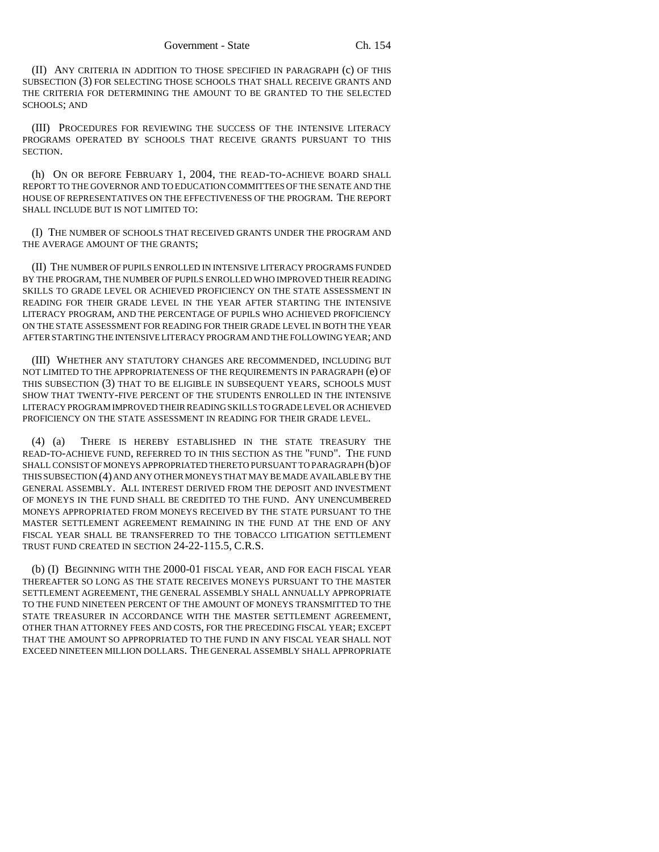(II) ANY CRITERIA IN ADDITION TO THOSE SPECIFIED IN PARAGRAPH (c) OF THIS SUBSECTION (3) FOR SELECTING THOSE SCHOOLS THAT SHALL RECEIVE GRANTS AND THE CRITERIA FOR DETERMINING THE AMOUNT TO BE GRANTED TO THE SELECTED SCHOOLS; AND

(III) PROCEDURES FOR REVIEWING THE SUCCESS OF THE INTENSIVE LITERACY PROGRAMS OPERATED BY SCHOOLS THAT RECEIVE GRANTS PURSUANT TO THIS SECTION.

(h) ON OR BEFORE FEBRUARY 1, 2004, THE READ-TO-ACHIEVE BOARD SHALL REPORT TO THE GOVERNOR AND TO EDUCATION COMMITTEES OF THE SENATE AND THE HOUSE OF REPRESENTATIVES ON THE EFFECTIVENESS OF THE PROGRAM. THE REPORT SHALL INCLUDE BUT IS NOT LIMITED TO:

(I) THE NUMBER OF SCHOOLS THAT RECEIVED GRANTS UNDER THE PROGRAM AND THE AVERAGE AMOUNT OF THE GRANTS;

(II) THE NUMBER OF PUPILS ENROLLED IN INTENSIVE LITERACY PROGRAMS FUNDED BY THE PROGRAM, THE NUMBER OF PUPILS ENROLLED WHO IMPROVED THEIR READING SKILLS TO GRADE LEVEL OR ACHIEVED PROFICIENCY ON THE STATE ASSESSMENT IN READING FOR THEIR GRADE LEVEL IN THE YEAR AFTER STARTING THE INTENSIVE LITERACY PROGRAM, AND THE PERCENTAGE OF PUPILS WHO ACHIEVED PROFICIENCY ON THE STATE ASSESSMENT FOR READING FOR THEIR GRADE LEVEL IN BOTH THE YEAR AFTER STARTING THE INTENSIVE LITERACY PROGRAM AND THE FOLLOWING YEAR; AND

(III) WHETHER ANY STATUTORY CHANGES ARE RECOMMENDED, INCLUDING BUT NOT LIMITED TO THE APPROPRIATENESS OF THE REQUIREMENTS IN PARAGRAPH (e) OF THIS SUBSECTION (3) THAT TO BE ELIGIBLE IN SUBSEQUENT YEARS, SCHOOLS MUST SHOW THAT TWENTY-FIVE PERCENT OF THE STUDENTS ENROLLED IN THE INTENSIVE LITERACY PROGRAM IMPROVED THEIR READING SKILLS TO GRADE LEVEL OR ACHIEVED PROFICIENCY ON THE STATE ASSESSMENT IN READING FOR THEIR GRADE LEVEL.

(4) (a) THERE IS HEREBY ESTABLISHED IN THE STATE TREASURY THE READ-TO-ACHIEVE FUND, REFERRED TO IN THIS SECTION AS THE "FUND". THE FUND SHALL CONSIST OF MONEYS APPROPRIATED THERETO PURSUANT TO PARAGRAPH (b) OF THIS SUBSECTION (4) AND ANY OTHER MONEYS THAT MAY BE MADE AVAILABLE BY THE GENERAL ASSEMBLY. ALL INTEREST DERIVED FROM THE DEPOSIT AND INVESTMENT OF MONEYS IN THE FUND SHALL BE CREDITED TO THE FUND. ANY UNENCUMBERED MONEYS APPROPRIATED FROM MONEYS RECEIVED BY THE STATE PURSUANT TO THE MASTER SETTLEMENT AGREEMENT REMAINING IN THE FUND AT THE END OF ANY FISCAL YEAR SHALL BE TRANSFERRED TO THE TOBACCO LITIGATION SETTLEMENT TRUST FUND CREATED IN SECTION 24-22-115.5, C.R.S.

(b) (I) BEGINNING WITH THE 2000-01 FISCAL YEAR, AND FOR EACH FISCAL YEAR THEREAFTER SO LONG AS THE STATE RECEIVES MONEYS PURSUANT TO THE MASTER SETTLEMENT AGREEMENT, THE GENERAL ASSEMBLY SHALL ANNUALLY APPROPRIATE TO THE FUND NINETEEN PERCENT OF THE AMOUNT OF MONEYS TRANSMITTED TO THE STATE TREASURER IN ACCORDANCE WITH THE MASTER SETTLEMENT AGREEMENT, OTHER THAN ATTORNEY FEES AND COSTS, FOR THE PRECEDING FISCAL YEAR; EXCEPT THAT THE AMOUNT SO APPROPRIATED TO THE FUND IN ANY FISCAL YEAR SHALL NOT EXCEED NINETEEN MILLION DOLLARS. THE GENERAL ASSEMBLY SHALL APPROPRIATE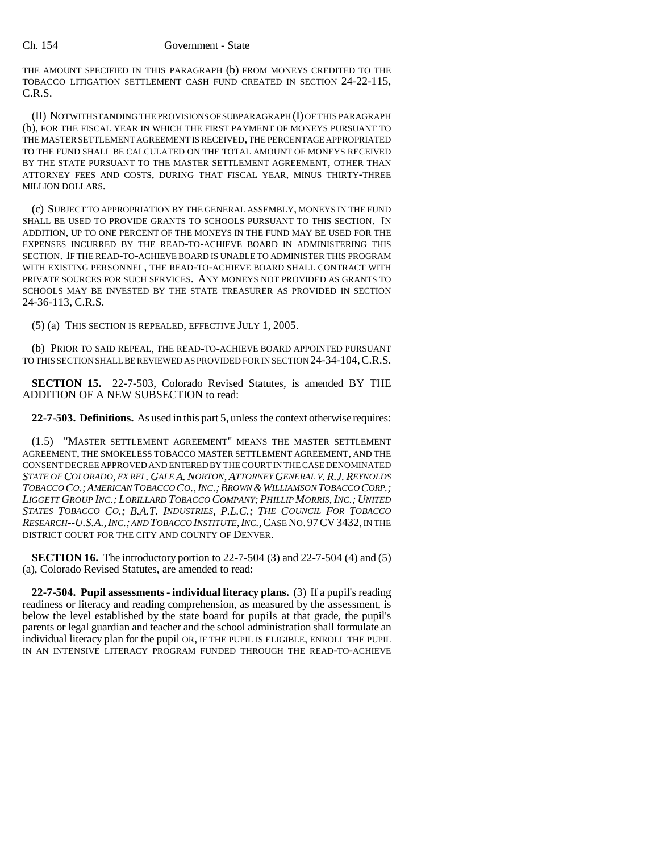THE AMOUNT SPECIFIED IN THIS PARAGRAPH (b) FROM MONEYS CREDITED TO THE TOBACCO LITIGATION SETTLEMENT CASH FUND CREATED IN SECTION 24-22-115, C.R.S.

(II) NOTWITHSTANDING THE PROVISIONS OF SUBPARAGRAPH (I) OF THIS PARAGRAPH (b), FOR THE FISCAL YEAR IN WHICH THE FIRST PAYMENT OF MONEYS PURSUANT TO THE MASTER SETTLEMENT AGREEMENT IS RECEIVED, THE PERCENTAGE APPROPRIATED TO THE FUND SHALL BE CALCULATED ON THE TOTAL AMOUNT OF MONEYS RECEIVED BY THE STATE PURSUANT TO THE MASTER SETTLEMENT AGREEMENT, OTHER THAN ATTORNEY FEES AND COSTS, DURING THAT FISCAL YEAR, MINUS THIRTY-THREE MILLION DOLLARS.

(c) SUBJECT TO APPROPRIATION BY THE GENERAL ASSEMBLY, MONEYS IN THE FUND SHALL BE USED TO PROVIDE GRANTS TO SCHOOLS PURSUANT TO THIS SECTION. IN ADDITION, UP TO ONE PERCENT OF THE MONEYS IN THE FUND MAY BE USED FOR THE EXPENSES INCURRED BY THE READ-TO-ACHIEVE BOARD IN ADMINISTERING THIS SECTION. IF THE READ-TO-ACHIEVE BOARD IS UNABLE TO ADMINISTER THIS PROGRAM WITH EXISTING PERSONNEL, THE READ-TO-ACHIEVE BOARD SHALL CONTRACT WITH PRIVATE SOURCES FOR SUCH SERVICES. ANY MONEYS NOT PROVIDED AS GRANTS TO SCHOOLS MAY BE INVESTED BY THE STATE TREASURER AS PROVIDED IN SECTION 24-36-113, C.R.S.

(5) (a) THIS SECTION IS REPEALED, EFFECTIVE JULY 1, 2005.

(b) PRIOR TO SAID REPEAL, THE READ-TO-ACHIEVE BOARD APPOINTED PURSUANT TO THIS SECTION SHALL BE REVIEWED AS PROVIDED FOR IN SECTION 24-34-104,C.R.S.

**SECTION 15.** 22-7-503, Colorado Revised Statutes, is amended BY THE ADDITION OF A NEW SUBSECTION to read:

**22-7-503. Definitions.** As used in this part 5, unless the context otherwise requires:

(1.5) "MASTER SETTLEMENT AGREEMENT" MEANS THE MASTER SETTLEMENT AGREEMENT, THE SMOKELESS TOBACCO MASTER SETTLEMENT AGREEMENT, AND THE CONSENT DECREE APPROVED AND ENTERED BY THE COURT IN THE CASE DENOMINATED *STATE OF COLORADO, EX REL. GALE A. NORTON, ATTORNEY GENERAL V. R.J. REYNOLDS TOBACCO CO.;AMERICAN TOBACCO CO.,INC.;BROWN &WILLIAMSON TOBACCO CORP.; LIGGETT GROUP INC.; LORILLARD TOBACCO COMPANY; PHILLIP MORRIS, INC.; UNITED STATES TOBACCO CO.; B.A.T. INDUSTRIES, P.L.C.; THE COUNCIL FOR TOBACCO RESEARCH--U.S.A.,INC.; AND TOBACCO INSTITUTE,INC.*,CASE NO.97CV3432, IN THE DISTRICT COURT FOR THE CITY AND COUNTY OF DENVER.

**SECTION 16.** The introductory portion to 22-7-504 (3) and 22-7-504 (4) and (5) (a), Colorado Revised Statutes, are amended to read:

**22-7-504. Pupil assessments - individual literacy plans.** (3) If a pupil's reading readiness or literacy and reading comprehension, as measured by the assessment, is below the level established by the state board for pupils at that grade, the pupil's parents or legal guardian and teacher and the school administration shall formulate an individual literacy plan for the pupil OR, IF THE PUPIL IS ELIGIBLE, ENROLL THE PUPIL IN AN INTENSIVE LITERACY PROGRAM FUNDED THROUGH THE READ-TO-ACHIEVE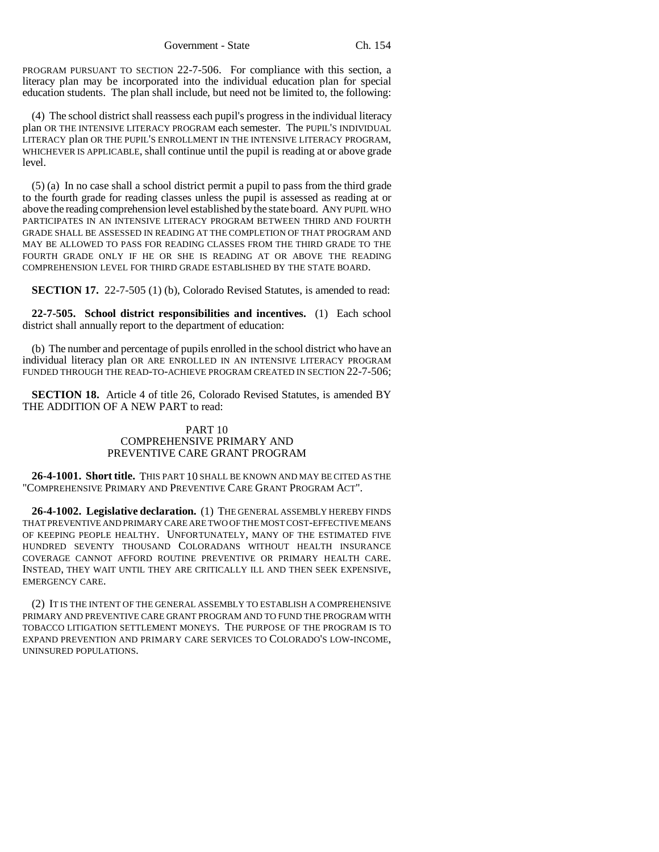Government - State Ch. 154

PROGRAM PURSUANT TO SECTION 22-7-506. For compliance with this section, a literacy plan may be incorporated into the individual education plan for special education students. The plan shall include, but need not be limited to, the following:

(4) The school district shall reassess each pupil's progress in the individual literacy plan OR THE INTENSIVE LITERACY PROGRAM each semester. The PUPIL'S INDIVIDUAL LITERACY plan OR THE PUPIL'S ENROLLMENT IN THE INTENSIVE LITERACY PROGRAM, WHICHEVER IS APPLICABLE, shall continue until the pupil is reading at or above grade level.

(5) (a) In no case shall a school district permit a pupil to pass from the third grade to the fourth grade for reading classes unless the pupil is assessed as reading at or above the reading comprehension level established by the state board. ANY PUPIL WHO PARTICIPATES IN AN INTENSIVE LITERACY PROGRAM BETWEEN THIRD AND FOURTH GRADE SHALL BE ASSESSED IN READING AT THE COMPLETION OF THAT PROGRAM AND MAY BE ALLOWED TO PASS FOR READING CLASSES FROM THE THIRD GRADE TO THE FOURTH GRADE ONLY IF HE OR SHE IS READING AT OR ABOVE THE READING COMPREHENSION LEVEL FOR THIRD GRADE ESTABLISHED BY THE STATE BOARD.

**SECTION 17.** 22-7-505 (1) (b), Colorado Revised Statutes, is amended to read:

**22-7-505. School district responsibilities and incentives.** (1) Each school district shall annually report to the department of education:

(b) The number and percentage of pupils enrolled in the school district who have an individual literacy plan OR ARE ENROLLED IN AN INTENSIVE LITERACY PROGRAM FUNDED THROUGH THE READ-TO-ACHIEVE PROGRAM CREATED IN SECTION 22-7-506;

**SECTION 18.** Article 4 of title 26, Colorado Revised Statutes, is amended BY THE ADDITION OF A NEW PART to read:

# PART 10 COMPREHENSIVE PRIMARY AND PREVENTIVE CARE GRANT PROGRAM

**26-4-1001. Short title.** THIS PART 10 SHALL BE KNOWN AND MAY BE CITED AS THE "COMPREHENSIVE PRIMARY AND PREVENTIVE CARE GRANT PROGRAM ACT".

**26-4-1002. Legislative declaration.** (1) THE GENERAL ASSEMBLY HEREBY FINDS THAT PREVENTIVE AND PRIMARY CARE ARE TWO OF THE MOST COST-EFFECTIVE MEANS OF KEEPING PEOPLE HEALTHY. UNFORTUNATELY, MANY OF THE ESTIMATED FIVE HUNDRED SEVENTY THOUSAND COLORADANS WITHOUT HEALTH INSURANCE COVERAGE CANNOT AFFORD ROUTINE PREVENTIVE OR PRIMARY HEALTH CARE. INSTEAD, THEY WAIT UNTIL THEY ARE CRITICALLY ILL AND THEN SEEK EXPENSIVE, EMERGENCY CARE.

(2) IT IS THE INTENT OF THE GENERAL ASSEMBLY TO ESTABLISH A COMPREHENSIVE PRIMARY AND PREVENTIVE CARE GRANT PROGRAM AND TO FUND THE PROGRAM WITH TOBACCO LITIGATION SETTLEMENT MONEYS. THE PURPOSE OF THE PROGRAM IS TO EXPAND PREVENTION AND PRIMARY CARE SERVICES TO COLORADO'S LOW-INCOME, UNINSURED POPULATIONS.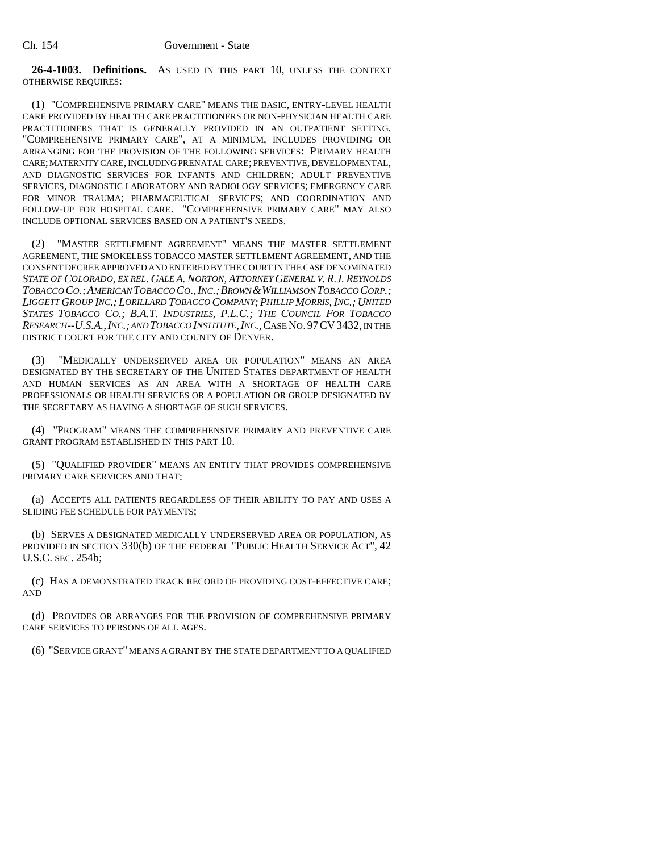**26-4-1003. Definitions.** AS USED IN THIS PART 10, UNLESS THE CONTEXT OTHERWISE REQUIRES:

(1) "COMPREHENSIVE PRIMARY CARE" MEANS THE BASIC, ENTRY-LEVEL HEALTH CARE PROVIDED BY HEALTH CARE PRACTITIONERS OR NON-PHYSICIAN HEALTH CARE PRACTITIONERS THAT IS GENERALLY PROVIDED IN AN OUTPATIENT SETTING. "COMPREHENSIVE PRIMARY CARE", AT A MINIMUM, INCLUDES PROVIDING OR ARRANGING FOR THE PROVISION OF THE FOLLOWING SERVICES: PRIMARY HEALTH CARE; MATERNITY CARE, INCLUDING PRENATAL CARE; PREVENTIVE, DEVELOPMENTAL, AND DIAGNOSTIC SERVICES FOR INFANTS AND CHILDREN; ADULT PREVENTIVE SERVICES, DIAGNOSTIC LABORATORY AND RADIOLOGY SERVICES; EMERGENCY CARE FOR MINOR TRAUMA; PHARMACEUTICAL SERVICES; AND COORDINATION AND FOLLOW-UP FOR HOSPITAL CARE. "COMPREHENSIVE PRIMARY CARE" MAY ALSO INCLUDE OPTIONAL SERVICES BASED ON A PATIENT'S NEEDS.

(2) "MASTER SETTLEMENT AGREEMENT" MEANS THE MASTER SETTLEMENT AGREEMENT, THE SMOKELESS TOBACCO MASTER SETTLEMENT AGREEMENT, AND THE CONSENT DECREE APPROVED AND ENTERED BY THE COURT IN THE CASE DENOMINATED *STATE OF COLORADO, EX REL. GALE A. NORTON, ATTORNEY GENERAL V. R.J. REYNOLDS* TOBACCO CO.; AMERICAN TOBACCO CO., INC.; BROWN & WILLIAMSON TOBACCO CORP.; *LIGGETT GROUP INC.; LORILLARD TOBACCO COMPANY; PHILLIP MORRIS, INC.; UNITED STATES TOBACCO CO.; B.A.T. INDUSTRIES, P.L.C.; THE COUNCIL FOR TOBACCO RESEARCH--U.S.A.,INC.; AND TOBACCO INSTITUTE,INC.*,CASE NO.97CV3432, IN THE DISTRICT COURT FOR THE CITY AND COUNTY OF DENVER.

"MEDICALLY UNDERSERVED AREA OR POPULATION" MEANS AN AREA DESIGNATED BY THE SECRETARY OF THE UNITED STATES DEPARTMENT OF HEALTH AND HUMAN SERVICES AS AN AREA WITH A SHORTAGE OF HEALTH CARE PROFESSIONALS OR HEALTH SERVICES OR A POPULATION OR GROUP DESIGNATED BY THE SECRETARY AS HAVING A SHORTAGE OF SUCH SERVICES.

(4) "PROGRAM" MEANS THE COMPREHENSIVE PRIMARY AND PREVENTIVE CARE GRANT PROGRAM ESTABLISHED IN THIS PART 10.

(5) "QUALIFIED PROVIDER" MEANS AN ENTITY THAT PROVIDES COMPREHENSIVE PRIMARY CARE SERVICES AND THAT:

(a) ACCEPTS ALL PATIENTS REGARDLESS OF THEIR ABILITY TO PAY AND USES A SLIDING FEE SCHEDULE FOR PAYMENTS;

(b) SERVES A DESIGNATED MEDICALLY UNDERSERVED AREA OR POPULATION, AS PROVIDED IN SECTION 330(b) OF THE FEDERAL "PUBLIC HEALTH SERVICE ACT", 42 U.S.C. SEC. 254b;

(c) HAS A DEMONSTRATED TRACK RECORD OF PROVIDING COST-EFFECTIVE CARE; AND

(d) PROVIDES OR ARRANGES FOR THE PROVISION OF COMPREHENSIVE PRIMARY CARE SERVICES TO PERSONS OF ALL AGES.

(6) "SERVICE GRANT" MEANS A GRANT BY THE STATE DEPARTMENT TO A QUALIFIED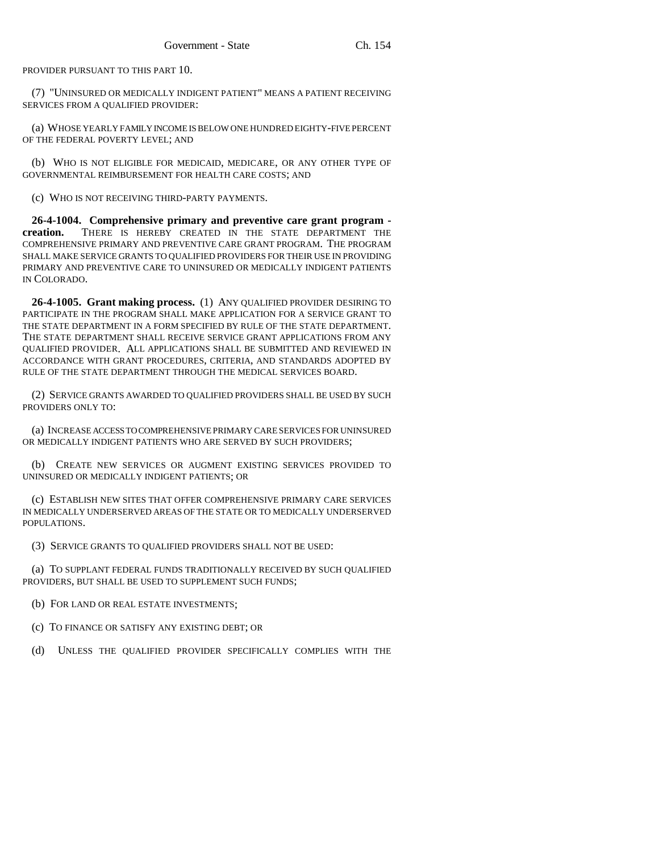PROVIDER PURSUANT TO THIS PART 10.

(7) "UNINSURED OR MEDICALLY INDIGENT PATIENT" MEANS A PATIENT RECEIVING SERVICES FROM A QUALIFIED PROVIDER:

(a) WHOSE YEARLY FAMILY INCOME IS BELOW ONE HUNDRED EIGHTY-FIVE PERCENT OF THE FEDERAL POVERTY LEVEL; AND

(b) WHO IS NOT ELIGIBLE FOR MEDICAID, MEDICARE, OR ANY OTHER TYPE OF GOVERNMENTAL REIMBURSEMENT FOR HEALTH CARE COSTS; AND

(c) WHO IS NOT RECEIVING THIRD-PARTY PAYMENTS.

**26-4-1004. Comprehensive primary and preventive care grant program creation.** THERE IS HEREBY CREATED IN THE STATE DEPARTMENT THE COMPREHENSIVE PRIMARY AND PREVENTIVE CARE GRANT PROGRAM. THE PROGRAM SHALL MAKE SERVICE GRANTS TO QUALIFIED PROVIDERS FOR THEIR USE IN PROVIDING PRIMARY AND PREVENTIVE CARE TO UNINSURED OR MEDICALLY INDIGENT PATIENTS IN COLORADO.

**26-4-1005. Grant making process.** (1) ANY QUALIFIED PROVIDER DESIRING TO PARTICIPATE IN THE PROGRAM SHALL MAKE APPLICATION FOR A SERVICE GRANT TO THE STATE DEPARTMENT IN A FORM SPECIFIED BY RULE OF THE STATE DEPARTMENT. THE STATE DEPARTMENT SHALL RECEIVE SERVICE GRANT APPLICATIONS FROM ANY QUALIFIED PROVIDER. ALL APPLICATIONS SHALL BE SUBMITTED AND REVIEWED IN ACCORDANCE WITH GRANT PROCEDURES, CRITERIA, AND STANDARDS ADOPTED BY RULE OF THE STATE DEPARTMENT THROUGH THE MEDICAL SERVICES BOARD.

(2) SERVICE GRANTS AWARDED TO QUALIFIED PROVIDERS SHALL BE USED BY SUCH PROVIDERS ONLY TO:

(a) INCREASE ACCESS TO COMPREHENSIVE PRIMARY CARE SERVICES FOR UNINSURED OR MEDICALLY INDIGENT PATIENTS WHO ARE SERVED BY SUCH PROVIDERS;

(b) CREATE NEW SERVICES OR AUGMENT EXISTING SERVICES PROVIDED TO UNINSURED OR MEDICALLY INDIGENT PATIENTS; OR

(c) ESTABLISH NEW SITES THAT OFFER COMPREHENSIVE PRIMARY CARE SERVICES IN MEDICALLY UNDERSERVED AREAS OF THE STATE OR TO MEDICALLY UNDERSERVED POPULATIONS.

(3) SERVICE GRANTS TO QUALIFIED PROVIDERS SHALL NOT BE USED:

(a) TO SUPPLANT FEDERAL FUNDS TRADITIONALLY RECEIVED BY SUCH QUALIFIED PROVIDERS, BUT SHALL BE USED TO SUPPLEMENT SUCH FUNDS;

(b) FOR LAND OR REAL ESTATE INVESTMENTS;

(c) TO FINANCE OR SATISFY ANY EXISTING DEBT; OR

(d) UNLESS THE QUALIFIED PROVIDER SPECIFICALLY COMPLIES WITH THE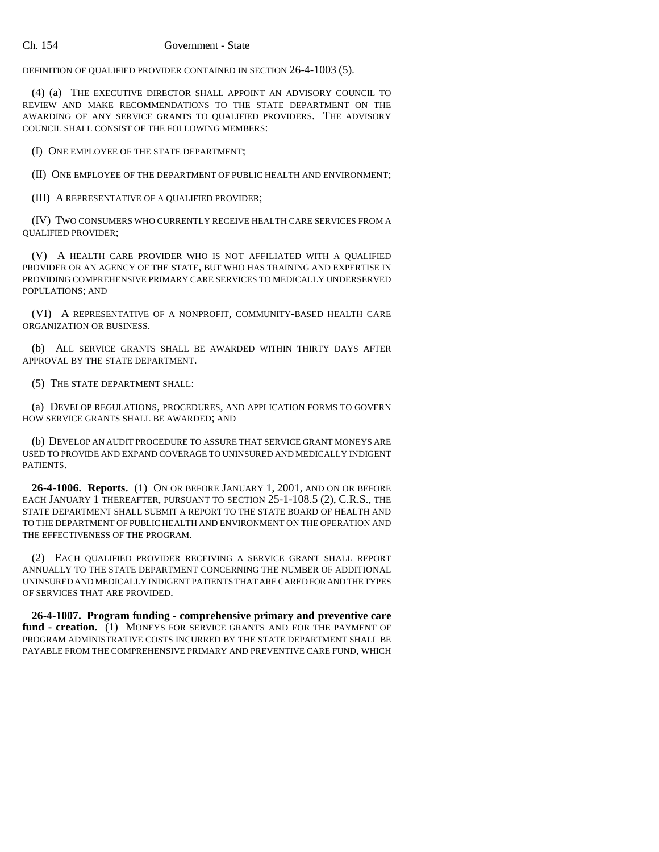DEFINITION OF QUALIFIED PROVIDER CONTAINED IN SECTION 26-4-1003 (5).

(4) (a) THE EXECUTIVE DIRECTOR SHALL APPOINT AN ADVISORY COUNCIL TO REVIEW AND MAKE RECOMMENDATIONS TO THE STATE DEPARTMENT ON THE AWARDING OF ANY SERVICE GRANTS TO QUALIFIED PROVIDERS. THE ADVISORY COUNCIL SHALL CONSIST OF THE FOLLOWING MEMBERS:

(I) ONE EMPLOYEE OF THE STATE DEPARTMENT;

(II) ONE EMPLOYEE OF THE DEPARTMENT OF PUBLIC HEALTH AND ENVIRONMENT;

(III) A REPRESENTATIVE OF A QUALIFIED PROVIDER;

(IV) TWO CONSUMERS WHO CURRENTLY RECEIVE HEALTH CARE SERVICES FROM A QUALIFIED PROVIDER;

(V) A HEALTH CARE PROVIDER WHO IS NOT AFFILIATED WITH A QUALIFIED PROVIDER OR AN AGENCY OF THE STATE, BUT WHO HAS TRAINING AND EXPERTISE IN PROVIDING COMPREHENSIVE PRIMARY CARE SERVICES TO MEDICALLY UNDERSERVED POPULATIONS; AND

(VI) A REPRESENTATIVE OF A NONPROFIT, COMMUNITY-BASED HEALTH CARE ORGANIZATION OR BUSINESS.

(b) ALL SERVICE GRANTS SHALL BE AWARDED WITHIN THIRTY DAYS AFTER APPROVAL BY THE STATE DEPARTMENT.

(5) THE STATE DEPARTMENT SHALL:

(a) DEVELOP REGULATIONS, PROCEDURES, AND APPLICATION FORMS TO GOVERN HOW SERVICE GRANTS SHALL BE AWARDED; AND

(b) DEVELOP AN AUDIT PROCEDURE TO ASSURE THAT SERVICE GRANT MONEYS ARE USED TO PROVIDE AND EXPAND COVERAGE TO UNINSURED AND MEDICALLY INDIGENT **PATIENTS** 

**26-4-1006. Reports.** (1) ON OR BEFORE JANUARY 1, 2001, AND ON OR BEFORE EACH JANUARY 1 THEREAFTER, PURSUANT TO SECTION 25-1-108.5 (2), C.R.S., THE STATE DEPARTMENT SHALL SUBMIT A REPORT TO THE STATE BOARD OF HEALTH AND TO THE DEPARTMENT OF PUBLIC HEALTH AND ENVIRONMENT ON THE OPERATION AND THE EFFECTIVENESS OF THE PROGRAM.

(2) EACH QUALIFIED PROVIDER RECEIVING A SERVICE GRANT SHALL REPORT ANNUALLY TO THE STATE DEPARTMENT CONCERNING THE NUMBER OF ADDITIONAL UNINSURED AND MEDICALLY INDIGENT PATIENTS THAT ARE CARED FOR AND THE TYPES OF SERVICES THAT ARE PROVIDED.

**26-4-1007. Program funding - comprehensive primary and preventive care fund - creation.** (1) MONEYS FOR SERVICE GRANTS AND FOR THE PAYMENT OF PROGRAM ADMINISTRATIVE COSTS INCURRED BY THE STATE DEPARTMENT SHALL BE PAYABLE FROM THE COMPREHENSIVE PRIMARY AND PREVENTIVE CARE FUND, WHICH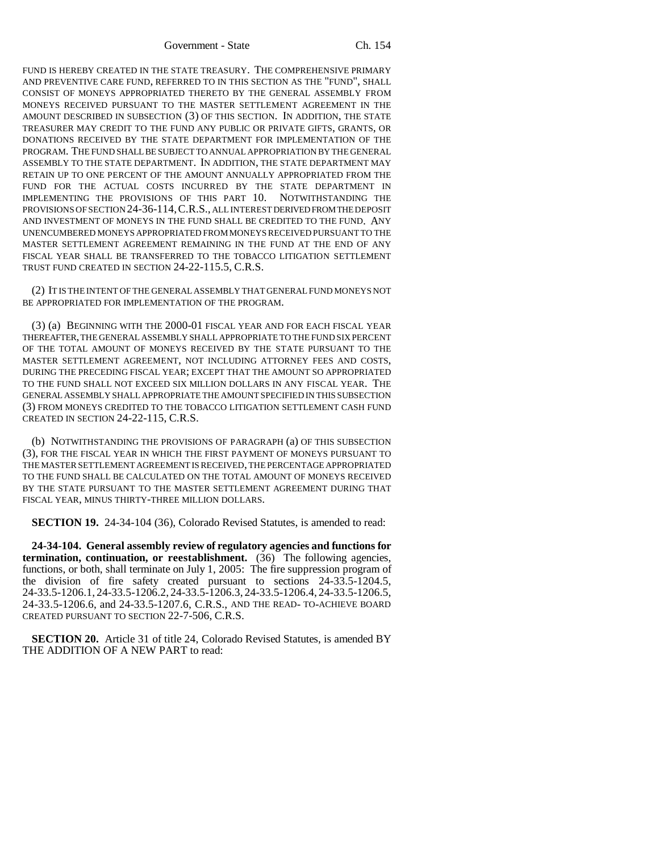Government - State Ch. 154

FUND IS HEREBY CREATED IN THE STATE TREASURY. THE COMPREHENSIVE PRIMARY AND PREVENTIVE CARE FUND, REFERRED TO IN THIS SECTION AS THE "FUND", SHALL CONSIST OF MONEYS APPROPRIATED THERETO BY THE GENERAL ASSEMBLY FROM MONEYS RECEIVED PURSUANT TO THE MASTER SETTLEMENT AGREEMENT IN THE AMOUNT DESCRIBED IN SUBSECTION (3) OF THIS SECTION. IN ADDITION, THE STATE TREASURER MAY CREDIT TO THE FUND ANY PUBLIC OR PRIVATE GIFTS, GRANTS, OR DONATIONS RECEIVED BY THE STATE DEPARTMENT FOR IMPLEMENTATION OF THE PROGRAM. THE FUND SHALL BE SUBJECT TO ANNUAL APPROPRIATION BY THE GENERAL ASSEMBLY TO THE STATE DEPARTMENT. IN ADDITION, THE STATE DEPARTMENT MAY RETAIN UP TO ONE PERCENT OF THE AMOUNT ANNUALLY APPROPRIATED FROM THE FUND FOR THE ACTUAL COSTS INCURRED BY THE STATE DEPARTMENT IN IMPLEMENTING THE PROVISIONS OF THIS PART 10. NOTWITHSTANDING THE PROVISIONS OF SECTION 24-36-114,C.R.S., ALL INTEREST DERIVED FROM THE DEPOSIT AND INVESTMENT OF MONEYS IN THE FUND SHALL BE CREDITED TO THE FUND. ANY UNENCUMBERED MONEYS APPROPRIATED FROM MONEYS RECEIVED PURSUANT TO THE MASTER SETTLEMENT AGREEMENT REMAINING IN THE FUND AT THE END OF ANY FISCAL YEAR SHALL BE TRANSFERRED TO THE TOBACCO LITIGATION SETTLEMENT TRUST FUND CREATED IN SECTION 24-22-115.5, C.R.S.

(2) IT IS THE INTENT OF THE GENERAL ASSEMBLY THAT GENERAL FUND MONEYS NOT BE APPROPRIATED FOR IMPLEMENTATION OF THE PROGRAM.

(3) (a) BEGINNING WITH THE 2000-01 FISCAL YEAR AND FOR EACH FISCAL YEAR THEREAFTER, THE GENERAL ASSEMBLY SHALL APPROPRIATE TO THE FUND SIX PERCENT OF THE TOTAL AMOUNT OF MONEYS RECEIVED BY THE STATE PURSUANT TO THE MASTER SETTLEMENT AGREEMENT, NOT INCLUDING ATTORNEY FEES AND COSTS, DURING THE PRECEDING FISCAL YEAR; EXCEPT THAT THE AMOUNT SO APPROPRIATED TO THE FUND SHALL NOT EXCEED SIX MILLION DOLLARS IN ANY FISCAL YEAR. THE GENERAL ASSEMBLY SHALL APPROPRIATE THE AMOUNT SPECIFIED IN THIS SUBSECTION (3) FROM MONEYS CREDITED TO THE TOBACCO LITIGATION SETTLEMENT CASH FUND CREATED IN SECTION 24-22-115, C.R.S.

(b) NOTWITHSTANDING THE PROVISIONS OF PARAGRAPH (a) OF THIS SUBSECTION (3), FOR THE FISCAL YEAR IN WHICH THE FIRST PAYMENT OF MONEYS PURSUANT TO THE MASTER SETTLEMENT AGREEMENT IS RECEIVED, THE PERCENTAGE APPROPRIATED TO THE FUND SHALL BE CALCULATED ON THE TOTAL AMOUNT OF MONEYS RECEIVED BY THE STATE PURSUANT TO THE MASTER SETTLEMENT AGREEMENT DURING THAT FISCAL YEAR, MINUS THIRTY-THREE MILLION DOLLARS.

**SECTION 19.** 24-34-104 (36), Colorado Revised Statutes, is amended to read:

**24-34-104. General assembly review of regulatory agencies and functions for termination, continuation, or reestablishment.** (36) The following agencies, functions, or both, shall terminate on July 1, 2005: The fire suppression program of the division of fire safety created pursuant to sections 24-33.5-1204.5, 24-33.5-1206.1, 24-33.5-1206.2, 24-33.5-1206.3, 24-33.5-1206.4, 24-33.5-1206.5, 24-33.5-1206.6, and 24-33.5-1207.6, C.R.S., AND THE READ- TO-ACHIEVE BOARD CREATED PURSUANT TO SECTION 22-7-506, C.R.S.

**SECTION 20.** Article 31 of title 24, Colorado Revised Statutes, is amended BY THE ADDITION OF A NEW PART to read: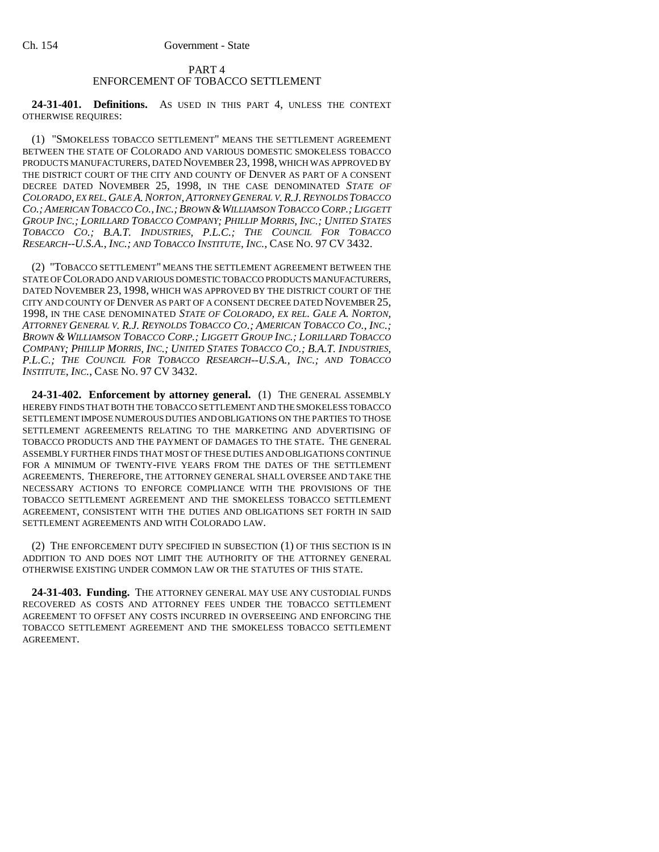# PART 4 ENFORCEMENT OF TOBACCO SETTLEMENT

**24-31-401. Definitions.** AS USED IN THIS PART 4, UNLESS THE CONTEXT OTHERWISE REQUIRES:

(1) "SMOKELESS TOBACCO SETTLEMENT" MEANS THE SETTLEMENT AGREEMENT BETWEEN THE STATE OF COLORADO AND VARIOUS DOMESTIC SMOKELESS TOBACCO PRODUCTS MANUFACTURERS, DATED NOVEMBER 23, 1998, WHICH WAS APPROVED BY THE DISTRICT COURT OF THE CITY AND COUNTY OF DENVER AS PART OF A CONSENT DECREE DATED NOVEMBER 25, 1998, IN THE CASE DENOMINATED *STATE OF COLORADO, EX REL. GALE A.NORTON,ATTORNEY GENERAL V.R.J.REYNOLDS TOBACCO CO.; AMERICAN TOBACCO CO.,INC.;BROWN &WILLIAMSON TOBACCO CORP.; LIGGETT GROUP INC.; LORILLARD TOBACCO COMPANY; PHILLIP MORRIS, INC.; UNITED STATES TOBACCO CO.; B.A.T. INDUSTRIES, P.L.C.; THE COUNCIL FOR TOBACCO RESEARCH--U.S.A., INC.; AND TOBACCO INSTITUTE, INC.*, CASE NO. 97 CV 3432.

(2) "TOBACCO SETTLEMENT" MEANS THE SETTLEMENT AGREEMENT BETWEEN THE STATE OF COLORADO AND VARIOUS DOMESTIC TOBACCO PRODUCTS MANUFACTURERS, DATED NOVEMBER 23, 1998, WHICH WAS APPROVED BY THE DISTRICT COURT OF THE CITY AND COUNTY OF DENVER AS PART OF A CONSENT DECREE DATED NOVEMBER 25, 1998, IN THE CASE DENOMINATED *STATE OF COLORADO, EX REL. GALE A. NORTON, ATTORNEY GENERAL V. R.J. REYNOLDS TOBACCO CO.; AMERICAN TOBACCO CO., INC.; BROWN & WILLIAMSON TOBACCO CORP.; LIGGETT GROUP INC.; LORILLARD TOBACCO COMPANY; PHILLIP MORRIS, INC.; UNITED STATES TOBACCO CO.; B.A.T. INDUSTRIES, P.L.C.; THE COUNCIL FOR TOBACCO RESEARCH--U.S.A., INC.; AND TOBACCO INSTITUTE, INC.*, CASE NO. 97 CV 3432.

**24-31-402. Enforcement by attorney general.** (1) THE GENERAL ASSEMBLY HEREBY FINDS THAT BOTH THE TOBACCO SETTLEMENT AND THE SMOKELESS TOBACCO SETTLEMENT IMPOSE NUMEROUS DUTIES AND OBLIGATIONS ON THE PARTIES TO THOSE SETTLEMENT AGREEMENTS RELATING TO THE MARKETING AND ADVERTISING OF TOBACCO PRODUCTS AND THE PAYMENT OF DAMAGES TO THE STATE. THE GENERAL ASSEMBLY FURTHER FINDS THAT MOST OF THESE DUTIES AND OBLIGATIONS CONTINUE FOR A MINIMUM OF TWENTY-FIVE YEARS FROM THE DATES OF THE SETTLEMENT AGREEMENTS. THEREFORE, THE ATTORNEY GENERAL SHALL OVERSEE AND TAKE THE NECESSARY ACTIONS TO ENFORCE COMPLIANCE WITH THE PROVISIONS OF THE TOBACCO SETTLEMENT AGREEMENT AND THE SMOKELESS TOBACCO SETTLEMENT AGREEMENT, CONSISTENT WITH THE DUTIES AND OBLIGATIONS SET FORTH IN SAID SETTLEMENT AGREEMENTS AND WITH COLORADO LAW.

(2) THE ENFORCEMENT DUTY SPECIFIED IN SUBSECTION (1) OF THIS SECTION IS IN ADDITION TO AND DOES NOT LIMIT THE AUTHORITY OF THE ATTORNEY GENERAL OTHERWISE EXISTING UNDER COMMON LAW OR THE STATUTES OF THIS STATE.

**24-31-403. Funding.** THE ATTORNEY GENERAL MAY USE ANY CUSTODIAL FUNDS RECOVERED AS COSTS AND ATTORNEY FEES UNDER THE TOBACCO SETTLEMENT AGREEMENT TO OFFSET ANY COSTS INCURRED IN OVERSEEING AND ENFORCING THE TOBACCO SETTLEMENT AGREEMENT AND THE SMOKELESS TOBACCO SETTLEMENT AGREEMENT.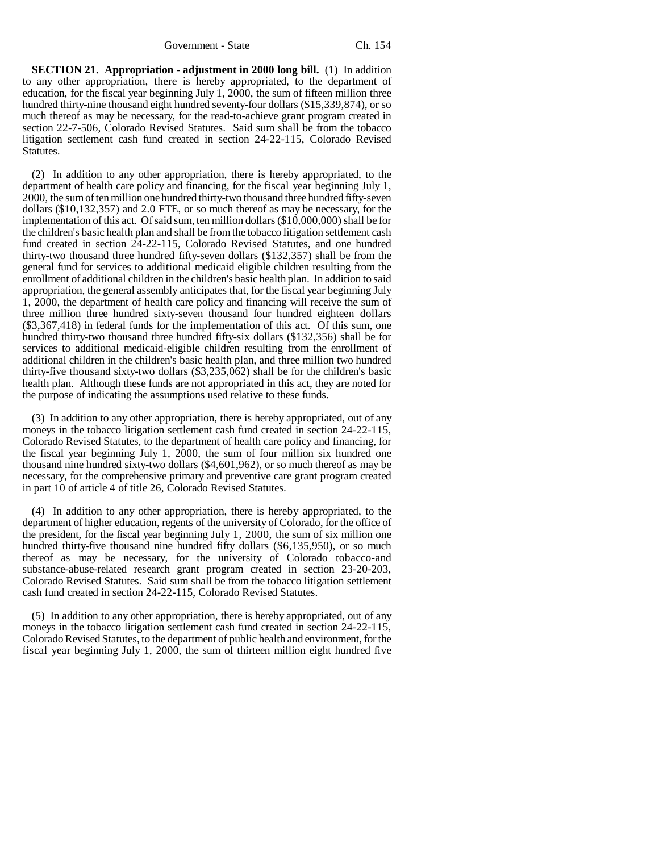**SECTION 21. Appropriation - adjustment in 2000 long bill.** (1) In addition to any other appropriation, there is hereby appropriated, to the department of education, for the fiscal year beginning July 1, 2000, the sum of fifteen million three hundred thirty-nine thousand eight hundred seventy-four dollars (\$15,339,874), or so much thereof as may be necessary, for the read-to-achieve grant program created in section 22-7-506, Colorado Revised Statutes. Said sum shall be from the tobacco litigation settlement cash fund created in section 24-22-115, Colorado Revised Statutes.

(2) In addition to any other appropriation, there is hereby appropriated, to the department of health care policy and financing, for the fiscal year beginning July 1, 2000, the sum of ten million one hundred thirty-two thousand three hundred fifty-seven dollars (\$10,132,357) and 2.0 FTE, or so much thereof as may be necessary, for the implementation of this act. Of said sum, ten million dollars (\$10,000,000) shall be for the children's basic health plan and shall be from the tobacco litigation settlement cash fund created in section 24-22-115, Colorado Revised Statutes, and one hundred thirty-two thousand three hundred fifty-seven dollars (\$132,357) shall be from the general fund for services to additional medicaid eligible children resulting from the enrollment of additional children in the children's basic health plan. In addition to said appropriation, the general assembly anticipates that, for the fiscal year beginning July 1, 2000, the department of health care policy and financing will receive the sum of three million three hundred sixty-seven thousand four hundred eighteen dollars (\$3,367,418) in federal funds for the implementation of this act. Of this sum, one hundred thirty-two thousand three hundred fifty-six dollars (\$132,356) shall be for services to additional medicaid-eligible children resulting from the enrollment of additional children in the children's basic health plan, and three million two hundred thirty-five thousand sixty-two dollars (\$3,235,062) shall be for the children's basic health plan. Although these funds are not appropriated in this act, they are noted for the purpose of indicating the assumptions used relative to these funds.

(3) In addition to any other appropriation, there is hereby appropriated, out of any moneys in the tobacco litigation settlement cash fund created in section 24-22-115, Colorado Revised Statutes, to the department of health care policy and financing, for the fiscal year beginning July 1, 2000, the sum of four million six hundred one thousand nine hundred sixty-two dollars (\$4,601,962), or so much thereof as may be necessary, for the comprehensive primary and preventive care grant program created in part 10 of article 4 of title 26, Colorado Revised Statutes.

(4) In addition to any other appropriation, there is hereby appropriated, to the department of higher education, regents of the university of Colorado, for the office of the president, for the fiscal year beginning July 1, 2000, the sum of six million one hundred thirty-five thousand nine hundred fifty dollars (\$6,135,950), or so much thereof as may be necessary, for the university of Colorado tobacco-and substance-abuse-related research grant program created in section 23-20-203, Colorado Revised Statutes. Said sum shall be from the tobacco litigation settlement cash fund created in section 24-22-115, Colorado Revised Statutes.

(5) In addition to any other appropriation, there is hereby appropriated, out of any moneys in the tobacco litigation settlement cash fund created in section 24-22-115, Colorado Revised Statutes, to the department of public health and environment, for the fiscal year beginning July 1, 2000, the sum of thirteen million eight hundred five